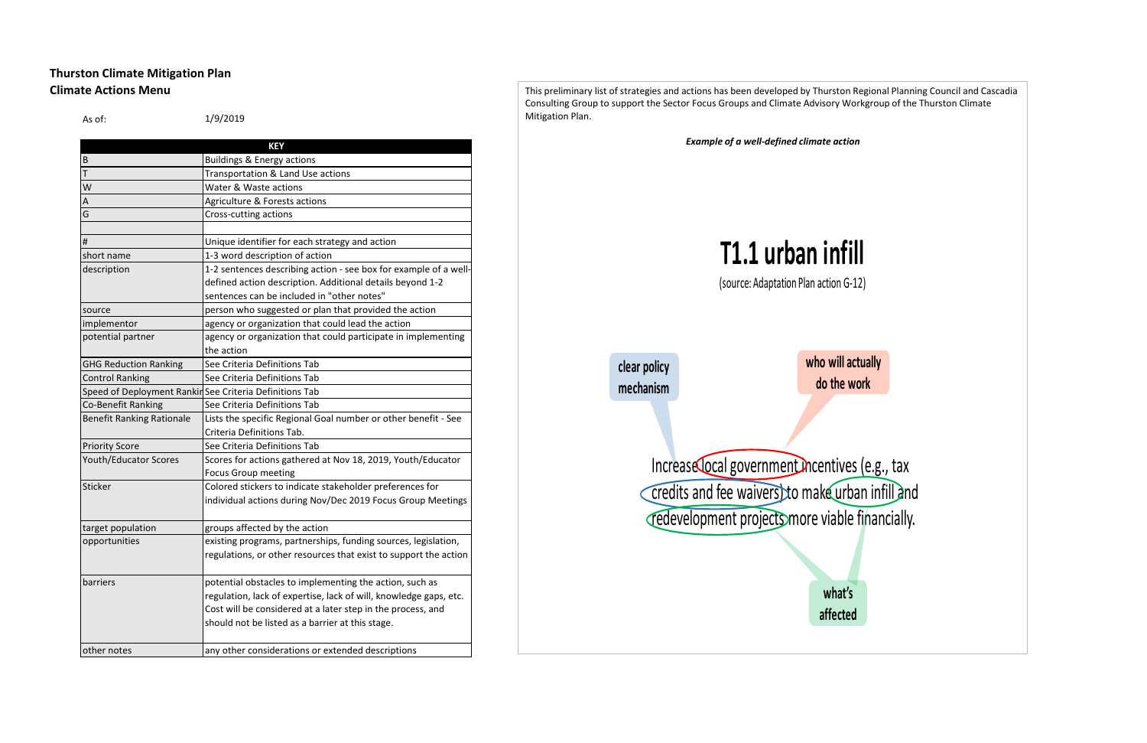# **Thurston Climate Mitigation Plan Climate Actions Menu**

| As of:                           | 1/9/2019                                                          |
|----------------------------------|-------------------------------------------------------------------|
|                                  | <b>KEY</b>                                                        |
| B                                | <b>Buildings &amp; Energy actions</b>                             |
| Т                                | Transportation & Land Use actions                                 |
| W                                | Water & Waste actions                                             |
| Α                                | Agriculture & Forests actions                                     |
| G                                | Cross-cutting actions                                             |
|                                  |                                                                   |
| $\#$                             | Unique identifier for each strategy and action                    |
| short name                       | 1-3 word description of action                                    |
| description                      | 1-2 sentences describing action - see box for example of a well-  |
|                                  | defined action description. Additional details beyond 1-2         |
|                                  | sentences can be included in "other notes"                        |
| source                           | person who suggested or plan that provided the action             |
| implementor                      | agency or organization that could lead the action                 |
| potential partner                | agency or organization that could participate in implementing     |
|                                  | the action                                                        |
| <b>GHG Reduction Ranking</b>     | See Criteria Definitions Tab                                      |
| <b>Control Ranking</b>           | See Criteria Definitions Tab                                      |
|                                  | Speed of Deployment Rankin See Criteria Definitions Tab           |
| Co-Benefit Ranking               | See Criteria Definitions Tab                                      |
| <b>Benefit Ranking Rationale</b> | Lists the specific Regional Goal number or other benefit - See    |
|                                  | Criteria Definitions Tab.                                         |
| <b>Priority Score</b>            | See Criteria Definitions Tab                                      |
| <b>Youth/Educator Scores</b>     | Scores for actions gathered at Nov 18, 2019, Youth/Educator       |
|                                  | <b>Focus Group meeting</b>                                        |
| Sticker                          | Colored stickers to indicate stakeholder preferences for          |
|                                  | individual actions during Nov/Dec 2019 Focus Group Meetings       |
|                                  |                                                                   |
| target population                | groups affected by the action                                     |
| opportunities                    | existing programs, partnerships, funding sources, legislation,    |
|                                  | regulations, or other resources that exist to support the action  |
| barriers                         | potential obstacles to implementing the action, such as           |
|                                  | regulation, lack of expertise, lack of will, knowledge gaps, etc. |
|                                  | Cost will be considered at a later step in the process, and       |
|                                  | should not be listed as a barrier at this stage.                  |
| other notes                      | any other considerations or extended descriptions                 |

This preliminary list of strategies and actions has been developed by Thurston Regional Planning Council and Cascadia Consulting Group to support the Sector Focus Groups and Climate Advisory Workgroup of the Thurston Climate Mitigation Plan. *Example of a well-defined climate action* Increase local government incentives (e.g., tax credits and fee waivers) to make urban infill and redevelopment projects more viable financially. **who will actually do the work clear policy mechanism what's affected T1.1 urban infill** (source: Adaptation Plan action G-12)

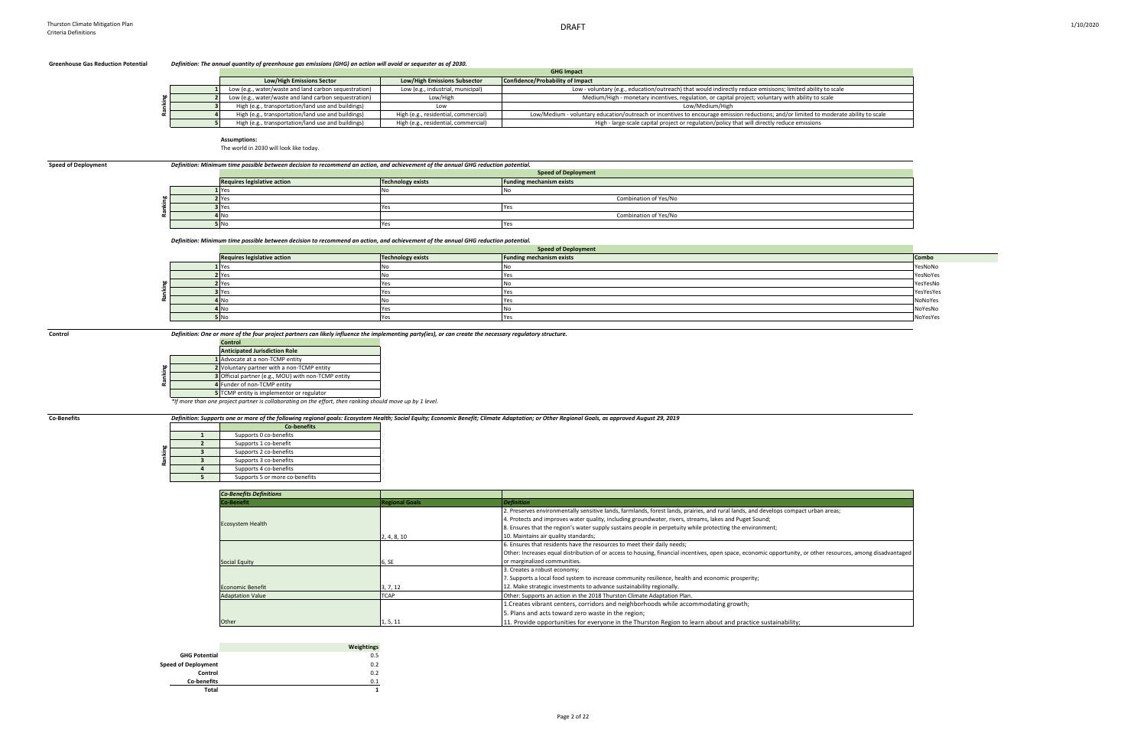### **Greenhouse Gas Reduction Potential** *Definition: The annual quantity of greenhouse gas emissions (GHG) an action will avoid or sequester as of 2030.*

### **Assumptions:**

The world in 2030 will look like today.

### *Definition: Minimum time possible between decision to recommend an action, and achievement of the annual GHG reduction potential.*

**Control** *Definition: One or more of the four project partners can likely influence the implementing party(ies), or can create the necessary regulatory structure.*

|  |                                                       |                                      | <b>GHG Impact</b>                                                                                                                     |
|--|-------------------------------------------------------|--------------------------------------|---------------------------------------------------------------------------------------------------------------------------------------|
|  | <b>Low/High Emissions Sector</b>                      | <b>Low/High Emissions Subsector</b>  | Confidence/Probability of Impact                                                                                                      |
|  | Low (e.g., water/waste and land carbon sequestration) | Low (e.g., industrial, municipal)    | Low - voluntary (e.g., education/outreach) that would indirectly reduce emisisons; limited ability to scale                           |
|  | Low (e.g., water/waste and land carbon sequestration) | Low/High                             | Medium/High - monetary incentives, regulation, or capital project; voluntary with ability to scale                                    |
|  | High (e.g., transportation/land use and buildings)    | Low                                  | Low/Medium/High                                                                                                                       |
|  | High (e.g., transportation/land use and buildings)    | High (e.g., residential, commercial) | Low/Medium - voluntary education/outreach or incentives to encourage emission reductions; and/or limited to moderate ability to scale |
|  | High (e.g., transportation/land use and buildings)    | High (e.g., residential, commercial) | High - large-scale capital project or regulation/policy that will directly reduce emissions                                           |

|         | <b>Co-benefits</b>             |  |
|---------|--------------------------------|--|
|         | Supports 0 co-benefits         |  |
|         | Supports 1 co-benefit          |  |
|         | Supports 2 co-benefits         |  |
| Ranking | Supports 3 co-benefits         |  |
|         | Supports 4 co-benefits         |  |
|         | Supports 5 or more co-benefits |  |

| <b>Speed of Deployment</b> | Definition: Minimum time possible between decision to recommend an action, and achievement of the annual GHG reduction potential. |                            |                                 |
|----------------------------|-----------------------------------------------------------------------------------------------------------------------------------|----------------------------|---------------------------------|
|                            |                                                                                                                                   | <b>Speed of Deployment</b> |                                 |
|                            | <b>Requires legislative action</b>                                                                                                | <b>Technology exists</b>   | <b>Funding mechanism exists</b> |
|                            | 1 Yes                                                                                                                             |                            |                                 |
|                            | 2 Yes                                                                                                                             |                            | Combination of Yes/No           |
|                            | 3 Yes                                                                                                                             |                            |                                 |
|                            | 4N <sub>0</sub>                                                                                                                   |                            | Combination of Yes/No           |
|                            | <b>5 No</b>                                                                                                                       | Yes                        | <b>Yes</b>                      |
|                            |                                                                                                                                   |                            |                                 |

| 3 Yes<br>Yes<br>Yes<br>Combination of Yes/No<br>4N <sub>0</sub><br><b>5 No</b><br>Yes<br>Yes<br>Definition: Minimum time possible between decision to recommend an action, and achievement of the annual GHG reduction potential.<br><b>Speed of Deployment</b><br><b>Requires legislative action</b><br><b>Technology exists</b><br><b>Funding mechanism exists</b><br><b>Combo</b><br><b>L</b> Yes<br>YesNoNo<br>No<br>No<br>2 Yes<br>No<br>Yes<br>YesNoYes<br>2 Yes<br>YesYesNo<br>Yes<br>No<br>3 Yes<br>Yes<br>YesYesYes<br>Yes<br>4 No<br>No<br>NoNoYes<br>Yes<br>4N <sub>0</sub><br>NoYesNo<br>Yes<br>No<br><b>5 No</b><br>Yes<br>Yes<br>NoYesYes<br>Definition: One or more of the four project partners can likely influence the implementing party(ies), or can create the necessary regulatory structure.<br><b>Control</b><br><b>Anticipated Jurisdiction Role</b><br>1 Advocate at a non-TCMP entity<br>2 Voluntary partner with a non-TCMP entity<br><b>3</b> Official partner (e.g., MOU) with non-TCMP entity<br>4 Funder of non-TCMP entity<br>5 TCMP entity is implementor or regulator<br>*If more than one project partner is collaborating on the effort, then ranking should move up by 1 level.<br>Definition: Supports one or more of the following regional goals: Ecosystem Health; Social Equity; Economic Benefit; Climate Adaptation; or Other Regional Goals, as approved August 29, 2019<br><b>Co-benefits</b><br>Supports 0 co-benefits<br>Supports 1 co-benefit<br>$\mathbf{z}$<br>Supports 2 co-benefits<br>Supports 3 co-benefits | 2 <sup>o</sup> | Combination of Yes/No |  |
|---------------------------------------------------------------------------------------------------------------------------------------------------------------------------------------------------------------------------------------------------------------------------------------------------------------------------------------------------------------------------------------------------------------------------------------------------------------------------------------------------------------------------------------------------------------------------------------------------------------------------------------------------------------------------------------------------------------------------------------------------------------------------------------------------------------------------------------------------------------------------------------------------------------------------------------------------------------------------------------------------------------------------------------------------------------------------------------------------------------------------------------------------------------------------------------------------------------------------------------------------------------------------------------------------------------------------------------------------------------------------------------------------------------------------------------------------------------------------------------------------------------------------------------------------------------------|----------------|-----------------------|--|
|                                                                                                                                                                                                                                                                                                                                                                                                                                                                                                                                                                                                                                                                                                                                                                                                                                                                                                                                                                                                                                                                                                                                                                                                                                                                                                                                                                                                                                                                                                                                                                     |                |                       |  |
|                                                                                                                                                                                                                                                                                                                                                                                                                                                                                                                                                                                                                                                                                                                                                                                                                                                                                                                                                                                                                                                                                                                                                                                                                                                                                                                                                                                                                                                                                                                                                                     |                |                       |  |
|                                                                                                                                                                                                                                                                                                                                                                                                                                                                                                                                                                                                                                                                                                                                                                                                                                                                                                                                                                                                                                                                                                                                                                                                                                                                                                                                                                                                                                                                                                                                                                     |                |                       |  |
|                                                                                                                                                                                                                                                                                                                                                                                                                                                                                                                                                                                                                                                                                                                                                                                                                                                                                                                                                                                                                                                                                                                                                                                                                                                                                                                                                                                                                                                                                                                                                                     |                |                       |  |
|                                                                                                                                                                                                                                                                                                                                                                                                                                                                                                                                                                                                                                                                                                                                                                                                                                                                                                                                                                                                                                                                                                                                                                                                                                                                                                                                                                                                                                                                                                                                                                     |                |                       |  |
|                                                                                                                                                                                                                                                                                                                                                                                                                                                                                                                                                                                                                                                                                                                                                                                                                                                                                                                                                                                                                                                                                                                                                                                                                                                                                                                                                                                                                                                                                                                                                                     |                |                       |  |
|                                                                                                                                                                                                                                                                                                                                                                                                                                                                                                                                                                                                                                                                                                                                                                                                                                                                                                                                                                                                                                                                                                                                                                                                                                                                                                                                                                                                                                                                                                                                                                     |                |                       |  |
|                                                                                                                                                                                                                                                                                                                                                                                                                                                                                                                                                                                                                                                                                                                                                                                                                                                                                                                                                                                                                                                                                                                                                                                                                                                                                                                                                                                                                                                                                                                                                                     |                |                       |  |
|                                                                                                                                                                                                                                                                                                                                                                                                                                                                                                                                                                                                                                                                                                                                                                                                                                                                                                                                                                                                                                                                                                                                                                                                                                                                                                                                                                                                                                                                                                                                                                     |                |                       |  |
|                                                                                                                                                                                                                                                                                                                                                                                                                                                                                                                                                                                                                                                                                                                                                                                                                                                                                                                                                                                                                                                                                                                                                                                                                                                                                                                                                                                                                                                                                                                                                                     |                |                       |  |
|                                                                                                                                                                                                                                                                                                                                                                                                                                                                                                                                                                                                                                                                                                                                                                                                                                                                                                                                                                                                                                                                                                                                                                                                                                                                                                                                                                                                                                                                                                                                                                     |                |                       |  |
|                                                                                                                                                                                                                                                                                                                                                                                                                                                                                                                                                                                                                                                                                                                                                                                                                                                                                                                                                                                                                                                                                                                                                                                                                                                                                                                                                                                                                                                                                                                                                                     |                |                       |  |
|                                                                                                                                                                                                                                                                                                                                                                                                                                                                                                                                                                                                                                                                                                                                                                                                                                                                                                                                                                                                                                                                                                                                                                                                                                                                                                                                                                                                                                                                                                                                                                     |                |                       |  |
|                                                                                                                                                                                                                                                                                                                                                                                                                                                                                                                                                                                                                                                                                                                                                                                                                                                                                                                                                                                                                                                                                                                                                                                                                                                                                                                                                                                                                                                                                                                                                                     |                |                       |  |
|                                                                                                                                                                                                                                                                                                                                                                                                                                                                                                                                                                                                                                                                                                                                                                                                                                                                                                                                                                                                                                                                                                                                                                                                                                                                                                                                                                                                                                                                                                                                                                     |                |                       |  |
|                                                                                                                                                                                                                                                                                                                                                                                                                                                                                                                                                                                                                                                                                                                                                                                                                                                                                                                                                                                                                                                                                                                                                                                                                                                                                                                                                                                                                                                                                                                                                                     |                |                       |  |
|                                                                                                                                                                                                                                                                                                                                                                                                                                                                                                                                                                                                                                                                                                                                                                                                                                                                                                                                                                                                                                                                                                                                                                                                                                                                                                                                                                                                                                                                                                                                                                     |                |                       |  |
|                                                                                                                                                                                                                                                                                                                                                                                                                                                                                                                                                                                                                                                                                                                                                                                                                                                                                                                                                                                                                                                                                                                                                                                                                                                                                                                                                                                                                                                                                                                                                                     |                |                       |  |
|                                                                                                                                                                                                                                                                                                                                                                                                                                                                                                                                                                                                                                                                                                                                                                                                                                                                                                                                                                                                                                                                                                                                                                                                                                                                                                                                                                                                                                                                                                                                                                     |                |                       |  |
|                                                                                                                                                                                                                                                                                                                                                                                                                                                                                                                                                                                                                                                                                                                                                                                                                                                                                                                                                                                                                                                                                                                                                                                                                                                                                                                                                                                                                                                                                                                                                                     |                |                       |  |
|                                                                                                                                                                                                                                                                                                                                                                                                                                                                                                                                                                                                                                                                                                                                                                                                                                                                                                                                                                                                                                                                                                                                                                                                                                                                                                                                                                                                                                                                                                                                                                     |                |                       |  |

|      | Control                                                                                                   |  |
|------|-----------------------------------------------------------------------------------------------------------|--|
|      | <b>Anticipated Jurisdiction Role</b>                                                                      |  |
|      | 1 Advocate at a non-TCMP entity                                                                           |  |
| king | 2 Voluntary partner with a non-TCMP entity                                                                |  |
|      | 3 Official partner (e.g., MOU) with non-TCMP entity                                                       |  |
| æ    | 4 Funder of non-TCMP entity                                                                               |  |
|      | 5 TCMP entity is implementor or regulator                                                                 |  |
|      | *If more than one project partner is collaborating on the effort, then ranking should move up by 1 level. |  |

Co-Benefits **Computers and** *Definition: Supports one or more of the following regional goals: Ecosystem Health; Social Equity; Economic Benefit; Climate Adaptation; or Other Regional Goals, as approved August 29, 2019* 



| <b>Co-Benefits Definitions</b> |                       |                                                                                                                                       |
|--------------------------------|-----------------------|---------------------------------------------------------------------------------------------------------------------------------------|
| <b>Co-Benefit</b>              | <b>Regional Goals</b> | <i><b>Definition</b></i>                                                                                                              |
|                                |                       | 2. Preserves environmentally sensitive lands, farmlands, forest lands, prairies, and rural lands, and develops compact urban areas;   |
| <b>Ecosystem Health</b>        |                       | 4. Protects and improves water quality, including groundwater, rivers, streams, lakes and Puget Sound;                                |
|                                |                       | 8. Ensures that the region's water supply sustains people in perpetuity while protecting the environment;                             |
|                                | 2, 4, 8, 10           | 10. Maintains air quality standards;                                                                                                  |
|                                |                       | 6. Ensures that residents have the resources to meet their daily needs;                                                               |
|                                |                       | Other: Increases equal distribution of or access to housing, financial incentives, open space, economic opportunity, or other resourd |
| <b>Social Equity</b>           | 6, SE                 | or marginalized communities.                                                                                                          |
|                                |                       | 3. Creates a robust economy;                                                                                                          |
|                                |                       | 7. Supports a local food system to increase community resilience, health and economic prosperity;                                     |
| <b>Economic Benefit</b>        | 3, 7, 12              | 12. Make strategic investments to advance sustainability regionally.                                                                  |
| <b>Adaptation Value</b>        | TCAP                  | Other: Supports an action in the 2018 Thurston Climate Adaptation Plan.                                                               |
|                                |                       | 1. Creates vibrant centers, corridors and neighborhoods while accommodating growth;                                                   |
|                                |                       | 5. Plans and acts toward zero waste in the region;                                                                                    |
| <b>Other</b>                   | 1, 5, 11              | 11. Provide opportunities for everyone in the Thurston Region to learn about and practice sustainability;                             |

|                            | Weightings |
|----------------------------|------------|
| <b>GHG Potential</b>       | 0.5        |
| <b>Speed of Deployment</b> | 0.2        |
| Control                    | 0.2        |
| <b>Co-benefits</b>         | 0.1        |
| Total                      |            |

| e                   |       |
|---------------------|-------|
|                     |       |
|                     |       |
|                     |       |
| te ability to scale |       |
|                     |       |
|                     |       |
|                     |       |
|                     |       |
|                     |       |
|                     |       |
|                     |       |
|                     |       |
|                     |       |
|                     |       |
|                     |       |
|                     |       |
|                     |       |
|                     |       |
|                     |       |
|                     |       |
|                     |       |
|                     |       |
|                     |       |
|                     | Combo |
|                     |       |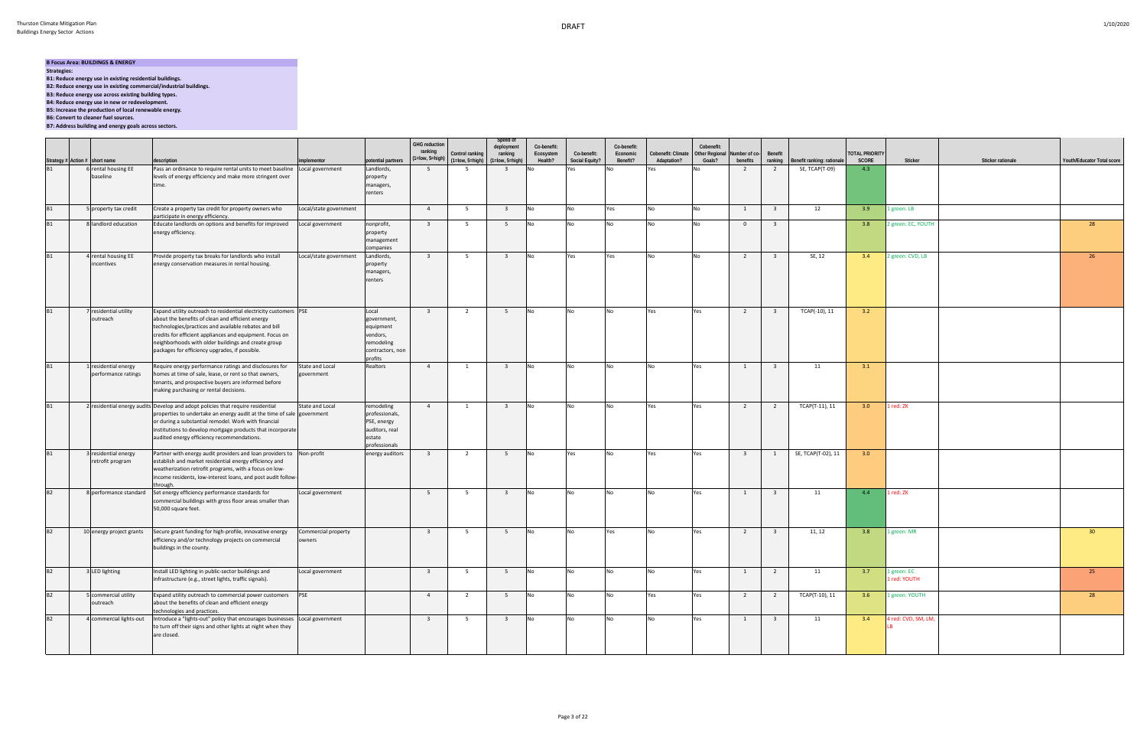## **B Focus Area: BUILDINGS & ENERGY**

- **Strategies:**
- **B1: Reduce energy use in existing residential buildings.**
- **B2: Reduce energy use in existing commercial/industrial buildings.**
- **B3: Reduce energy use across existing building types.**
- **B4: Reduce energy use in new or redevelopment.**
- **B5: Increase the production of local renewable energy.**
- **B6: Convert to cleaner fuel sources.**
- **B7: Address building and energy goals across sectors.**

|           |                                                                                   | description                                                                                                                                                                                                                                                                                                                                        | implementor                   | otential partners                                                                          | <b>GHG reduction</b><br>ranking<br>$(1 = low, 5 = high)$ | Control ranking<br>$(1 = low, 5 = high)$ | Speed of<br>deployment<br>ranking<br>$(1 = low, 5 = high)$ | Co-benefit:<br>Ecosystem<br>Health? | Co-benefit:<br>Social Equity? | Co-benefit:<br>Economic<br>Benefit? | Cobenefit: Climate<br>Adaptation? | Cobenefit:<br>Other Regional Number of co-<br>Goals? | benefits                | Benefit<br>ranking      | Benefit ranking: rationale | <b>TOTAL PRIORITY</b><br>SCORE | Sticker                     | Sticker rationale | Youth/Educator Total score |
|-----------|-----------------------------------------------------------------------------------|----------------------------------------------------------------------------------------------------------------------------------------------------------------------------------------------------------------------------------------------------------------------------------------------------------------------------------------------------|-------------------------------|--------------------------------------------------------------------------------------------|----------------------------------------------------------|------------------------------------------|------------------------------------------------------------|-------------------------------------|-------------------------------|-------------------------------------|-----------------------------------|------------------------------------------------------|-------------------------|-------------------------|----------------------------|--------------------------------|-----------------------------|-------------------|----------------------------|
|           | Strategy # Action # short name<br>B1 6 rental hou<br>ental housing EE<br>baseline | Pass an ordinance to require rental units to meet baseline<br>levels of energy efficiency and make more stringent over<br>time.                                                                                                                                                                                                                    | Local government              | Landlords,<br>property<br>managers,<br>renters                                             | 5 <sup>5</sup>                                           | - 5                                      | $\overline{3}$                                             |                                     | Yes                           |                                     |                                   |                                                      | $\overline{2}$          |                         | SE, TCAP(T-09)             | 4.3                            |                             |                   |                            |
| <b>B1</b> | 5 property tax credit                                                             | Create a property tax credit for property owners who<br>participate in energy efficiency.                                                                                                                                                                                                                                                          | Local/state government        |                                                                                            | $\overline{4}$                                           | 5                                        | $\overline{\mathbf{3}}$                                    | No.                                 | <b>No</b>                     | Yes                                 | No                                |                                                      | $\mathbf{1}$            | $\overline{\mathbf{3}}$ | 12                         | 3.9                            | 1 green: LB                 |                   |                            |
| <b>B1</b> | landlord education                                                                | Educate landlords on options and benefits for improved<br>energy efficiency.                                                                                                                                                                                                                                                                       | Local government              | nonprofit,<br>roperty<br>management<br>ompanies                                            | $\overline{\mathbf{3}}$                                  | 5                                        | 5 <sup>5</sup>                                             |                                     | No                            |                                     | No                                |                                                      | $\overline{0}$          | $\overline{\mathbf{3}}$ |                            | 3.8                            | 2 green: EC, YOUTH          |                   | 28                         |
| <b>B1</b> | rental housing EE<br>ncentives                                                    | Provide property tax breaks for landlords who install<br>energy conservation measures in rental housing.                                                                                                                                                                                                                                           | Local/state government        | Landlords,<br>oroperty<br>managers,<br>renters                                             | $\overline{\mathbf{3}}$                                  | 5                                        | $\overline{\mathbf{3}}$                                    | <b>No</b>                           | Yes                           | Yes                                 | <b>No</b>                         | <b>No</b>                                            | $\overline{2}$          | $\overline{\mathbf{3}}$ | SE, 12                     | 3.4                            | 2 green: CVD, LB            |                   | 26                         |
| B1        | residential utility<br>outreach                                                   | Expand utility outreach to residential electricity customers PSE<br>about the benefits of clean and efficient energy<br>technologies/practices and available rebates and bill<br>credits for efficient appliances and equipment. Focus on<br>neighborhoods with older buildings and create group<br>packages for efficiency upgrades, if possible. |                               | Local<br>government,<br>equipment<br>vendors,<br>remodeling<br>contractors, non<br>orofits | $\overline{\mathbf{3}}$                                  | 2                                        | 5                                                          | <b>No</b>                           | <b>No</b>                     | N <sub>0</sub>                      | Yes                               | Yes                                                  | $\overline{2}$          | $\overline{\mathbf{3}}$ | TCAP(-10), 11              | 3.2                            |                             |                   |                            |
| B1        | residential energy<br>performance ratings                                         | Require energy performance ratings and disclosures for<br>homes at time of sale, lease, or rent so that owners,<br>tenants, and prospective buyers are informed before<br>making purchasing or rental decisions.                                                                                                                                   | State and Local<br>government | Realtors                                                                                   | $\overline{4}$                                           | 1                                        | $\overline{\mathbf{3}}$                                    | <b>No</b>                           | <b>No</b>                     | N <sub>o</sub>                      | No                                | Yes                                                  | $\mathbf{1}$            | $\overline{\mathbf{3}}$ | 11                         | 3.1                            |                             |                   |                            |
| <b>B1</b> |                                                                                   | 2 residential energy audits Develop and adopt policies that require residential<br>properties to undertake an energy audit at the time of sale government<br>or during a substantial remodel. Work with financial<br>institutions to develop mortgage products that incorporate<br>audited energy efficiency recommendations.                      | State and Local               | remodeling<br>professionals,<br>PSE, energy<br>auditors, real<br>estate<br>professionals   | $\overline{4}$                                           | 1                                        | $\overline{\mathbf{3}}$                                    | <b>No</b>                           | <b>No</b>                     | N <sub>o</sub>                      | Yes                               | Yes                                                  | $\overline{2}$          | $\overline{2}$          | TCAP(T-11), 11             | 3.0                            | 1 red: ZK                   |                   |                            |
| <b>B1</b> | residential energy<br>retrofit program                                            | Partner with energy audit providers and loan providers to Non-profit<br>establish and market residential energy efficiency and<br>weatherization retrofit programs, with a focus on low-<br>income residents, low-interest loans, and post audit follow-<br>through.                                                                               |                               | energy auditors                                                                            | $\overline{\mathbf{3}}$                                  | $\overline{2}$                           | 5                                                          | No.                                 | Yes                           | No                                  | Yes                               | Yes                                                  | $\overline{\mathbf{3}}$ | 1                       | SE, TCAP(T-02), 11         | 3.0                            |                             |                   |                            |
| <b>B2</b> | 8 performance standard                                                            | Set energy efficiency performance standards for<br>commercial buildings with gross floor areas smaller than<br>50,000 square feet.                                                                                                                                                                                                                 | Local government              |                                                                                            | 5 <sup>5</sup>                                           | 5                                        | $\overline{\mathbf{3}}$                                    | No.                                 | <b>No</b>                     |                                     | No                                | Yes                                                  | $\overline{1}$          | $\overline{\mathbf{3}}$ | 11                         | 4.4                            | 1 red: ZK                   |                   |                            |
| <b>B2</b> | 10 energy project grants                                                          | Secure grant funding for high-profile, innovative energy<br>efficiency and/or technology projects on commercial<br>buildings in the county.                                                                                                                                                                                                        | Commercial property<br>owners |                                                                                            | $\overline{\mathbf{3}}$                                  | 5                                        | 5                                                          | No                                  | No                            | Yes                                 | <b>No</b>                         | Yes                                                  | $\overline{2}$          | $\overline{\mathbf{3}}$ | 11, 12                     | 3.8                            | 1 green: MR                 |                   | 30 <sup>°</sup>            |
| B2        | LED lighting                                                                      | Install LED lighting in public-sector buildings and<br>infrastructure (e.g., street lights, traffic signals).                                                                                                                                                                                                                                      | Local government              |                                                                                            | $\overline{\mathbf{3}}$                                  | 5                                        | 5                                                          |                                     | No                            |                                     | No                                | Yes                                                  | 1                       | $\overline{2}$          | 11                         | 3.7                            | 1 green: EC<br>1 red: YOUTH |                   | 25                         |
| B2        | commercial utility<br>outreach                                                    | Expand utility outreach to commercial power customers PSE<br>about the benefits of clean and efficient energy<br>technologies and practices.                                                                                                                                                                                                       |                               |                                                                                            | $\overline{4}$                                           | 2                                        | 5                                                          | No                                  | No                            | No                                  | Yes                               | Yes                                                  | $\overline{2}$          | $\overline{2}$          | TCAP(T-10), 11             | 3.6                            | 1 green: YOUTH              |                   | 28                         |
| <b>B2</b> | 4 commercial lights-out                                                           | Introduce a "lights-out" policy that encourages businesses Local government<br>to turn off their signs and other lights at night when they<br>are closed.                                                                                                                                                                                          |                               |                                                                                            | $\overline{\mathbf{3}}$                                  | 5                                        | $\overline{\mathbf{3}}$                                    | No                                  | <b>No</b>                     | No                                  | No                                | Yes                                                  | 1                       | $\overline{\mathbf{3}}$ | 11                         | 3.4                            | 4 red: CVD, SM, LM,         |                   |                            |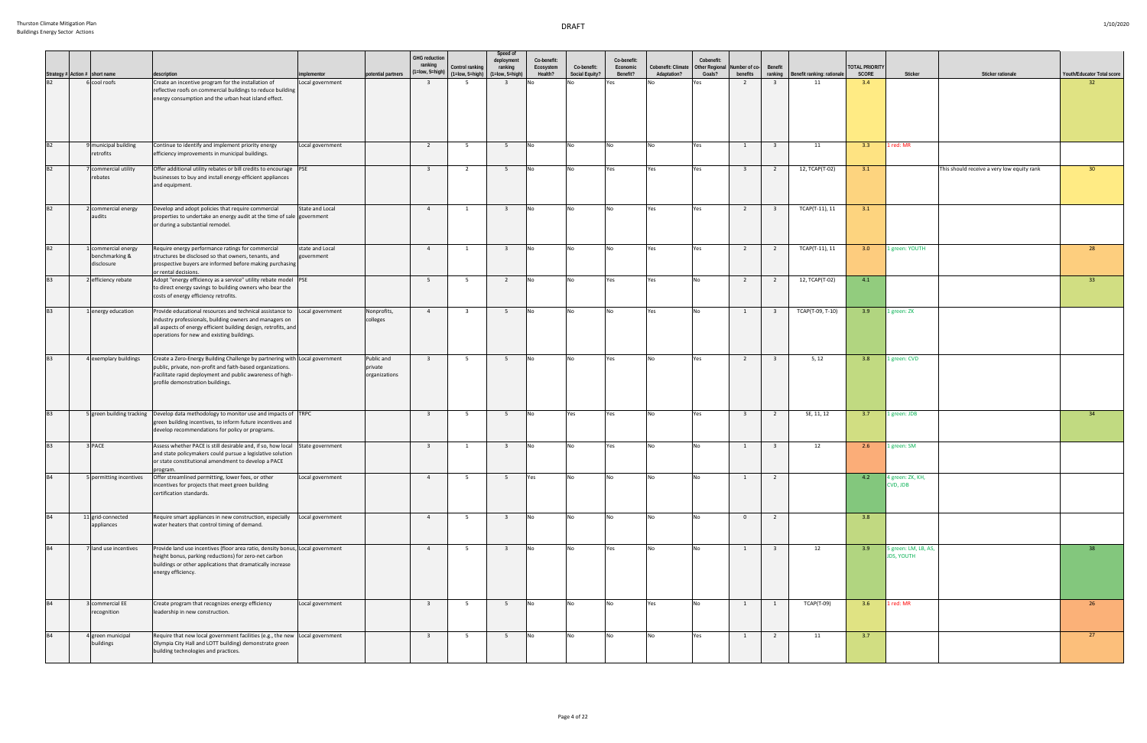|           |                                                     |                                                                                                                                                                                                                                                          |                               |                                        | <b>GHG</b> reduction<br>ranking | Control ranking                             | Speed of<br>deployment<br>ranking | Co-benefit:<br>Ecosystem | Co-benefit:    | Co-benefit:<br>Economic | Cobenefit: Climate | Cobenefit:<br><b>Other Regional</b> | Number of co-           | Benefit                 |                            | <b>OTAL PRIORITY</b> |                                           |                                            |                            |
|-----------|-----------------------------------------------------|----------------------------------------------------------------------------------------------------------------------------------------------------------------------------------------------------------------------------------------------------------|-------------------------------|----------------------------------------|---------------------------------|---------------------------------------------|-----------------------------------|--------------------------|----------------|-------------------------|--------------------|-------------------------------------|-------------------------|-------------------------|----------------------------|----------------------|-------------------------------------------|--------------------------------------------|----------------------------|
|           | Strategy # Action # short name<br>B2 6 cool roofs   | description                                                                                                                                                                                                                                              | implementor                   | potential partners                     |                                 | $(1 = low, 5 = high)$ $(1 = low, 5 = high)$ | $(1 = low, 5 = high)$             | Health?                  | Social Equity? | Benefit?                | Adaptation?        | Goals?                              | benefits                | ranking                 | Benefit ranking: rationale | SCORE                | Sticker                                   | <b>Sticker rationale</b>                   | Youth/Educator Total score |
|           |                                                     | Create an incentive program for the installation of<br>reflective roofs on commercial buildings to reduce building<br>energy consumption and the urban heat island effect.                                                                               | Local government              |                                        | $\overline{\mathbf{3}}$         | 5                                           | $\overline{\mathbf{3}}$           |                          |                | Yes                     |                    | Yes                                 | $\overline{2}$          | $\overline{\mathbf{3}}$ | 11                         | 3.4                  |                                           |                                            | 32 <sup>2</sup>            |
| B2        | 9 municipal building<br>retrofits                   | Continue to identify and implement priority energy<br>efficiency improvements in municipal buildings.                                                                                                                                                    | Local government              |                                        | $\overline{2}$                  | - 5                                         | 5                                 | <b>No</b>                | <b>No</b>      | No                      |                    | Yes                                 | 1                       | $\overline{3}$          | 11                         | 3.3                  | 1 red: MR                                 |                                            |                            |
| B2        | 7 commercial utility<br>ebates                      | Offer additional utility rebates or bill credits to encourage PSE<br>businesses to buy and install energy-efficient appliances<br>and equipment.                                                                                                         |                               |                                        | $\overline{\mathbf{3}}$         | $\overline{2}$                              | 5 <sup>5</sup>                    | <b>No</b>                | <b>No</b>      | Yes                     | Yes                | Yes                                 | $\overline{\mathbf{3}}$ | $\overline{2}$          | 12, TCAP(T-02)             | 3.1                  |                                           | This should receive a very low equity rank | 30 <sup>°</sup>            |
| B2        | 2 commercial energy<br>audits                       | Develop and adopt policies that require commercial<br>properties to undertake an energy audit at the time of sale government<br>or during a substantial remodel.                                                                                         | State and Local               |                                        | $\overline{4}$                  | 1                                           | $\overline{\mathbf{3}}$           | <b>No</b>                | <b>No</b>      | No                      | Yes                | Yes                                 | $\overline{2}$          | $\overline{\mathbf{3}}$ | TCAP(T-11), 11             | 3.1                  |                                           |                                            |                            |
| B2        | 1 commercial energy<br>benchmarking &<br>disclosure | Require energy performance ratings for commercial<br>structures be disclosed so that owners, tenants, and<br>prospective buyers are informed before making purchasing<br>or rental decisions.                                                            | state and Local<br>government |                                        | $\overline{4}$                  | 1                                           | $\overline{\mathbf{3}}$           | <b>No</b>                | <b>No</b>      | <b>No</b>               | Yes                | Yes                                 | $\overline{2}$          | $\overline{2}$          | TCAP(T-11), 11             | 3.0                  | 1 green: YOUTH                            |                                            | 28                         |
| B3        | 2 efficiency rebate                                 | Adopt "energy efficiency as a service" utility rebate model PSE<br>to direct energy savings to building owners who bear the<br>costs of energy efficiency retrofits.                                                                                     |                               |                                        | $5^{\circ}$                     | 5                                           | $\overline{2}$                    | <b>No</b>                | <b>No</b>      | Yes                     | Yes                | No                                  | $\overline{2}$          | $\overline{2}$          | 12, TCAP(T-02)             | 4.1                  |                                           |                                            | 33 <sup>2</sup>            |
| <b>B3</b> | 1 energy education                                  | Provide educational resources and technical assistance to   Local government<br>industry professionals, building owners and managers on<br>all aspects of energy efficient building design, retrofits, and<br>operations for new and existing buildings. |                               | Nonprofits,<br>colleges                | $\overline{4}$                  | $\overline{\mathbf{3}}$                     | 5                                 | <b>No</b>                | <b>No</b>      | No                      | Yes                | <b>No</b>                           | 1                       | $\overline{\mathbf{3}}$ | TCAP(T-09, T-10)           | 3.9                  | 1 green: ZK                               |                                            |                            |
| <b>B3</b> | 4 exemplary buildings                               | Create a Zero-Energy Building Challenge by partnering with Local government<br>public, private, non-profit and faith-based organizations.<br>Facilitate rapid deployment and public awareness of high-<br>profile demonstration buildings.               |                               | Public and<br>private<br>organizations | $\overline{\mathbf{3}}$         | 5 <sup>5</sup>                              | 5 <sup>5</sup>                    | <b>No</b>                | <b>No</b>      | Yes                     | N <sub>0</sub>     | Yes                                 | $\overline{2}$          | $\overline{\mathbf{3}}$ | 5, 12                      | 3.8                  | 1 green: CVD                              |                                            |                            |
| <b>B3</b> |                                                     | 5 green building tracking Develop data methodology to monitor use and impacts of TRPC<br>green building incentives, to inform future incentives and<br>develop recommendations for policy or programs.                                                   |                               |                                        | $\overline{\mathbf{3}}$         | 5                                           | 5                                 | <b>No</b>                | Yes            | Yes                     | ∣N∩.               | Yes                                 | $\overline{\mathbf{3}}$ | $\overline{2}$          | SE, 11, 12                 | 3.7                  | 1 green: JDB                              |                                            | 34                         |
| B3        | 3 PACE                                              | Assess whether PACE is still desirable and, if so, how local<br>and state policymakers could pursue a legislative solution<br>or state constitutional amendment to develop a PACE<br>program.                                                            | State government              |                                        | $\overline{\mathbf{3}}$         | 1                                           | $\overline{\mathbf{3}}$           | No                       | No             | Yes                     | No                 | <b>No</b>                           | 1                       | $\overline{\mathbf{3}}$ | 12                         | 2.6                  | 1 green: SM                               |                                            |                            |
| <b>B4</b> | 5 permitting incentives                             | Offer streamlined permitting, lower fees, or other<br>incentives for projects that meet green building<br>certification standards.                                                                                                                       | Local government              |                                        | $\overline{4}$                  |                                             | - 5                               | Yes                      | <b>No</b>      | No                      |                    |                                     | $\mathbf{1}$            | $\overline{2}$          |                            | 4.2                  | 4 green: ZK, KH,<br><b>CVD, JDB</b>       |                                            |                            |
| B4        | 11 grid-connected<br>appliances                     | Require smart appliances in new construction, especially Local government<br>water heaters that control timing of demand.                                                                                                                                |                               |                                        | $\overline{4}$                  | 5 <sup>5</sup>                              | $\overline{\mathbf{3}}$           | <b>No</b>                | <b>No</b>      | <b>No</b>               | No                 | No                                  | $\overline{0}$          | $\overline{2}$          |                            | 3.8                  |                                           |                                            |                            |
| <b>B4</b> | 7 land use incentives                               | Provide land use incentives (floor area ratio, density bonus, Local government<br>height bonus, parking reductions) for zero-net carbon<br>buildings or other applications that dramatically increase<br>energy efficiency.                              |                               |                                        | $\overline{4}$                  | 5 <sup>5</sup>                              | $\overline{\mathbf{3}}$           | <b>No</b>                | <b>No</b>      | Yes                     | <b>No</b>          | No                                  | $\mathbf{1}$            | $\overline{\mathbf{3}}$ | 12                         | 3.9                  | 5 green: LM, LB, AS,<br><b>JDS, YOUTH</b> |                                            | 38                         |
| <b>B4</b> | 3 commercial EE<br>recognition                      | Create program that recognizes energy efficiency<br>leadership in new construction.                                                                                                                                                                      | Local government              |                                        | $\overline{\mathbf{3}}$         | 5 <sup>5</sup>                              | 5 <sup>5</sup>                    | No                       | <b>No</b>      | No                      | Yes                | <b>No</b>                           | 1                       | $\overline{1}$          | TCAP(T-09)                 | 3.6                  | 1 red: MR                                 |                                            | 26                         |
| B4        | 4 green municipal<br>buildings                      | Require that new local government facilities (e.g., the new Local government<br>Olympia City Hall and LOTT building) demonstrate green<br>building technologies and practices.                                                                           |                               |                                        | $\overline{\mathbf{3}}$         | 5 <sup>5</sup>                              | 5 <sub>5</sub>                    | <b>No</b>                | <b>No</b>      | <b>No</b>               | <b>No</b>          | Yes                                 | 1                       | $\overline{2}$          | 11                         | 3.7                  |                                           |                                            | 27                         |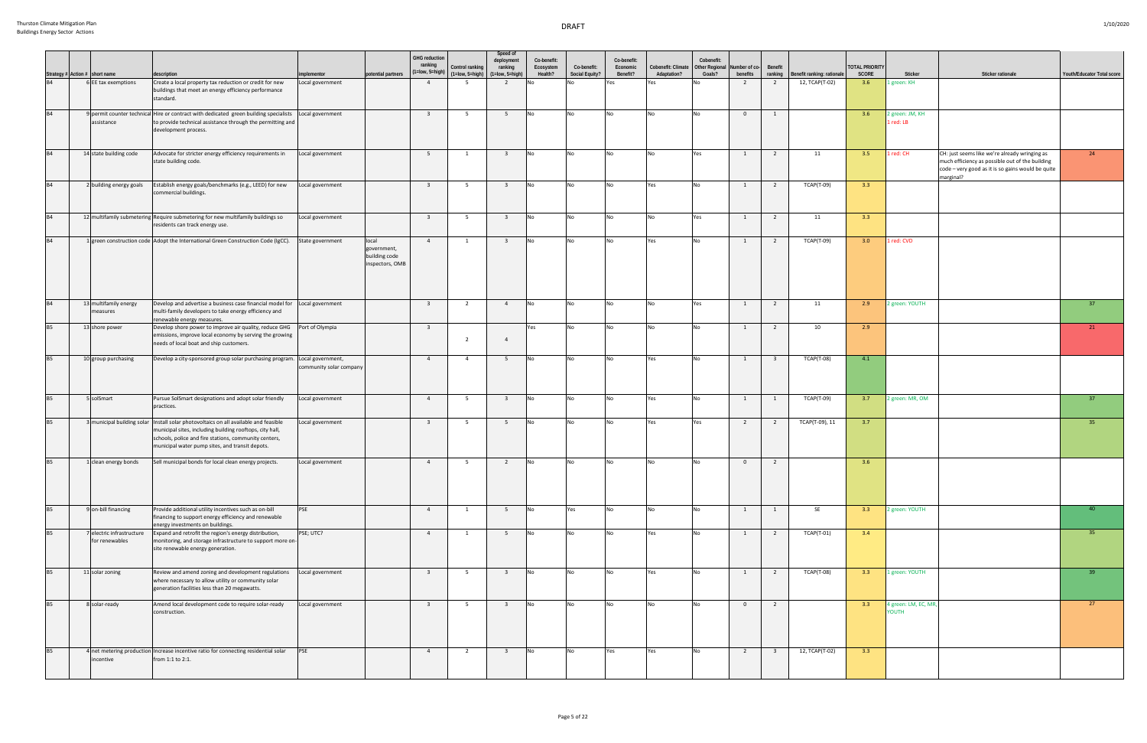|           | Strategy # Action # short name<br>B4 6 EE tax exer | description                                                                                                                                                                                                                                                  | implementor             | potential partners                                       | <b>GHG</b> reduction<br>ranking | Control ranking<br>$(1 = low, 5 = high)$ $(1 = low, 5 = high)$ | Speed of<br>deployment<br>ranking<br>(1=Iow, 5=high) | Co-benefit:<br>Ecosystem<br>Health? | Co-benefit:<br>Social Equity? | Co-benefit:<br>Economic<br>Benefit? | Cobenefit: Climate<br>Adaptation? | Cobenefit:<br><b>Other Regional</b><br>Goals? | Number of co-<br>benefits | Benefit<br>ranking      | Benefit ranking: rationale | <b>OTAL PRIORITY</b><br>SCORE | Sticker                      | <b>Sticker rationale</b>                                                                                                                                           | Youth/Educator Total score |
|-----------|----------------------------------------------------|--------------------------------------------------------------------------------------------------------------------------------------------------------------------------------------------------------------------------------------------------------------|-------------------------|----------------------------------------------------------|---------------------------------|----------------------------------------------------------------|------------------------------------------------------|-------------------------------------|-------------------------------|-------------------------------------|-----------------------------------|-----------------------------------------------|---------------------------|-------------------------|----------------------------|-------------------------------|------------------------------|--------------------------------------------------------------------------------------------------------------------------------------------------------------------|----------------------------|
|           | 6 EE tax exemptions                                | Create a local property tax reduction or credit for new<br>buildings that meet an energy efficiency performance<br>standard.                                                                                                                                 | Local government        |                                                          | $\overline{4}$                  | 5                                                              | 2                                                    |                                     |                               | Yes                                 | Yes                               |                                               | $\overline{2}$            | $\overline{2}$          | 12, TCAP(T-02)             | 3.6                           | 1 green: KH                  |                                                                                                                                                                    |                            |
| <b>B4</b> | assistance                                         | 9 permit counter technical Hire or contract with dedicated green building specialists<br>to provide technical assistance through the permitting and<br>development process.                                                                                  | Local government        |                                                          | $\overline{\mathbf{3}}$         | 5 <sup>5</sup>                                                 | 5                                                    | No                                  | <b>No</b>                     | No                                  | <b>No</b>                         | No                                            | $\overline{0}$            | $\overline{1}$          |                            | 3.6                           | 2 green: JM, KH<br>1 red: LB |                                                                                                                                                                    |                            |
| <b>B4</b> | 14 state building code                             | Advocate for stricter energy efficiency requirements in<br>state building code.                                                                                                                                                                              | Local government        |                                                          | $5^{\circ}$                     | 1                                                              | $\overline{\mathbf{3}}$                              | No                                  | No                            | No                                  | No                                | Yes                                           | 1                         | $\overline{2}$          | 11                         | 3.5                           | 1 red: CH                    | CH: just seems like we're already wringing as<br>much efficiency as possible out of the building<br>code - very good as it is so gains would be quite<br>marginal? | 24                         |
| <b>B4</b> | 2 building energy goals                            | Establish energy goals/benchmarks (e.g., LEED) for new<br>commercial buildings.                                                                                                                                                                              | Local government        |                                                          | $\overline{\mathbf{3}}$         | 5                                                              | $\overline{\mathbf{3}}$                              | <b>No</b>                           | <b>No</b>                     | No                                  | Yes                               | <b>No</b>                                     | 1                         | $\overline{2}$          | <b>TCAP(T-09)</b>          | 3.3                           |                              |                                                                                                                                                                    |                            |
| B4        |                                                    | 12 multifamily submetering Require submetering for new multifamily buildings so<br>residents can track energy use.                                                                                                                                           | Local government        |                                                          | $\overline{\mathbf{3}}$         | 5 <sup>5</sup>                                                 | $\overline{\mathbf{3}}$                              | <b>No</b>                           | <b>No</b>                     | No                                  | <b>No</b>                         | Yes                                           | 1                         | $\overline{2}$          | 11                         | 3.3                           |                              |                                                                                                                                                                    |                            |
| B4        |                                                    | 1 green construction code Adopt the International Green Construction Code (IgCC).                                                                                                                                                                            | State government        | local<br>government,<br>building code<br>inspectors, OMB | $\overline{4}$                  | $\mathbf{1}$                                                   | $\overline{\mathbf{3}}$                              | No                                  | No                            | No                                  | Yes                               | No                                            | 1                         | $\overline{2}$          | <b>TCAP(T-09)</b>          | 3.0                           | 1 red: CVD                   |                                                                                                                                                                    |                            |
| B4        | 13 multifamily energy<br>measures                  | Develop and advertise a business case financial model for Local government<br>multi-family developers to take energy efficiency and<br>renewable energy measures.                                                                                            |                         |                                                          | $\overline{\mathbf{3}}$         | $\overline{2}$                                                 | $\overline{4}$                                       | No                                  | <b>No</b>                     | No                                  | <b>No</b>                         | Yes                                           | 1                         | $\overline{2}$          | 11                         | 2.9                           | 2 green: YOUTH               |                                                                                                                                                                    | 37                         |
| <b>B5</b> | 13 shore power                                     | Develop shore power to improve air quality, reduce GHG<br>emissions, improve local economy by serving the growing<br>needs of local boat and ship customers.                                                                                                 | Port of Olympia         |                                                          | $\overline{\mathbf{3}}$         | $\overline{2}$                                                 | $\overline{4}$                                       | Yes                                 | No                            | No                                  | No                                | No                                            | 1                         | $\overline{2}$          | 10                         | 2.9                           |                              |                                                                                                                                                                    | 21                         |
| <b>B5</b> | 10 group purchasing                                | Develop a city-sponsored group solar purchasing program. Local government,                                                                                                                                                                                   | community solar company |                                                          | $\overline{4}$                  | $\overline{4}$                                                 | 5                                                    | <b>No</b>                           | <b>No</b>                     | No                                  | Yes                               | No                                            | 1                         | $\overline{\mathbf{3}}$ | <b>TCAP(T-08)</b>          | 4.1                           |                              |                                                                                                                                                                    |                            |
| <b>B5</b> | 5 solSmart                                         | Pursue SolSmart designations and adopt solar friendly<br>practices.                                                                                                                                                                                          | Local government        |                                                          | $\overline{4}$                  | 5 <sup>5</sup>                                                 | $\overline{\mathbf{3}}$                              | No                                  | No                            | No                                  | Yes                               | No                                            | 1                         | 1                       | <b>TCAP(T-09)</b>          | 3.7                           | 2 green: MR, OM              |                                                                                                                                                                    | 37                         |
| <b>B5</b> |                                                    | 3 municipal building solar Install solar photovoltaics on all available and feasible<br>municipal sites, including building rooftops, city hall,<br>schools, police and fire stations, community centers,<br>municipal water pump sites, and transit depots. | Local government        |                                                          | $\overline{\mathbf{3}}$         | 5                                                              | 5                                                    | No                                  | No                            | No                                  | Yes                               | Yes                                           | $\overline{2}$            | $\overline{2}$          | TCAP(T-09), 11             | 3.7                           |                              |                                                                                                                                                                    | 35                         |
| B5        | 1 clean energy bonds                               | Sell municipal bonds for local clean energy projects.                                                                                                                                                                                                        | Local government        |                                                          | $\overline{4}$                  | - 5                                                            | $\overline{2}$                                       | <b>No</b>                           | No                            | No                                  | <b>No</b>                         | <b>No</b>                                     | $\overline{0}$            | $\overline{2}$          |                            | 3.6                           |                              |                                                                                                                                                                    |                            |
| <b>B5</b> | 9 on-bill financing                                | Provide additional utility incentives such as on-bill<br>financing to support energy efficiency and renewable<br>energy investments on buildings.                                                                                                            | <b>PSE</b>              |                                                          | $\overline{4}$                  | $\overline{1}$                                                 | 5 <sup>5</sup>                                       | <b>No</b>                           | Yes                           | <b>No</b>                           | <b>No</b>                         | No                                            | $\mathbf{1}$              | $\overline{1}$          | <b>SE</b>                  | 3.3                           | 2 green: YOUTH               |                                                                                                                                                                    | 40                         |
| <b>B5</b> | 7 electric infrastructure<br>for renewables        | Expand and retrofit the region's energy distribution,<br>monitoring, and storage infrastructure to support more on-<br>site renewable energy generation.                                                                                                     | PSE; UTC?               |                                                          | $\overline{4}$                  | $\overline{1}$                                                 | 5 <sup>5</sup>                                       | <b>No</b>                           | <b>No</b>                     | <b>No</b>                           | Yes                               | No                                            | 1                         | $\overline{2}$          | TCAP(T-01)                 | 3.4                           |                              |                                                                                                                                                                    | 35                         |
| <b>B5</b> | 11 solar zoning                                    | Review and amend zoning and development regulations<br>where necessary to allow utility or community solar<br>generation facilities less than 20 megawatts.                                                                                                  | Local government        |                                                          | $\overline{\mathbf{3}}$         | 5 <sup>5</sup>                                                 | $\overline{\mathbf{3}}$                              | <b>No</b>                           | No                            | No                                  | Yes                               | No                                            | 1                         | $\overline{2}$          | TCAP(T-08)                 | 3.3                           | 1 green: YOUTH               |                                                                                                                                                                    | 39                         |
| <b>B5</b> | 8 solar-ready                                      | Amend local development code to require solar-ready<br>construction.                                                                                                                                                                                         | Local government        |                                                          | $\overline{\mathbf{3}}$         | 5 <sup>5</sup>                                                 | $\overline{\mathbf{3}}$                              | N <sub>o</sub>                      | <b>No</b>                     | <b>No</b>                           | No.                               | No                                            | $\overline{0}$            | $\overline{2}$          |                            | 3.3                           | 4 green: LM, EC, MR<br>YOUTH |                                                                                                                                                                    | 27                         |
| <b>B5</b> | incentive                                          | 4 net metering production Increase incentive ratio for connecting residential solar<br>from 1:1 to 2:1.                                                                                                                                                      | <b>PSE</b>              |                                                          | $\overline{4}$                  | $\overline{2}$                                                 | $\overline{\mathbf{3}}$                              | <b>No</b>                           | No                            | Yes                                 | Yes                               | No                                            | $\overline{2}$            | $\overline{\mathbf{3}}$ | 12, TCAP(T-02)             | 3.3                           |                              |                                                                                                                                                                    |                            |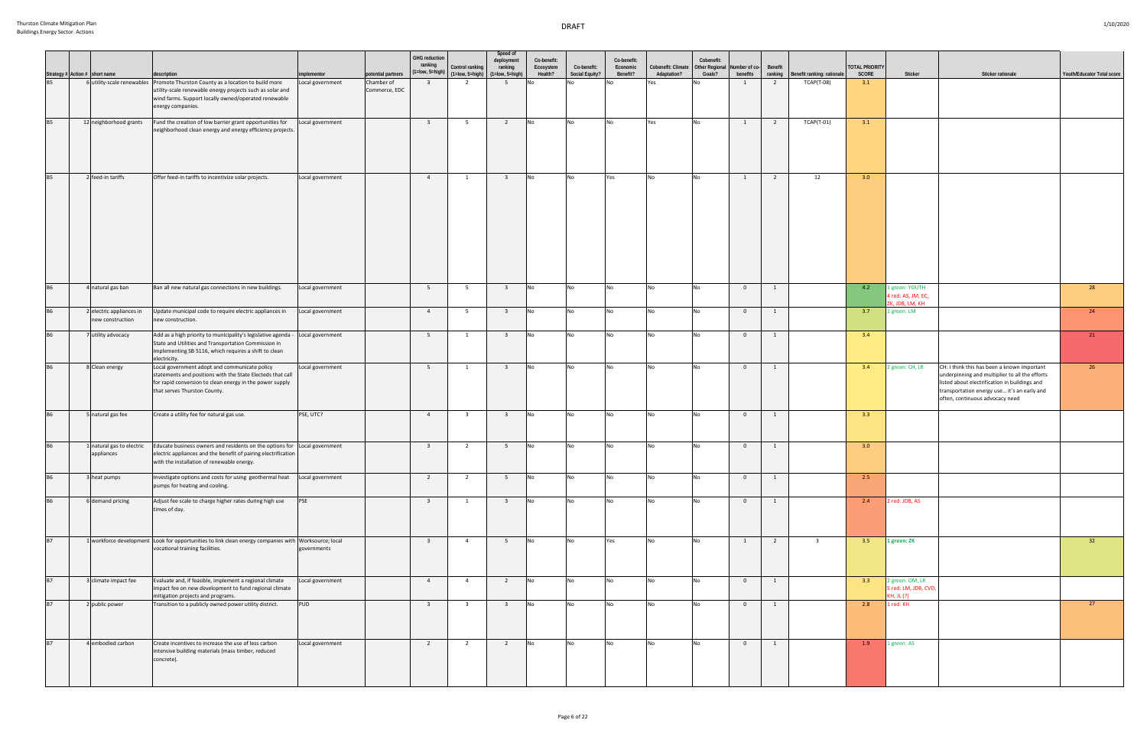|           |                                                                                   | description                                                                                                                                                                                                     | implementor      | potential partners          | <b>GHG</b> reduction<br>ranking | Control ranking<br>$(1 = low, 5 = high)$ $(1 = low, 5 = high)$ | Speed of<br>deployment<br>ranking<br>$(1=low, 5=high)$ | Co-benefit:<br>Ecosystem<br>Health? | Co-benefit:<br><b>Social Equity?</b> | Co-benefit:<br>Economic<br>Benefit? | Cobenefit: Climate<br>Adaptation? | Cobenefit:<br>Other Regional<br>Goals? | Number of co-<br>benefits | Benefit<br>ranking | Benefit ranking: rationale | <b>TOTAL PRIORITY</b><br>SCORE | Sticker                                                 | Sticker rationale                                                                                                                                                                                                                | Youth/Educator Total score |
|-----------|-----------------------------------------------------------------------------------|-----------------------------------------------------------------------------------------------------------------------------------------------------------------------------------------------------------------|------------------|-----------------------------|---------------------------------|----------------------------------------------------------------|--------------------------------------------------------|-------------------------------------|--------------------------------------|-------------------------------------|-----------------------------------|----------------------------------------|---------------------------|--------------------|----------------------------|--------------------------------|---------------------------------------------------------|----------------------------------------------------------------------------------------------------------------------------------------------------------------------------------------------------------------------------------|----------------------------|
|           | Strategy # Action # short name<br>B5 6 utility-scal<br>6 utility-scale renewables | Promote Thurston County as a location to build more<br>utility-scale renewable energy projects such as solar and<br>wind farms. Support locally owned/operated renewable<br>energy companies.                   | Local government | Chamber of<br>Commerce, EDC | $\overline{\mathbf{3}}$         | $\overline{2}$                                                 | 5 <sup>5</sup>                                         |                                     |                                      |                                     | Yes                               | No                                     | $\mathbf{1}$              | $\overline{2}$     | TCAP(T-08)                 | 3.1                            |                                                         |                                                                                                                                                                                                                                  |                            |
| <b>B5</b> | 12 neighborhood grants                                                            | Fund the creation of low barrier grant opportunities for<br>neighborhood clean energy and energy efficiency projects.                                                                                           | Local government |                             | $\overline{\mathbf{3}}$         | 5 <sup>5</sup>                                                 | $\overline{2}$                                         | No                                  | <b>No</b>                            | <b>No</b>                           | Yes                               | <b>No</b>                              | 1                         | $\overline{2}$     | <b>TCAP(T-01)</b>          | 3.1                            |                                                         |                                                                                                                                                                                                                                  |                            |
| <b>B5</b> | 2 feed-in tariffs                                                                 | Offer feed-in tariffs to incentivize solar projects.                                                                                                                                                            | Local government |                             | $\overline{4}$                  | 1                                                              | $\overline{\mathbf{3}}$                                | No                                  | <b>No</b>                            | Yes                                 |                                   | No                                     | 1                         | $\overline{2}$     | 12                         | 3.0                            |                                                         |                                                                                                                                                                                                                                  |                            |
| <b>B6</b> | 4 natural gas ban                                                                 | Ban all new natural gas connections in new buildings.                                                                                                                                                           | Local government |                             | 5 <sup>5</sup>                  | 5                                                              | $\overline{\mathbf{3}}$                                | <b>No</b>                           | <b>No</b>                            | No                                  |                                   | No                                     | $\overline{0}$            | 1                  |                            | 4.2                            | 1 green: YOUTH<br>4 red: AS, JM, EC,<br>ZK, JDB, LM, KH |                                                                                                                                                                                                                                  | 28                         |
| <b>B6</b> | 2 electric appliances in<br>new construction                                      | Update municipal code to require electric appliances in<br>new construction.                                                                                                                                    | Local government |                             | $\overline{4}$                  | 5                                                              | $\overline{\mathbf{3}}$                                | No                                  | <b>No</b>                            | <b>No</b>                           |                                   | <b>No</b>                              | $\mathbf{0}$              | 1                  |                            | 3.7                            | 1 green: LM                                             |                                                                                                                                                                                                                                  | 24                         |
| <b>B6</b> | 7 utility advocacy                                                                | Add as a high priority to municipality's legislative agenda - Local government<br>State and Utilities and Transportation Commission in<br>implementing SB 5116, which requires a shift to clean<br>electricity. |                  |                             | $5^{\circ}$                     | 1                                                              | $\overline{\mathbf{3}}$                                | No                                  | <b>No</b>                            | <b>No</b>                           | N <sub>0</sub>                    | No                                     | $\mathbf{0}$              | 1                  |                            | 3.4                            |                                                         |                                                                                                                                                                                                                                  | 21                         |
| <b>B6</b> | 8 Clean energy                                                                    | Local government adopt and communicate policy<br>statements and positions with the State Electeds that call<br>for rapid conversion to clean energy in the power supply<br>that serves Thurston County.         | Local government |                             | 5 <sup>5</sup>                  | 1                                                              | $\overline{\mathbf{3}}$                                | <b>No</b>                           | <b>No</b>                            | <b>No</b>                           |                                   | <b>No</b>                              | $\overline{0}$            | 1                  |                            | 3.4                            | 2 green: CH, LR                                         | CH: I think this has been a known important<br>underpinning and multiplier to all the efforts<br>listed about electrification in buildings and<br>transportation energy use it's an early and<br>often, continuous advocacy need | 26                         |
| <b>B6</b> | 5 natural gas fee                                                                 | Create a utility fee for natural gas use.                                                                                                                                                                       | PSE, UTC?        |                             | $\overline{4}$                  | $\overline{\mathbf{3}}$                                        | $\overline{\mathbf{3}}$                                | No                                  | <b>No</b>                            | <b>No</b>                           | N <sub>0</sub>                    | No                                     | $\overline{0}$            | 1                  |                            | 3.3                            |                                                         |                                                                                                                                                                                                                                  |                            |
| <b>B6</b> | 1 natural gas to electric<br>appliances                                           | Educate business owners and residents on the options for Local government<br>electric appliances and the benefit of pairing electrification<br>with the installation of renewable energy.                       |                  |                             | $\overline{\mathbf{3}}$         | $\overline{2}$                                                 | 5 <sup>5</sup>                                         | No                                  | <b>No</b>                            | <b>No</b>                           |                                   | <b>No</b>                              | $\overline{0}$            | 1                  |                            | 3.0                            |                                                         |                                                                                                                                                                                                                                  |                            |
| <b>B6</b> | 3 heat pumps                                                                      | Investigate options and costs for using geothermal heat Local government<br>pumps for heating and cooling.                                                                                                      |                  |                             | $\overline{2}$                  | 2                                                              | 5 <sup>5</sup>                                         | No                                  | No.                                  | No.                                 |                                   | No.                                    | $\overline{0}$            | 1                  |                            | 2.5                            |                                                         |                                                                                                                                                                                                                                  |                            |
| <b>B6</b> | 6 demand pricing                                                                  | Adjust fee scale to charge higher rates during high use<br>times of day.                                                                                                                                        | <b>PSE</b>       |                             | $\overline{\mathbf{3}}$         | $\mathbf{1}$                                                   | $\overline{\mathbf{3}}$                                | <b>No</b>                           | <b>No</b>                            | No                                  |                                   | No                                     | $\overline{0}$            | $\mathbf{1}$       |                            | 2.4                            | 2 red: JDB, AS                                          |                                                                                                                                                                                                                                  |                            |
| <b>B7</b> |                                                                                   | 1 workforce development Look for opportunities to link clean energy companies with Worksource; local<br>vocational training facilities.                                                                         | governments      |                             | $\overline{\mathbf{3}}$         | $\overline{4}$                                                 | 5 <sup>5</sup>                                         | No                                  | <b>No</b>                            | Yes                                 | <b>No</b>                         | <b>No</b>                              | $\mathbf{1}$              | $\overline{2}$     | $\overline{\mathbf{3}}$    | 3.5                            | 1 green: ZK                                             |                                                                                                                                                                                                                                  | 32                         |
| <b>B7</b> | 3 climate impact fee                                                              | Evaluate and, if feasible, implement a regional climate<br>impact fee on new development to fund regional climate<br>mitigation projects and programs.                                                          | Local government |                             | $\overline{4}$                  | $\overline{4}$                                                 | $\overline{2}$                                         | No                                  | <b>No</b>                            | <b>No</b>                           |                                   | <b>No</b>                              | $\overline{0}$            | 1                  |                            | 3.3                            | 2 green: OM, LR<br>5 red: LM, JDB, CVD,<br>KH. JL (?)   |                                                                                                                                                                                                                                  |                            |
| <b>B7</b> | 2 public power                                                                    | Transition to a publicly owned power utility district.                                                                                                                                                          | <b>PUD</b>       |                             | $\overline{\mathbf{3}}$         | $\overline{\mathbf{3}}$                                        | $\overline{\mathbf{3}}$                                | <b>No</b>                           | <b>No</b>                            | <b>No</b>                           |                                   | No                                     | $\overline{0}$            | 1                  |                            | 2.8                            | 1 red: KH                                               |                                                                                                                                                                                                                                  | 27                         |
| <b>B7</b> | 4 embodied carbon                                                                 | Create incentives to increase the use of less carbon<br>intensive building materials (mass timber, reduced<br>concrete).                                                                                        | Local government |                             | $\overline{2}$                  | $\overline{2}$                                                 | $\overline{2}$                                         | <b>No</b>                           | <b>No</b>                            | <b>No</b>                           | I No                              | <b>No</b>                              | $\overline{0}$            | 1                  |                            | 1.9                            | 1 green: AS                                             |                                                                                                                                                                                                                                  |                            |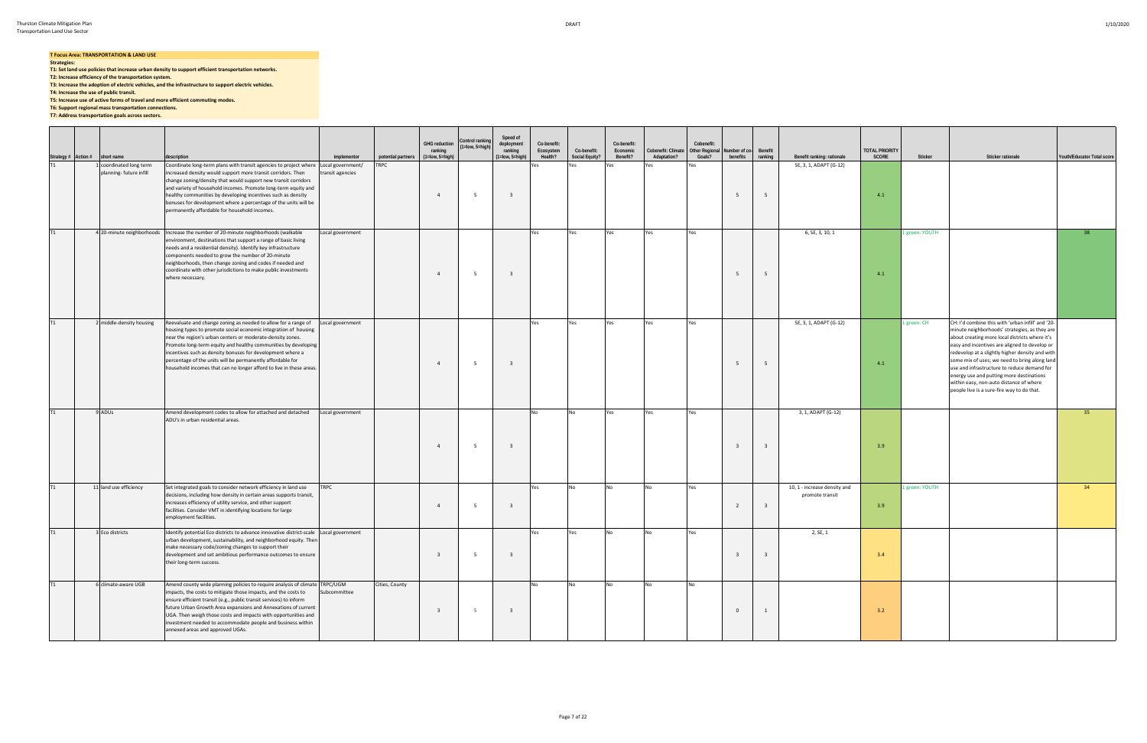#### **T Focus Area: TRANSPORTATION & LAND USE**

**Strategies: T1: Set land use policies that increase urban density to support efficient transportation networks.**

**T2: Increase efficiency of the transportation system.**

**T3: Increase the adoption of electric vehicles, and the infrastructure to support electric vehicles.**

**T4: Increase the use of public transit.**

**T5: Increase use of active forms of travel and more efficient commuting modes.**

**T6: Support regional mass transportation connections.**

**T7: Address transportation goals across sectors.**

|    | Strategy # $\left \text{Action}\right $ short name<br>T1 1 coordinated | description                                                                                                                                                                                                                                                                                                                                                                                                                                                                           | implementor      | potential partners | <b>GHG reduction</b><br>ranking<br>(1=low, 5=high) | Control ranking<br>(1=low, 5=high) | Speed of<br>deployment<br>ranking<br>(1=low, 5=high) | Co-benefit:<br>Ecosystem<br>Health? | Co-benefit:<br>Social Equity? | Co-benefit:<br>Economic<br>Benefit? | Cobenefit: Climate<br>Adaptation? | Cobenefit:<br><b>Other Regional</b><br>Goals? | Number of co-<br>benefits | Benefit<br>ranking      | Benefit ranking: rationale                      | <b>TOTAL PRIORITY</b><br>SCORE | Sticker        | Sticker rationale                                                                                                                                                                                                                                                                                                                                                                                                                                                                             | Youth/Educator Total score |
|----|------------------------------------------------------------------------|---------------------------------------------------------------------------------------------------------------------------------------------------------------------------------------------------------------------------------------------------------------------------------------------------------------------------------------------------------------------------------------------------------------------------------------------------------------------------------------|------------------|--------------------|----------------------------------------------------|------------------------------------|------------------------------------------------------|-------------------------------------|-------------------------------|-------------------------------------|-----------------------------------|-----------------------------------------------|---------------------------|-------------------------|-------------------------------------------------|--------------------------------|----------------|-----------------------------------------------------------------------------------------------------------------------------------------------------------------------------------------------------------------------------------------------------------------------------------------------------------------------------------------------------------------------------------------------------------------------------------------------------------------------------------------------|----------------------------|
|    | 1 coordinated long term<br>planning-future infill                      | Coordinate long-term plans with transit agencies to project where Local government/<br>increased density would support more transit corridors. Then<br>change zoning/density that would support new transit corridors<br>and variety of household incomes. Promote long-term equity and<br>healthy communities by developing incentives such as density<br>bonuses for development where a percentage of the units will be<br>permanently affordable for household incomes.           | transit agencies | TRPC               | $\overline{4}$                                     | - 5                                | $\overline{\mathbf{3}}$                              | Yes                                 | Yes                           | Yes                                 | Yes                               | Yes                                           |                           | 5                       | SE, 3, 1, ADAPT (G-12)                          | 4.1                            |                |                                                                                                                                                                                                                                                                                                                                                                                                                                                                                               |                            |
| T1 | 4 20-minute neighborhoods                                              | Increase the number of 20-minute neighborhoods (walkable<br>environment, destinations that support a range of basic living<br>needs and a residential density). Identify key infrastructure<br>components needed to grow the number of 20-minute<br>neighborhoods, then change zoning and codes if needed and<br>coordinate with other jurisdictions to make public investments<br>where necessary.                                                                                   | Local government |                    | $\overline{4}$                                     | - 5                                |                                                      | Yes                                 | Yes                           | Yes                                 | Yes                               | Yes                                           |                           | 5                       | 6, SE, 3, 10, 1                                 | 4.1                            | 1 green: YOUTH |                                                                                                                                                                                                                                                                                                                                                                                                                                                                                               | 38                         |
| T1 | 2 middle-density housing                                               | Reevaluate and change zoning as needed to allow for a range of Local government<br>housing types to promote social economic integration of housing<br>near the region's urban centers or moderate-density zones.<br>Promote long-term equity and healthy communities by developing<br>incentives such as density bonuses for development where a<br>percentage of the units will be permanently affordable for<br>household incomes that can no longer afford to live in these areas. |                  |                    | $\overline{4}$                                     | - 5                                |                                                      | Yes                                 | Yes                           | Yes                                 | Yes                               | Yes                                           | -5                        | 5                       | SE, 3, 1, ADAPT (G-12)                          | 4.1                            | 1 green: CH    | CH: I'd combine this with 'urban infill' and '20-<br>minute neighborhoods' strategies, as they are<br>about creating more local districts where it's<br>easy and incentives are aligned to develop or<br>redevelop at a slightly higher density and with<br>some mix of uses; we need to bring along land<br>use and infrastructure to reduce demand for<br>energy use and putting more destinations<br>within easy, non-auto distance of where<br>people live is a sure-fire way to do that. |                            |
| T1 | 9 ADUs                                                                 | Amend development codes to allow for attached and detached<br>ADU's in urban residential areas.                                                                                                                                                                                                                                                                                                                                                                                       | Local government |                    | $\overline{4}$                                     | - 5                                |                                                      | No                                  | No                            | Yes                                 | Yes                               | Yes                                           | - 3                       | $\overline{3}$          | 3, 1, ADAPT (G-12)                              | 3.9                            |                |                                                                                                                                                                                                                                                                                                                                                                                                                                                                                               | 35                         |
| T1 | 11 land use efficiency                                                 | Set integrated goals to consider network efficiency in land use<br>decisions, including how density in certain areas supports transit,<br>increases efficiency of utility service, and other support<br>facilities. Consider VMT in identifying locations for large<br>employment facilities.                                                                                                                                                                                         | <b>TRPC</b>      |                    | $\overline{4}$                                     | 5                                  | $\overline{\mathbf{3}}$                              | Yes                                 | No                            | No                                  | No.                               | Yes                                           | $\overline{2}$            | $\overline{\mathbf{3}}$ | 10, 1 - increase density and<br>promote transit | 3.9                            | 1 green: YOUTH |                                                                                                                                                                                                                                                                                                                                                                                                                                                                                               | 34                         |
| T1 | 3 Eco districts                                                        | Identify potential Eco districts to advance innovative district-scale Local government<br>urban development, sustainability, and neighborhood equity. Then<br>make necessary code/zoning changes to support their<br>development and set ambitious performance outcomes to ensure<br>their long-term success.                                                                                                                                                                         |                  |                    | $\overline{3}$                                     |                                    |                                                      | Yes                                 | Yes                           | No                                  |                                   | Yes                                           | $\overline{\mathbf{3}}$   | $\overline{\mathbf{3}}$ | 2, SE, 1                                        | 3.4                            |                |                                                                                                                                                                                                                                                                                                                                                                                                                                                                                               |                            |
| T1 | 6 climate-aware UGB                                                    | Amend county wide planning policies to require analysis of climate TRPC/UGM<br>impacts, the costs to mitigate those impacts, and the costs to<br>ensure efficient transit (e.g., public transit services) to inform<br>future Urban Growth Area expansions and Annexations of current<br>UGA. Then weigh those costs and impacts with opportunities and<br>investment needed to accommodate people and business within<br>annexed areas and approved UGAs.                            | Subcommittee     | Cities, County     | $\overline{3}$                                     |                                    | $\overline{\mathbf{3}}$                              | No                                  | <b>No</b>                     | No                                  | <b>No</b>                         | No                                            | $\overline{0}$            | 1                       |                                                 | 3.2                            |                |                                                                                                                                                                                                                                                                                                                                                                                                                                                                                               |                            |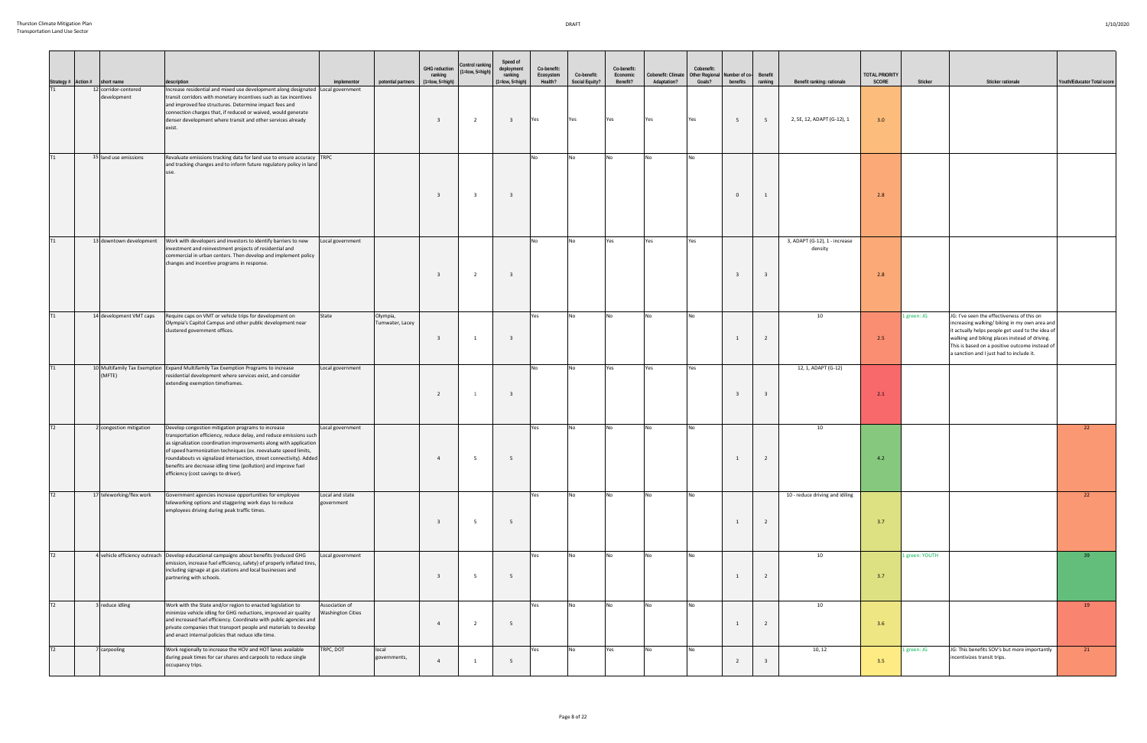$\blacksquare$ 

|           | Strategy # Action # | short name                          | description                                                                                                                                                                                                                                                                                                                                                                                                                                       | implementor                                | potential partners          | <b>GHG reduction</b><br>ranking<br>$(1 = low, 5 = high)$ | Control ranking<br>$(1 = low, 5 = high)$ | Speed of<br>deployment<br>ranking<br>$(1 = low, 5 = high)$ | Co-benefit:<br>Ecosystem<br>Health? | Co-benefit:<br>Social Equity? | Co-benefit:<br>Economic<br>Benefit? | Cobenefit: Climate   Other Regional   Number of co-<br>Adaptation? | Cobenefit:<br>Goals? | benefits                | Benefit<br>ranking      | Benefit ranking: rationale               | <b>TOTAL PRIORITY</b><br>SCORE | Sticker        | Sticker rationale                                                                                                                                                                                                                                                                             | Youth/Educator Total score |
|-----------|---------------------|-------------------------------------|---------------------------------------------------------------------------------------------------------------------------------------------------------------------------------------------------------------------------------------------------------------------------------------------------------------------------------------------------------------------------------------------------------------------------------------------------|--------------------------------------------|-----------------------------|----------------------------------------------------------|------------------------------------------|------------------------------------------------------------|-------------------------------------|-------------------------------|-------------------------------------|--------------------------------------------------------------------|----------------------|-------------------------|-------------------------|------------------------------------------|--------------------------------|----------------|-----------------------------------------------------------------------------------------------------------------------------------------------------------------------------------------------------------------------------------------------------------------------------------------------|----------------------------|
| T1        |                     | 12 corridor-centered<br>development | Increase residential and mixed use development along designated Local government<br>transit corridors with monetary incentives such as tax incentives<br>and improved fee structures. Determine impact fees and<br>connection charges that, if reduced or waived, would generate<br>denser development where transit and other services already<br>exist.                                                                                         |                                            |                             | $\overline{\mathbf{3}}$                                  | $\overline{2}$                           | $\overline{\mathbf{3}}$                                    | <b>Yes</b>                          | Yes                           | Yes                                 |                                                                    | <b>Yes</b>           | 5 <sup>5</sup>          | 5 <sup>5</sup>          | 2, SE, 12, ADAPT (G-12), 1               | 3.0                            |                |                                                                                                                                                                                                                                                                                               |                            |
| T1        |                     | 15 land use emissions               | Revaluate emissions tracking data for land use to ensure accuracy TRPC<br>and tracking changes and to inform future regulatory policy in land                                                                                                                                                                                                                                                                                                     |                                            |                             | $\mathbf{3}$                                             | - 3                                      | -3                                                         | No                                  | N <sub>O</sub>                | No                                  | l No                                                               | No                   | $\Omega$                | 1                       |                                          | 2.8                            |                |                                                                                                                                                                                                                                                                                               |                            |
| T1        |                     | 13 downtown development             | Work with developers and investors to identify barriers to new<br>investment and reinvestment projects of residential and<br>commercial in urban centers. Then develop and implement policy<br>changes and incentive programs in response.                                                                                                                                                                                                        | Local government                           |                             | $\overline{\mathbf{3}}$                                  | $\overline{2}$                           | - 3                                                        | No                                  | <b>No</b>                     | Yes                                 | Yes                                                                | Yes                  | $\overline{\mathbf{3}}$ | $\overline{\mathbf{3}}$ | 3, ADAPT (G-12), 1 - increase<br>density | 2.8                            |                |                                                                                                                                                                                                                                                                                               |                            |
| T1        |                     | 14 development VMT caps             | Require caps on VMT or vehicle trips for development on<br>Olympia's Capitol Campus and other public development near<br>clustered government offices.                                                                                                                                                                                                                                                                                            | State                                      | Olympia,<br>Tumwater, Lacey |                                                          | -1                                       | $\overline{\mathbf{3}}$                                    | Yes                                 | <b>No</b>                     | No                                  | No.                                                                | <b>No</b>            | $\overline{1}$          | $\overline{2}$          | 10                                       | 2.5                            | 1 green: JG    | JG: I've seen the effectiveness of this on<br>increasing walking/biking in my own area and<br>it actually helps people get used to the idea of<br>walking and biking places instead of driving.<br>This is based on a positive outcome instead of<br>a sanction and I just had to include it. |                            |
| <b>T1</b> |                     | (MFTE)                              | 10 Multifamily Tax Exemption Expand Multifamily Tax Exemption Programs to increase<br>residential development where services exist, and consider<br>extending exemption timeframes.                                                                                                                                                                                                                                                               | Local government                           |                             | 2                                                        | 1                                        | $\overline{\mathbf{3}}$                                    | No                                  | No                            | Yes                                 | Yes                                                                | Yes                  | $_{\rm 3}$              | $\overline{\mathbf{3}}$ | 12, 1, ADAPT (G-12)                      | 2.1                            |                |                                                                                                                                                                                                                                                                                               |                            |
| T2        |                     | 2 congestion mitigation             | Develop congestion mitigation programs to increase<br>transportation efficiency, reduce delay, and reduce emissions such<br>as signalization coordination improvements along with application<br>of speed harmonization techniques (ex. reevaluate speed limits,<br>roundabouts vs signalized intersection, street connectivity). Added<br>benefits are decrease idling time (pollution) and improve fuel<br>efficiency (cost savings to driver). | Local government                           |                             | $\overline{4}$                                           | - 5                                      | - 5                                                        | Yes                                 | <b>No</b>                     | No                                  | l No                                                               |                      | $\overline{1}$          | $\overline{2}$          | 10                                       | 4.2                            |                |                                                                                                                                                                                                                                                                                               | 22                         |
| T2        |                     | 17 teleworking/flex work            | Government agencies increase opportunities for employee<br>teleworking options and staggering work days to reduce<br>employees driving during peak traffic times.                                                                                                                                                                                                                                                                                 | Local and state<br>government              |                             | $\overline{\mathbf{3}}$                                  | - 5                                      | - 5                                                        | Yes                                 | No                            | <b>No</b>                           | No.                                                                | <b>No</b>            | $\overline{1}$          | $\overline{2}$          | 10 - reduce driving and idiling          | 3.7                            |                |                                                                                                                                                                                                                                                                                               | 22                         |
| T2        |                     |                                     | 4 vehicle efficiency outreach Develop educational campaigns about benefits (reduced GHG<br>emission, increase fuel efficiency, safety) of properly inflated tires,<br>including signage at gas stations and local businesses and<br>partnering with schools.                                                                                                                                                                                      | Local government                           |                             | $\overline{\mathbf{3}}$                                  | 5                                        | 5                                                          | Yes                                 | <b>No</b>                     | <b>No</b>                           | <b>No</b>                                                          | No                   | $\overline{1}$          | $\overline{2}$          | 10                                       | 3.7                            | 1 green: YOUTH |                                                                                                                                                                                                                                                                                               | 39                         |
| T2        |                     | 3 reduce idling                     | Work with the State and/or region to enacted legislation to<br>minimize vehicle idling for GHG reductions, improved air quality<br>and increased fuel efficiency. Coordinate with public agencies and<br>private companies that transport people and materials to develop<br>and enact internal policies that reduce idle time.                                                                                                                   | Association of<br><b>Washington Cities</b> |                             | $\overline{4}$                                           | $\overline{2}$                           | - 5                                                        | Yes                                 | No                            | No                                  | No.                                                                | <b>No</b>            | 1                       | $\overline{2}$          | 10                                       | 3.6                            |                |                                                                                                                                                                                                                                                                                               | 19                         |
| T2        |                     | 7 carpooling                        | Work regionally to increase the HOV and HOT lanes available<br>during peak times for car shares and carpools to reduce single<br>occupancy trips.                                                                                                                                                                                                                                                                                                 | TRPC, DOT                                  | local<br>governments,       | $\overline{4}$                                           |                                          | - 5                                                        | Yes                                 | No                            | Yes                                 | No.                                                                |                      | $\overline{2}$          | $\overline{\mathbf{a}}$ | 10, 12                                   | 3.5                            | 1 green: JG    | JG: This benefits SOV's but more importantly<br>incentivizes transit trips.                                                                                                                                                                                                                   | 21                         |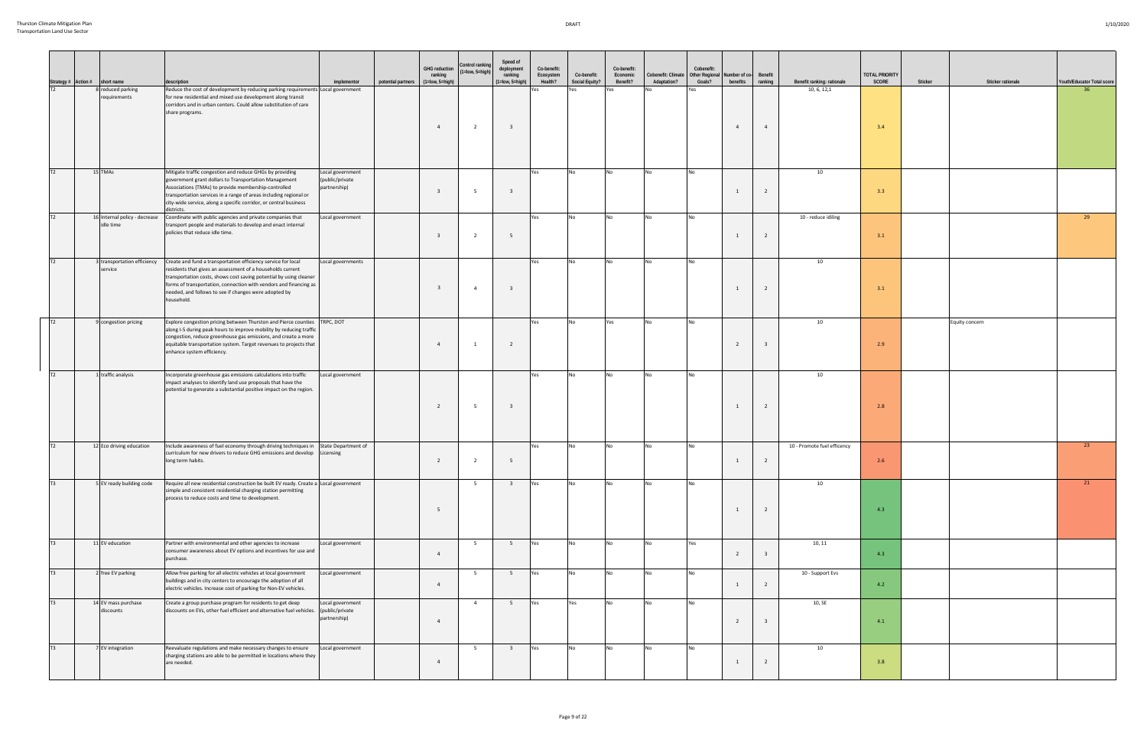| Strategy # Action # short name |                                            | description                                                                                                                                                                                                                                                                                                                                                               | implementor                                         | GHG reduction<br>ranking<br>potential partners (1=low, 5=high) | Control ranking<br>$(1 = low, 5 = high)$ | Speed of<br>deployment<br>ranking<br>$(1 = low, 5 = high)$ | Co-benefit:<br>Ecosystem<br>Health? | Co-benefit:<br>Social Equity? | Co-benefit:<br>Economic<br>Benefit? | Cobenefit: Climate<br>Adaptation? | Cobenefit:<br>Other Regional Number of co-<br>Goals? | benefits       | Benefit<br>ranking      | Benefit ranking: rationale  | <b>TOTAL PRIORITY</b><br><b>SCORE</b> | Sticker | Sticker rationale | Youth/Educator Total score |
|--------------------------------|--------------------------------------------|---------------------------------------------------------------------------------------------------------------------------------------------------------------------------------------------------------------------------------------------------------------------------------------------------------------------------------------------------------------------------|-----------------------------------------------------|----------------------------------------------------------------|------------------------------------------|------------------------------------------------------------|-------------------------------------|-------------------------------|-------------------------------------|-----------------------------------|------------------------------------------------------|----------------|-------------------------|-----------------------------|---------------------------------------|---------|-------------------|----------------------------|
| T <sub>2</sub>                 | 8 reduced parking<br>requirements          | Reduce the cost of development by reducing parking requirements Local government<br>for new residential and mixed use development along transit<br>corridors and in urban centers. Could allow substitution of care<br>share programs.                                                                                                                                    |                                                     | $\overline{4}$                                                 | $\overline{2}$                           | $\overline{\mathbf{3}}$                                    | Yes                                 | Yes                           | Yes                                 |                                   | Yes                                                  | $\overline{a}$ | $\overline{4}$          | 10, 6, 12,1                 | 3.4                                   |         |                   |                            |
| T <sub>2</sub>                 | 15 TMAs                                    | Mitigate traffic congestion and reduce GHGs by providing<br>government grant dollars to Transportation Management<br>Associations (TMAs) to provide membership-controlled<br>transportation services in a range of areas including regional or<br>city-wide service, along a specific corridor, or central business<br>districts.                                         | Local government<br>(public/private<br>partnership) |                                                                | - 5                                      | - 3                                                        | Yes                                 | <b>No</b>                     | N <sub>0</sub>                      | <b>No</b>                         | No                                                   |                | $\overline{2}$          | 10                          | 3.3                                   |         |                   |                            |
| T2                             | 16 Internal policy - decrease<br>idle time | Coordinate with public agencies and private companies that<br>transport people and materials to develop and enact internal<br>policies that reduce idle time.                                                                                                                                                                                                             | Local government                                    |                                                                | $\overline{2}$                           | - 5                                                        | Yes                                 | <b>No</b>                     | <b>No</b>                           | <b>No</b>                         | <b>No</b>                                            |                | $\overline{2}$          | 10 - reduce idiling         | 3.1                                   |         |                   | 29                         |
| T2                             | service                                    | 3 transportation efficiency Create and fund a transportation efficiency service for local<br>residents that gives an assessment of a households current<br>transportation costs, shows cost saving potential by using cleaner<br>forms of transportation, connection with vendors and financing as<br>needed, and follows to see if changes were adopted by<br>household. | Local governments                                   | $\overline{\mathbf{3}}$                                        | $\overline{4}$                           | $\overline{\mathbf{3}}$                                    | Yes                                 | <b>No</b>                     | <b>No</b>                           | <b>No</b>                         | No.                                                  |                | $\overline{2}$          | 10                          | 3.1                                   |         |                   |                            |
| T <sub>2</sub>                 | 9 congestion pricing                       | Explore congestion pricing between Thurston and Pierce counties TRPC, DOT<br>along I-5 during peak hours to improve mobility by reducing traffic<br>congestion, reduce greenhouse gas emissions, and create a more<br>equitable transportation system. Target revenues to projects that<br>enhance system efficiency.                                                     |                                                     | $\overline{4}$                                                 | 1                                        | $\overline{2}$                                             | Yes                                 | <b>No</b>                     | Yes                                 | <b>No</b>                         |                                                      | $\overline{2}$ | $\overline{3}$          | 10                          | 2.9                                   |         | Equity concern    |                            |
| T2                             | 1 traffic analysis                         | Incorporate greenhouse gas emissions calculations into traffic<br>impact analyses to identify land use proposals that have the<br>potential to generate a substantial positive impact on the region.                                                                                                                                                                      | Local government                                    | $\overline{2}$                                                 | 5                                        | $\overline{\mathbf{3}}$                                    | Yes                                 | No                            | N <sub>0</sub>                      | <b>No</b>                         |                                                      |                | $\overline{2}$          | 10                          | 2.8                                   |         |                   |                            |
| T2                             | 12 Eco driving education                   | Include awareness of fuel economy through driving techniques in<br>curriculum for new drivers to reduce GHG emissions and develop Licensing<br>long term habits.                                                                                                                                                                                                          | State Department of                                 | $\overline{2}$                                                 | $\overline{2}$                           | - 5                                                        | Yes                                 | No                            | No.                                 | I No                              | N∩                                                   |                | $\overline{2}$          | 10 - Promote fuel efficency | 2.6                                   |         |                   | 23                         |
| T <sub>3</sub>                 | 5 EV ready building code                   | Require all new residential construction be built EV ready. Create a Local government<br>simple and consistent residential charging station permitting<br>process to reduce costs and time to development.                                                                                                                                                                |                                                     | - 5                                                            | - 5                                      | $\overline{\mathbf{3}}$                                    | Yes                                 | No                            |                                     |                                   |                                                      | -1             | $\overline{2}$          | 10                          | 4.3                                   |         |                   | 21                         |
| T <sub>3</sub>                 | 11 EV education                            | Partner with environmental and other agencies to increase<br>consumer awareness about EV options and incentives for use and<br>purchase.                                                                                                                                                                                                                                  | Local government                                    | $\overline{4}$                                                 | 5                                        | 5 <sup>5</sup>                                             | <b>Yes</b>                          | No                            | N <sub>0</sub>                      | <b>No</b>                         | Yes                                                  | $\overline{2}$ | $\overline{\mathbf{3}}$ | 10, 11                      | 4.3                                   |         |                   |                            |
| T <sub>3</sub>                 | 2 free EV parking                          | Allow free parking for all electric vehicles at local government<br>buildings and in city centers to encourage the adoption of all<br>electric vehicles. Increase cost of parking for Non-EV vehicles.                                                                                                                                                                    | Local government                                    | $\overline{4}$                                                 | 5                                        | 5 <sup>5</sup>                                             | Yes                                 | <b>No</b>                     | No                                  | <b>No</b>                         | No                                                   |                | $\overline{2}$          | 10 - Support Evs            | 4.2                                   |         |                   |                            |
| T <sub>3</sub>                 | 14 EV mass purchase<br>discounts           | Create a group purchase program for residents to get deep<br>discounts on EVs, other fuel efficient and alternative fuel vehicles.                                                                                                                                                                                                                                        | Local government<br>(public/private<br>partnership) | $\overline{4}$                                                 | $\overline{4}$                           | 5 <sup>5</sup>                                             | Yes                                 | Yes                           | No                                  | <b>No</b>                         | <b>No</b>                                            | $\overline{2}$ | $\overline{\mathbf{3}}$ | 10, SE                      | 4.1                                   |         |                   |                            |
| T <sub>3</sub>                 | 7 EV integration                           | Reevaluate regulations and make necessary changes to ensure<br>charging stations are able to be permitted in locations where they<br>are needed.                                                                                                                                                                                                                          | Local government                                    | $\overline{4}$                                                 | 5                                        | $\overline{\mathbf{3}}$                                    | Yes                                 | No                            | N <sub>o</sub>                      | <b>No</b>                         |                                                      |                | $\overline{2}$          | 10                          | 3.8                                   |         |                   |                            |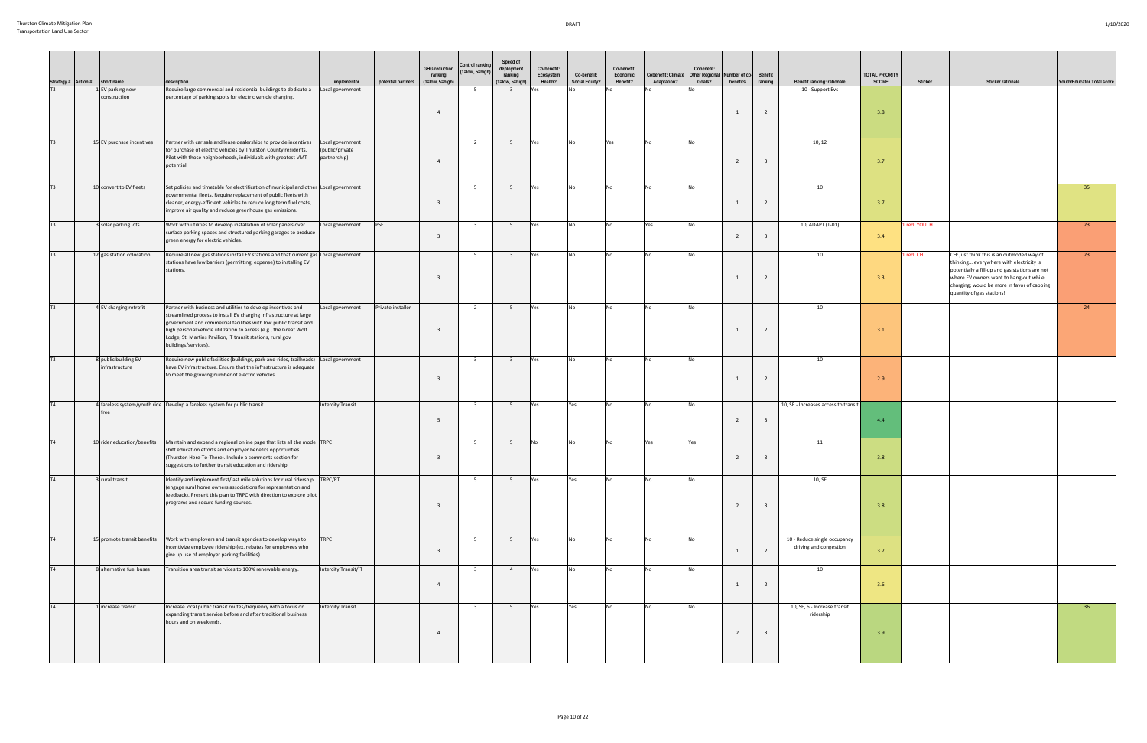| Strategy # Action # | short name                             | description                                                                                                                                                                                                                                                                                                                                                         | implementor                                        | potential partners | <b>GHG reduction</b><br>ranking<br>$(1 = low, 5 = high)$ | Control ranking<br>(1=low, 5=high | Speed of<br>deployment<br>ranking<br>(1=low, 5=high) | Co-benefit:<br>Ecosystem<br>Health? | Co-benefit:<br>Social Equity? | Co-benefit:<br>Economic<br>Benefit? | Cobenefit: Climate   Other Regional   Number of co-<br>Adaptation? | Cobenefit:<br>Goals? | benefits       | Benefit<br>ranking      | Benefit ranking: rationale                             | <b>TOTAL PRIORITY</b><br><b>SCORE</b> | Sticker      | Sticker rationale                                                                                                                                                                                                                                            | Youth/Educator Total score |
|---------------------|----------------------------------------|---------------------------------------------------------------------------------------------------------------------------------------------------------------------------------------------------------------------------------------------------------------------------------------------------------------------------------------------------------------------|----------------------------------------------------|--------------------|----------------------------------------------------------|-----------------------------------|------------------------------------------------------|-------------------------------------|-------------------------------|-------------------------------------|--------------------------------------------------------------------|----------------------|----------------|-------------------------|--------------------------------------------------------|---------------------------------------|--------------|--------------------------------------------------------------------------------------------------------------------------------------------------------------------------------------------------------------------------------------------------------------|----------------------------|
| T3                  | EV parking new<br>construction         | Require large commercial and residential buildings to dedicate a<br>percentage of parking spots for electric vehicle charging.                                                                                                                                                                                                                                      | Local government                                   |                    | $\overline{4}$                                           | 5                                 | $\overline{\mathbf{3}}$                              |                                     |                               |                                     |                                                                    |                      | $\overline{1}$ | $\overline{2}$          | 10 - Support Evs                                       | 3.8                                   |              |                                                                                                                                                                                                                                                              |                            |
| T3                  | 15 EV purchase incentives              | Partner with car sale and lease dealerships to provide incentives<br>for purchase of electric vehicles by Thurston County residents.<br>Pilot with those neighborhoods, individuals with greatest VMT<br>potential.                                                                                                                                                 | Local government<br>public/private<br>partnership) |                    | $\overline{4}$                                           | $\overline{2}$                    | 5 <sup>5</sup>                                       | Yes                                 | No                            | Yes                                 | No.                                                                | <b>No</b>            | $\overline{2}$ | -3                      | 10, 12                                                 | 3.7                                   |              |                                                                                                                                                                                                                                                              |                            |
| T3                  | 10 convert to EV fleets                | Set policies and timetable for electrification of municipal and other Local government<br>governmental fleets. Require replacement of public fleets with<br>cleaner, energy-efficient vehicles to reduce long term fuel costs,<br>improve air quality and reduce greenhouse gas emissions.                                                                          |                                                    |                    | $\mathbf{3}$                                             | 5 <sup>5</sup>                    | 5 <sup>5</sup>                                       | Yes                                 | No                            | <b>No</b>                           | N <sub>o</sub>                                                     | <b>No</b>            | $\overline{1}$ | $\overline{2}$          | 10                                                     | 3.7                                   |              |                                                                                                                                                                                                                                                              | 35                         |
| T3                  | 3 solar parking lots                   | Work with utilities to develop installation of solar panels over<br>surface parking spaces and structured parking garages to produce<br>green energy for electric vehicles.                                                                                                                                                                                         | Local government                                   | <b>PSE</b>         | $\overline{3}$                                           | $\overline{\mathbf{3}}$           | 5 <sup>5</sup>                                       | Yes                                 | No                            | <b>No</b>                           | Yes                                                                | <b>No</b>            | $\overline{2}$ |                         | 10, ADAPT (T-01)                                       | 3.4                                   | I red: YOUTH |                                                                                                                                                                                                                                                              | 23                         |
| T3                  | 12 gas station colocation              | Require all new gas stations install EV stations and that current gas Local government<br>stations have low barriers (permitting, expense) to installing EV<br>stations.                                                                                                                                                                                            |                                                    |                    | $\overline{3}$                                           | 5 <sup>5</sup>                    | $\overline{\mathbf{3}}$                              | Yes                                 | No                            | <b>No</b>                           | <b>No</b>                                                          | <b>INC</b>           | $\overline{1}$ | 2                       | 10                                                     | 3.3                                   | 1 red: CH    | CH: just think this is an outmoded way of<br>thinking everywhere with electricity is<br>potentially a fill-up and gas stations are not<br>where EV owners want to hang-out while<br>charging; would be more in favor of capping<br>quantity of gas stations! | 23                         |
| T3                  | 4 EV charging retrofit                 | Partner with business and utilities to develop incentives and<br>streamlined process to install EV charging infrastructure at large<br>government and commercial facilities with low public transit and<br>high personal vehicle utilization to access (e.g., the Great Wolf<br>Lodge, St. Martins Pavilion, IT transit stations, rural gov<br>buildings/services). | Local government                                   | Private installer  | $\overline{\mathbf{3}}$                                  | $\overline{2}$                    | 5 <sup>5</sup>                                       | Yes                                 | <b>No</b>                     | <b>No</b>                           | No                                                                 | <b>No</b>            | $\overline{1}$ | $\overline{2}$          | 10                                                     | 3.1                                   |              |                                                                                                                                                                                                                                                              | 24                         |
| T3                  | 8 public building EV<br>infrastructure | Require new public facilities (buildings, park-and-rides, trailheads)<br>have EV infrastructure. Ensure that the infrastructure is adequate<br>to meet the growing number of electric vehicles.                                                                                                                                                                     | Local government                                   |                    | $\overline{\mathbf{3}}$                                  | $\overline{\mathbf{3}}$           | $\overline{\mathbf{3}}$                              | Yes                                 | <b>No</b>                     | <b>No</b>                           | No.                                                                | <b>No</b>            | $\overline{1}$ | 2                       | 10                                                     | 2.9                                   |              |                                                                                                                                                                                                                                                              |                            |
| <b>T4</b>           | free                                   | 4 fareless system/youth ride Develop a fareless system for public transit.                                                                                                                                                                                                                                                                                          | <b>Intercity Transit</b>                           |                    | - 5                                                      | $\overline{\mathbf{3}}$           | 5                                                    | <b>Yes</b>                          | Yes                           | No                                  |                                                                    | IN <sub>C</sub>      | $\overline{2}$ | - 3                     | 10, SE - Increases access to transit                   | 4.4                                   |              |                                                                                                                                                                                                                                                              |                            |
| <b>T4</b>           | 10 rider education/benefits            | Maintain and expand a regional online page that lists all the mode TRPC<br>shift education efforts and employer benefits opportunties<br>(Thurston Here-To-There). Include a comments section for<br>suggestions to further transit education and ridership.                                                                                                        |                                                    |                    | $\overline{\mathbf{3}}$                                  | 5 <sup>5</sup>                    | 5 <sup>5</sup>                                       | No                                  | No                            | No                                  | Yes                                                                | Yes                  | $\overline{2}$ |                         | 11                                                     | 3.8                                   |              |                                                                                                                                                                                                                                                              |                            |
| T4                  | I rural transit                        | Identify and implement first/last mile solutions for rural ridership<br>(engage rural home owners associations for representation and<br>feedback). Present this plan to TRPC with direction to explore pilot<br>programs and secure funding sources.                                                                                                               | TRPC/RT                                            |                    | $\overline{3}$                                           | $5^{\circ}$                       | 5 <sup>5</sup>                                       | Yes                                 | Yes                           | <b>No</b>                           | l N∩                                                               | INo.                 | $\overline{2}$ | $\overline{\mathbf{3}}$ | 10, SE                                                 | 3.8                                   |              |                                                                                                                                                                                                                                                              |                            |
| <b>T4</b>           | 15 promote transit benefits            | Work with employers and transit agencies to develop ways to<br>incentivize employee ridership (ex. rebates for employees who<br>give up use of employer parking facilities).                                                                                                                                                                                        | <b>TRPC</b>                                        |                    | $\overline{3}$                                           | 5 <sup>5</sup>                    | 5 <sub>1</sub>                                       | Yes                                 | <b>No</b>                     | <b>No</b>                           | No.                                                                | <b>No</b>            | $\mathbf{1}$   | $\overline{2}$          | 10 - Reduce single occupancy<br>driving and congestion | 3.7                                   |              |                                                                                                                                                                                                                                                              |                            |
| T4                  | 8 alternative fuel buses               | Transition area transit services to 100% renewable energy.                                                                                                                                                                                                                                                                                                          | Intercity Transit/IT                               |                    | $\overline{4}$                                           | $\overline{\mathbf{3}}$           | $\overline{4}$                                       | Yes                                 | <b>No</b>                     | <b>No</b>                           | <b>No</b>                                                          | <b>No</b>            | $\overline{1}$ | $\overline{2}$          | 10                                                     | 3.6                                   |              |                                                                                                                                                                                                                                                              |                            |
| T4                  | increase transit                       | Increase local public transit routes/frequency with a focus on<br>expanding transit service before and after traditional business<br>hours and on weekends.                                                                                                                                                                                                         | <b>Intercity Transit</b>                           |                    | $\overline{4}$                                           | $\overline{\mathbf{3}}$           | 5 <sub>1</sub>                                       | Yes                                 | Yes                           | <b>No</b>                           | No.                                                                | <b>No</b>            | $\overline{2}$ | $\overline{\mathbf{3}}$ | 10, SE, 6 - Increase transit<br>ridership              | 3.9                                   |              |                                                                                                                                                                                                                                                              | 36                         |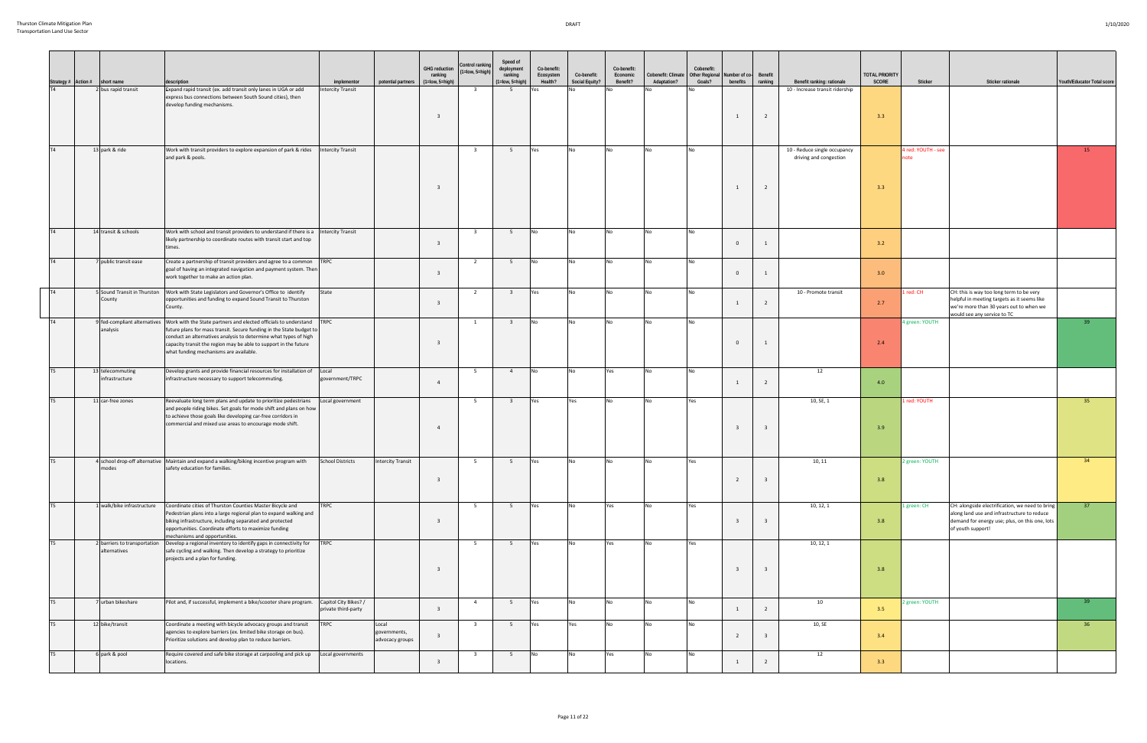|                 | Strategy # Action # short name               | description                                                                                                                                                                                                                                                                                                                                               | implementor                                  | potential partners (1=low, 5=high)       | <b>GHG reduction</b><br>ranking | Control ranking<br>1=low, 5=high) | Speed of<br>deployment<br>ranking<br>$(1 = low, 5 = high)$ | Co-benefit:<br>Ecosystem<br>Health? | Co-benefit:<br>Social Equity? | Co-benefit:<br>Economic<br>Benefit? | Cobenefit: Climate<br>Adaptation? | Cobenefit:<br>Other Regional Number of co-<br>Goals? | benefits ranking | Benefit                 | Benefit ranking: rationale                             | <b>TOTAL PRIORITY</b><br>SCORE | Sticker                    | Sticker rationale                                                                                                                                                     | Youth/Educator Total score |
|-----------------|----------------------------------------------|-----------------------------------------------------------------------------------------------------------------------------------------------------------------------------------------------------------------------------------------------------------------------------------------------------------------------------------------------------------|----------------------------------------------|------------------------------------------|---------------------------------|-----------------------------------|------------------------------------------------------------|-------------------------------------|-------------------------------|-------------------------------------|-----------------------------------|------------------------------------------------------|------------------|-------------------------|--------------------------------------------------------|--------------------------------|----------------------------|-----------------------------------------------------------------------------------------------------------------------------------------------------------------------|----------------------------|
| T4              | 2 bus rapid transit                          | Expand rapid transit (ex. add transit only lanes in UGA or add<br>express bus connections between South Sound cities), then<br>develop funding mechanisms.                                                                                                                                                                                                | <b>Intercity Transit</b>                     |                                          | -3                              | $\overline{\mathbf{3}}$           | 5                                                          | 'es                                 |                               |                                     |                                   |                                                      |                  | $\overline{2}$          | 10 - Increase transit ridership                        | 3.3                            |                            |                                                                                                                                                                       |                            |
| T4              | 13 park & ride                               | Work with transit providers to explore expansion of park & rides<br>and park & pools.                                                                                                                                                                                                                                                                     | <b>Intercity Transit</b>                     |                                          | -3                              | $\overline{\mathbf{3}}$           | 5 <sup>5</sup>                                             | Yes                                 | <b>No</b>                     | No                                  | <b>No</b>                         | No                                                   | 1                | $\overline{2}$          | 10 - Reduce single occupancy<br>driving and congestion | 3.3                            | 4 red: YOUTH - see<br>note |                                                                                                                                                                       | 15                         |
| T4              | 14 transit & schools                         | Work with school and transit providers to understand if there is a<br>likely partnership to coordinate routes with transit start and top<br>times.                                                                                                                                                                                                        | ntercity Transit                             |                                          | $\overline{\mathbf{3}}$         | $\overline{\mathbf{3}}$           | 5 <sup>5</sup>                                             | No                                  | No                            | No                                  | N <sub>0</sub>                    |                                                      | $\mathbf{0}$     | 1                       |                                                        | 3.2                            |                            |                                                                                                                                                                       |                            |
| T4              | 7 public transit ease                        | Create a partnership of transit providers and agree to a common TRPC<br>goal of having an integrated navigation and payment system. Then<br>work together to make an action plan.                                                                                                                                                                         |                                              |                                          | $\overline{\mathbf{3}}$         | $\overline{2}$                    | 5 <sup>5</sup>                                             | <b>No</b>                           | No                            | No                                  | <b>No</b>                         |                                                      | $\mathbf{0}$     |                         |                                                        | 3.0                            |                            |                                                                                                                                                                       |                            |
| T <sub>4</sub>  | 5 Sound Transit in Thurston<br>County        | Work with State Legislators and Governor's Office to identify<br>opportunities and funding to expand Sound Transit to Thurston<br>County.                                                                                                                                                                                                                 | State                                        |                                          | $\overline{3}$                  | $\overline{2}$                    | $\overline{\mathbf{3}}$                                    | Yes                                 | No                            | No                                  | N <sub>0</sub>                    | No.                                                  | 1                | $\overline{2}$          | 10 - Promote transit                                   | 2.7                            | 1 red: CH                  | CH: this is way too long term to be very<br>helpful in meeting targets as it seems like<br>we're more than 30 years out to when we<br>would see any service to TC     |                            |
| T4              | analysis                                     | 9 fed-compliant alternatives   Work with the State partners and elected officials to understand<br>future plans for mass transit. Secure funding in the State budget to<br>conduct an alternatives analysis to determine what types of high<br>capacity transit the region may be able to support in the future<br>what funding mechanisms are available. | <b>TRPC</b>                                  |                                          | ્વ                              | $\mathbf{1}$                      | $\overline{\mathbf{3}}$                                    | <b>No</b>                           | <b>No</b>                     | No                                  | N <sub>O</sub>                    |                                                      | $\mathbf{0}$     | $\mathbf{1}$            |                                                        | 2.4                            | 4 green: YOUTH             |                                                                                                                                                                       | 39 <sup>°</sup>            |
| T <sub>5</sub>  | 13 telecommuting<br>infrastructure           | Develop grants and provide financial resources for installation of<br>infrastructure necessary to support telecommuting.                                                                                                                                                                                                                                  | Local<br>government/TRPC                     |                                          | $\overline{4}$                  | 5                                 | $\overline{4}$                                             | I No                                | <b>No</b>                     | Yes                                 |                                   |                                                      |                  | $\overline{2}$          | 12                                                     | 4.0                            |                            |                                                                                                                                                                       |                            |
| I <sub>T5</sub> | 11 car-free zones                            | Reevaluate long term plans and update to prioritize pedestrians<br>and people riding bikes. Set goals for mode shift and plans on how<br>to achieve those goals like developing car-free corridors in<br>commercial and mixed use areas to encourage mode shift.                                                                                          | Local government                             |                                          | $\overline{a}$                  | 5 <sup>5</sup>                    | $\overline{\mathbf{3}}$                                    | Yes                                 | Yes                           | No                                  | N <sub>0</sub>                    | Yes                                                  |                  | $\overline{\mathbf{3}}$ | 10, SE, 1                                              | 3.9                            | 1 red: YOUTH               |                                                                                                                                                                       | 35 <sup>2</sup>            |
| T <sub>5</sub>  | modes                                        | 4 school drop-off alternative Maintain and expand a walking/biking incentive program with<br>safety education for families.                                                                                                                                                                                                                               | <b>School Districts</b>                      | <b>Intercity Transit</b>                 | - 3                             | 5                                 | 5                                                          | Yes                                 | No                            | No                                  |                                   | Yes                                                  | $\overline{2}$   | $\overline{\mathbf{3}}$ | 10, 11                                                 | 3.8                            | 2 green: YOUTH             |                                                                                                                                                                       | 34                         |
| T <sub>5</sub>  | 1 walk/bike infrastructure                   | Coordinate cities of Thurston Counties Master Bicycle and<br>Pedestrian plans into a large regional plan to expand walking and<br>biking infrastructure, including separated and protected<br>opportunities. Coordinate efforts to maximize funding<br>mechanisms and opportunities.                                                                      | <b>TRPC</b>                                  |                                          | $\overline{\mathbf{3}}$         | 5 <sup>5</sup>                    | 5 <sup>5</sup>                                             | Yes                                 | <b>No</b>                     | Yes                                 | <b>No</b>                         | Yes                                                  | 3                | $\overline{\mathbf{3}}$ | 10, 12, 1                                              | 3.8                            | 1 green: CH                | CH: alongside electrification, we need to bring<br>along land use and infrastructure to reduce<br>demand for energy use; plus, on this one, lots<br>of youth support! | 37                         |
| T <sub>5</sub>  | 2 barriers to transportation<br>alternatives | Develop a regional inventory to identify gaps in connectivity for TRPC<br>safe cycling and walking. Then develop a strategy to prioritize<br>projects and a plan for funding.                                                                                                                                                                             |                                              |                                          | $\overline{\mathbf{3}}$         | 5 <sub>5</sub>                    | 5 <sup>5</sup>                                             | Yes                                 | <b>No</b>                     | Yes                                 | <b>No</b>                         | Yes                                                  | 3                | $\overline{\mathbf{3}}$ | 10, 12, 1                                              | 3.8                            |                            |                                                                                                                                                                       |                            |
| T <sub>5</sub>  | 7 urban bikeshare                            | Pilot and, if successful, implement a bike/scooter share program.                                                                                                                                                                                                                                                                                         | Capitol City Bikes? /<br>private third-party |                                          | $\overline{\mathbf{3}}$         | $\overline{4}$                    | 5                                                          | Yes                                 | No                            | No                                  | No                                | No                                                   | 1                | $\overline{2}$          | 10                                                     | 3.5                            | 2 green: YOUTH             |                                                                                                                                                                       | 39                         |
| T <sub>5</sub>  | 12 bike/transit                              | Coordinate a meeting with bicycle advocacy groups and transit<br>agencies to explore barriers (ex. limited bike storage on bus).<br>Prioritize solutions and develop plan to reduce barriers.                                                                                                                                                             | <b>TRPC</b>                                  | Local<br>governments,<br>advocacy groups | -3                              | $\overline{\mathbf{3}}$           | 5                                                          | Yes                                 | Yes                           | No                                  |                                   | No                                                   | $\overline{2}$   | $\overline{3}$          | 10, SE                                                 | 3.4                            |                            |                                                                                                                                                                       | 36                         |
| T <sub>5</sub>  | 6 park & pool                                | Require covered and safe bike storage at carpooling and pick up<br>locations.                                                                                                                                                                                                                                                                             | Local governments                            |                                          | $\overline{\mathbf{3}}$         | $\overline{\mathbf{3}}$           | 5 <sup>5</sup>                                             | No                                  | No                            | Yes                                 | <b>No</b>                         |                                                      | 1                | $\overline{2}$          | 12                                                     | 3.3                            |                            |                                                                                                                                                                       |                            |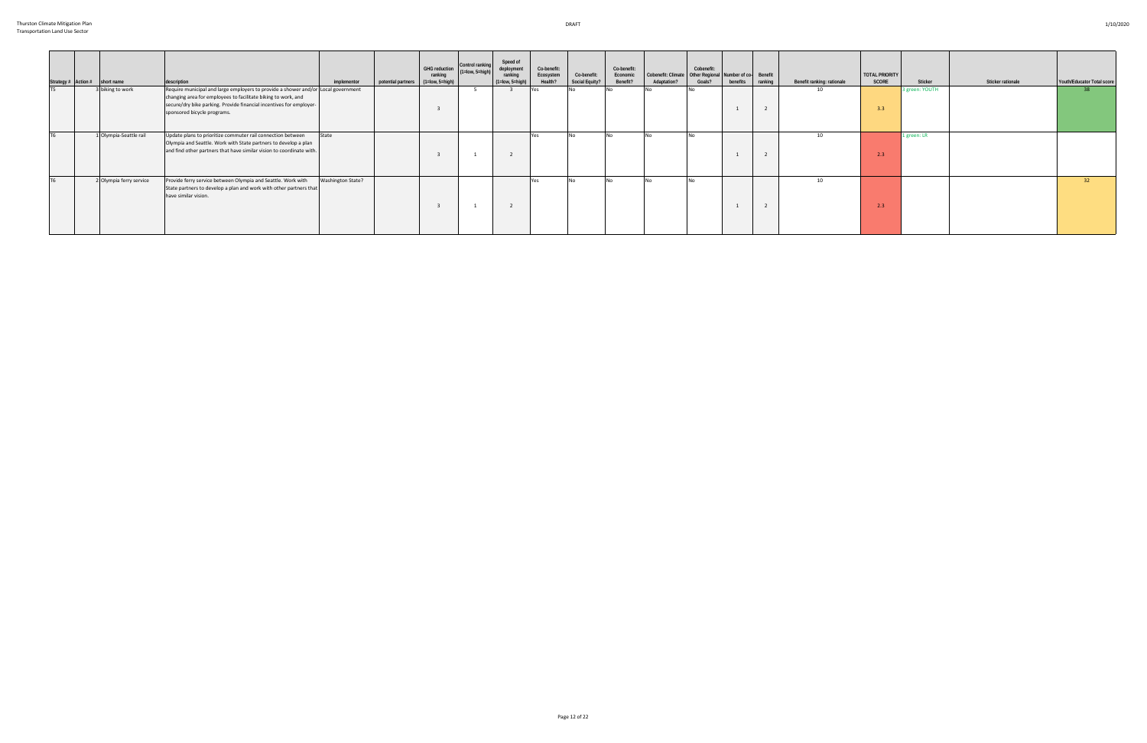|  | Strategy # Action # short name | description                                                                                                                                                                                                                                              | implementor              | potential partners | GHG reduction Control ranking<br>ranking<br>$(1 = low, 5 = high)$ | $(1 = low, 5 = high)$ | Speed of<br>deployment<br>ranking<br>$(1 = low, 5 = high)$ | Co-benefit:<br>Ecosystem<br>Health? | Co-benefit:<br>Social Equity? | Co-benefit:<br>Economic<br>Benefit? | Cobenefit: Climate   Other Regional Number of co- Benefit<br>Adaptation? | Cobenefit:<br>Goals? | benefits | ranking | Benefit ranking: rationale | <b>TOTAL PRIORITY</b><br>SCORE | Sticker        | Sticker rationale | Youth/Educator Total score |
|--|--------------------------------|----------------------------------------------------------------------------------------------------------------------------------------------------------------------------------------------------------------------------------------------------------|--------------------------|--------------------|-------------------------------------------------------------------|-----------------------|------------------------------------------------------------|-------------------------------------|-------------------------------|-------------------------------------|--------------------------------------------------------------------------|----------------------|----------|---------|----------------------------|--------------------------------|----------------|-------------------|----------------------------|
|  | 3 biking to work               | Require municipal and large employers to provide a shower and/or Local government<br>changing area for employees to facilitate biking to work, and<br>secure/dry bike parking. Provide financial incentives for employer-<br>sponsored bicycle programs. |                          |                    |                                                                   |                       |                                                            | Yes                                 |                               |                                     |                                                                          |                      |          |         | 10                         | 3.3                            | 3 green: YOUTH |                   |                            |
|  | 1 Olympia-Seattle rail         | Update plans to prioritize commuter rail connection between<br>Olympia and Seattle. Work with State partners to develop a plan<br>and find other partners that have similar vision to coordinate with.                                                   | State                    |                    |                                                                   |                       |                                                            | Yes                                 |                               |                                     |                                                                          |                      |          |         | 10                         | 2.3                            | 1 green: LR    |                   |                            |
|  | 2 Olympia ferry service        | Provide ferry service between Olympia and Seattle. Work with<br>State partners to develop a plan and work with other partners that<br>have similar vision.                                                                                               | <b>Washington State?</b> |                    |                                                                   |                       |                                                            | Yes                                 |                               |                                     |                                                                          |                      |          |         | 10                         | 2.3                            |                |                   | 32                         |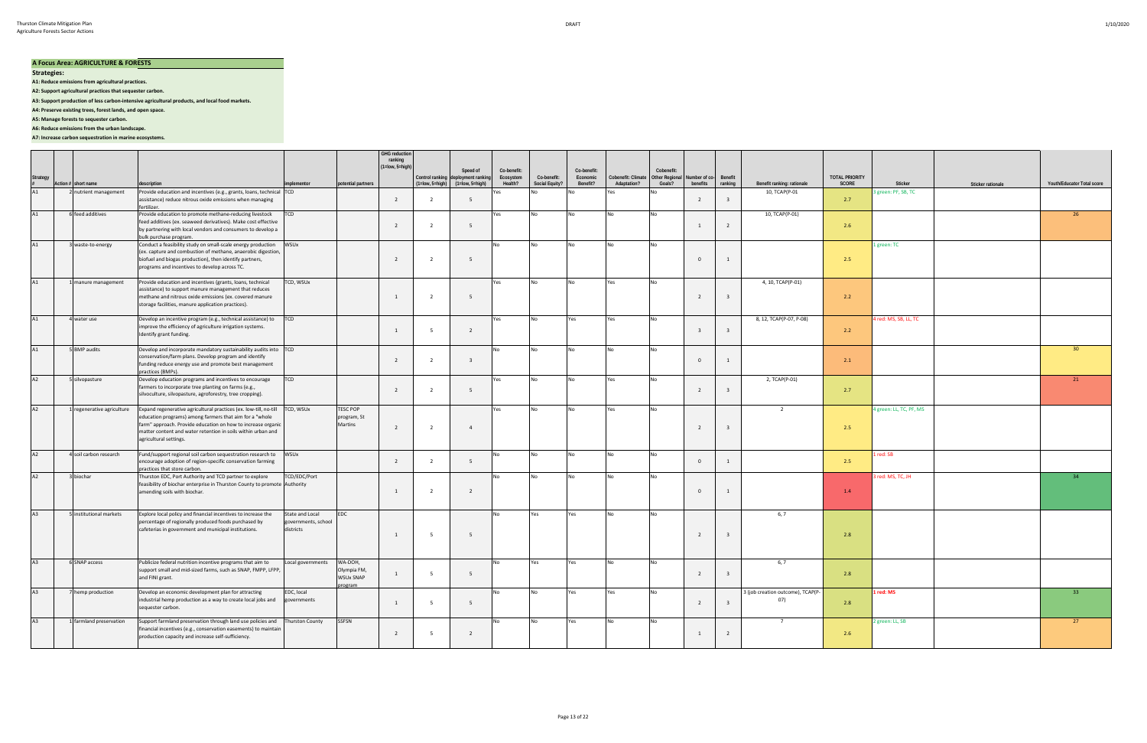#### **A Focus Area: AGRICULTURE & FORESTS**

**Strategies:** 

**A1: Reduce emissions from agricultural practices.**

**A2: Support agricultural practices that sequester carbon.**

**A3: Support production of less carbon-intensive agricultural products, and local food markets.**

**A4: Preserve existing trees, forest lands, and open space.**

**A5: Manage forests to sequester carbon.**

**A6: Reduce emissions from the urban landscape.**

### **A7: Increase carbon sequestration in marine ecosystems.**

|               |                            |                                                                                                                                                                                                                                                                                                  |                                                     |                                               | <b>GHG reduction</b><br>ranking<br>$(1 = low, 5 = high)$ |                | Speed of                                                                          | Co-benefit:          |                               | Co-benefit:          |                                   | Cobenefit:                      |                           |                         |                                          |                                |                         |                   |                            |
|---------------|----------------------------|--------------------------------------------------------------------------------------------------------------------------------------------------------------------------------------------------------------------------------------------------------------------------------------------------|-----------------------------------------------------|-----------------------------------------------|----------------------------------------------------------|----------------|-----------------------------------------------------------------------------------|----------------------|-------------------------------|----------------------|-----------------------------------|---------------------------------|---------------------------|-------------------------|------------------------------------------|--------------------------------|-------------------------|-------------------|----------------------------|
| Strategy<br># | Action # short name        | description                                                                                                                                                                                                                                                                                      | implementor                                         | potential partners                            |                                                          |                | Control ranking deployment ranking<br>$(1 = low, 5 = high)$ $(1 = low, 5 = high)$ | Ecosystem<br>Health? | Co-benefit:<br>Social Equity? | Economic<br>Benefit? | Cobenefit: Climate<br>Adaptation? | <b>Other Regional</b><br>Goals? | Number of co-<br>benefits | Benefit<br>ranking      | Benefit ranking: rationale               | <b>TOTAL PRIORITY</b><br>SCORE | Sticker                 | Sticker rationale | Youth/Educator Total score |
| A1            | nutrient management        | Provide education and incentives (e.g., grants, loans, technical TCD<br>assistance) reduce nitrous oxide emissions when managing                                                                                                                                                                 |                                                     |                                               | $\overline{2}$                                           | - 2            | -5                                                                                | Yes                  |                               |                      | Yes                               |                                 | $\overline{2}$            | $\overline{3}$          | 10, TCAP(P-01                            | 2.7                            | green: PF, SB, TC       |                   |                            |
| A1            | 6 feed additives           | fertilizer.<br>Provide education to promote methane-reducing livestock<br>feed additives (ex. seaweed derivatives). Make cost effective<br>by partnering with local vendors and consumers to develop a<br>bulk purchase program.                                                                 | <b>TCD</b>                                          |                                               | $\overline{2}$                                           | $\overline{2}$ | 5                                                                                 | Yes                  | <b>No</b>                     | No.                  | <b>No</b>                         | l N∩                            | 1                         | $\overline{2}$          | 10, TCAP(P-01)                           | 2.6                            |                         |                   | 26                         |
| A1            | 3 waste-to-energy          | Conduct a feasibility study on small-scale energy production<br>(ex. capture and combustion of methane, anaerobic digestion,<br>biofuel and biogas production), then identify partners,<br>programs and incentives to develop across TC.                                                         | WSUx                                                |                                               | $\overline{2}$                                           | $\overline{2}$ | - 5                                                                               |                      | <b>No</b>                     | No                   |                                   |                                 | $\overline{0}$            | 1                       |                                          | 2.5                            | 1 green: TC             |                   |                            |
| A1            | 1 manure management        | Provide education and incentives (grants, loans, technical<br>assistance) to support manure management that reduces<br>methane and nitrous oxide emissions (ex. covered manure<br>storage facilities, manure application practices).                                                             | TCD, WSUx                                           |                                               | $\overline{1}$                                           | $\overline{2}$ | 5                                                                                 | Yes                  | N <sub>0</sub>                | No                   | Yes                               | l No                            | $\overline{2}$            | $\overline{3}$          | 4, 10, TCAP(P-01)                        | 2.2                            |                         |                   |                            |
| A1            | 4 water use                | Develop an incentive program (e.g., technical assistance) to<br>improve the efficiency of agriculture irrigation systems.<br>Identify grant funding.                                                                                                                                             | <b>TCD</b>                                          |                                               | $\overline{1}$                                           | - 5            | $\overline{2}$                                                                    | Yes                  | No                            | Yes                  | Yes                               | <b>No</b>                       | $\overline{\mathbf{3}}$   | $\overline{3}$          | 8, 12, TCAP(P-07, P-08)                  | 2.2                            | 4 red: MS, SB, LL, TC   |                   |                            |
| A1            | 5 BMP audits               | Develop and incorporate mandatory sustainability audits into TCD<br>conservation/farm plans. Develop program and identify<br>funding reduce energy use and promote best management<br>practices (BMPs).                                                                                          |                                                     |                                               | $\overline{2}$                                           | $\overline{2}$ | $\overline{\mathbf{3}}$                                                           | N∩                   | No                            | No                   | <b>No</b>                         | <b>No</b>                       | $\overline{0}$            | 1                       |                                          | 2.1                            |                         |                   | 30 <sup>°</sup>            |
| A2            | 5 silvopasture             | Develop education programs and incentives to encourage<br>farmers to incorporate tree planting on farms (e.g.,<br>silvoculture, silvopasture, agroforestry, tree cropping).                                                                                                                      | <b>TCD</b>                                          |                                               | $\overline{2}$                                           | $\overline{2}$ | 5                                                                                 | Yes                  | No                            | No                   | Yes                               |                                 | $\overline{2}$            | $\overline{\mathbf{3}}$ | 2, TCAP(P-01)                            | 2.7                            |                         |                   | 21                         |
| A2            | I regenerative agriculture | Expand regenerative agricultural practices (ex. low-till, no-till TCD, WSUx<br>education programs) among farmers that aim for a "whole<br>farm" approach. Provide education on how to increase organic<br>matter content and water retention in soils within urban and<br>agricultural settings. |                                                     | TESC POP<br>program, St<br>Martins            | $\overline{2}$                                           | $\overline{2}$ | $\overline{4}$                                                                    | Yes                  | <b>No</b>                     | No                   | Yes                               | <b>No</b>                       | $\overline{2}$            | $\overline{\mathbf{3}}$ | 2                                        | 2.5                            | 4 green: LL, TC, PF, MS |                   |                            |
| A2            | 4 soil carbon research     | Fund/support regional soil carbon sequestration research to<br>encourage adoption of region-specific conservation farming<br>practices that store carbon.                                                                                                                                        | WSUx                                                |                                               | $\overline{2}$                                           | $\overline{2}$ | 5                                                                                 |                      | <b>No</b>                     | No                   | No                                | <b>No</b>                       | $\overline{0}$            | 1                       |                                          | 2.5                            | L red: SB               |                   |                            |
| A2            | 3 biochar                  | Thurston EDC, Port Authority and TCD partner to explore<br>feasibility of biochar enterprise in Thurston County to promote Authority<br>amending soils with biochar.                                                                                                                             | TCD/EDC/Port                                        |                                               | $\overline{1}$                                           | $\overline{2}$ | $\overline{2}$                                                                    |                      | <b>No</b>                     | No                   | N <sub>O</sub>                    | <b>No</b>                       | $\overline{0}$            | 1                       |                                          | 1.4                            | 3 red: MS, TC, JH       |                   | 34                         |
| A3            | 5 institutional markets    | Explore local policy and financial incentives to increase the<br>percentage of regionally produced foods purchased by<br>cafeterias in government and municipal institutions.                                                                                                                    | State and Local<br>governments, school<br>districts | EDC                                           | $\overline{1}$                                           | - 5            | -5                                                                                |                      | Yes                           | Yes                  | <b>No</b>                         | <b>No</b>                       | $\overline{2}$            | $\overline{3}$          | 6, 7                                     | 2.8                            |                         |                   |                            |
| A3            | 6 SNAP access              | Publicize federal nutrition incentive programs that aim to<br>support small and mid-sized farms, such as SNAP, FMPP, LFPP,<br>and FINI grant.                                                                                                                                                    | Local governments                                   | WA-DOH,<br>Olympia FM,<br>WSUx SNAP<br>rogram | 1                                                        | - 5            | 5                                                                                 |                      | Yes                           | Yes                  | <b>No</b>                         | <b>No</b>                       | $\overline{2}$            | $\overline{\mathbf{3}}$ | 6, 7                                     | 2.8                            |                         |                   |                            |
| A3            | hemp production            | Develop an economic development plan for attracting<br>industrial hemp production as a way to create local jobs and governments<br>sequester carbon.                                                                                                                                             | EDC, local                                          |                                               | 1                                                        | - 5            | 5                                                                                 | No                   | No                            | Yes                  | Yes                               | <b>No</b>                       | 2                         | $\overline{3}$          | 3 (job creation outcome), TCAP(P-<br>07) | 2.8                            | 1 red: MS               |                   | 33                         |
| A3            | 1 farmland preservation    | Support farmland preservation through land use policies and<br>financial incentives (e.g., conservation easements) to maintain<br>production capacity and increase self-sufficiency.                                                                                                             | <b>Thurston County</b>                              | SSFSN                                         | $\overline{2}$                                           | - 5            | $\overline{2}$                                                                    | No.                  | <b>No</b>                     | Yes                  | <b>No</b>                         | <b>No</b>                       | 1                         | 2                       | $\overline{7}$                           | 2.6                            | 2 green: LL, SB         |                   | 27                         |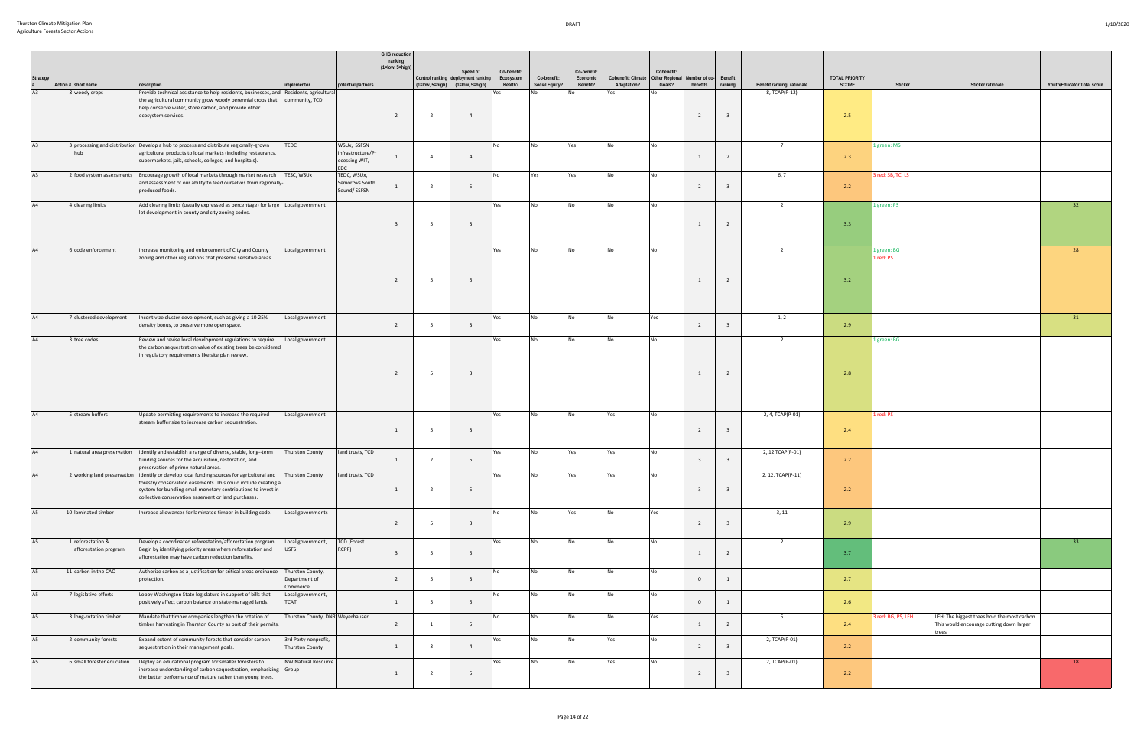|                 |                            |                                                                                                                                                                                   |                                                |                                                 | <b>GHG reduction</b><br>ranking<br>$(1 = low, 5 = high)$ |                       | Speed of                                              | Co-benefit:          |                               | Co-benefit:          |                                   | Cobenefit:               |                                   |                         |                            |                                |                          |                                                                                                   |                            |
|-----------------|----------------------------|-----------------------------------------------------------------------------------------------------------------------------------------------------------------------------------|------------------------------------------------|-------------------------------------------------|----------------------------------------------------------|-----------------------|-------------------------------------------------------|----------------------|-------------------------------|----------------------|-----------------------------------|--------------------------|-----------------------------------|-------------------------|----------------------------|--------------------------------|--------------------------|---------------------------------------------------------------------------------------------------|----------------------------|
| <b>Strategy</b> | Action # short name        | description                                                                                                                                                                       | mplementor                                     | potential partners                              |                                                          | $(1 = low, 5 = high)$ | Control ranking deployment ranking<br>(1=low, 5=high) | Ecosystem<br>Health? | Co-benefit:<br>Social Equity? | Economic<br>Benefit? | Cobenefit: Climate<br>Adaptation? | Other Regional<br>Goals? | Number of co- Benefit<br>benefits | ranking                 | Benefit ranking: rationale | <b>TOTAL PRIORITY</b><br>SCORE | Sticker                  | Sticker rationale                                                                                 | Youth/Educator Total score |
| A3              | 8 woody crops              | Provide technical assistance to help residents, businesses, and Residents, agricultural                                                                                           |                                                |                                                 |                                                          |                       |                                                       | /es                  | Nη                            |                      | Yes                               |                          |                                   |                         | 8, TCAP(P-12)              |                                |                          |                                                                                                   |                            |
|                 |                            | the agricultural community grow woody perennial crops that   community, TCD<br>help conserve water, store carbon, and provide other<br>ecosystem services.                        |                                                |                                                 | 2                                                        | $\overline{2}$        | $\overline{4}$                                        |                      |                               |                      |                                   |                          | 2                                 | $\overline{\mathbf{3}}$ |                            | 2.5                            |                          |                                                                                                   |                            |
|                 |                            |                                                                                                                                                                                   |                                                |                                                 |                                                          |                       |                                                       |                      |                               |                      |                                   |                          |                                   |                         |                            |                                |                          |                                                                                                   |                            |
| A3              |                            | 3 processing and distribution Develop a hub to process and distribute regionally-grown                                                                                            | TEDC                                           | WSUx, SSFSN                                     |                                                          |                       |                                                       | No                   | No                            | Yes                  | No                                | <b>No</b>                |                                   |                         | 7                          |                                | l green: MS              |                                                                                                   |                            |
|                 |                            | agricultural products to local markets (including restaurants,<br>supermarkets, jails, schools, colleges, and hospitals).                                                         |                                                | Infrastructure/P<br>ocessing WIT,<br><b>EDC</b> |                                                          |                       | $\overline{4}$                                        |                      |                               |                      |                                   |                          |                                   | 2                       |                            | 2.3                            |                          |                                                                                                   |                            |
| A3              | 2 food system assessments  | Encourage growth of local markets through market research<br>and assessment of our ability to feed ourselves from regionally-<br>produced foods.                                  | TESC, WSUx                                     | TEDC, WSUx,<br>Senior Svs South<br>Sound/ SSFSN |                                                          | $\overline{2}$        | - 5                                                   | <b>No</b>            | Yes                           | Yes                  | No                                |                          | $\overline{2}$                    |                         | 6, 7                       | 2.2                            | red: SB, TC, LS          |                                                                                                   |                            |
| A4              | 4 clearing limits          | Add clearing limits (usually expressed as percentage) for large Local government                                                                                                  |                                                |                                                 |                                                          |                       |                                                       | Yes                  | No                            | <b>No</b>            | No                                | <b>No</b>                |                                   |                         | $\overline{2}$             |                                | 1 green: PS              |                                                                                                   | 32 <sup>2</sup>            |
|                 |                            | lot development in county and city zoning codes.                                                                                                                                  |                                                |                                                 |                                                          |                       |                                                       |                      |                               |                      |                                   |                          |                                   |                         |                            |                                |                          |                                                                                                   |                            |
|                 |                            |                                                                                                                                                                                   |                                                |                                                 |                                                          |                       | $\overline{\mathbf{3}}$                               |                      |                               |                      |                                   |                          |                                   | $\overline{2}$          |                            | 3.3                            |                          |                                                                                                   |                            |
| A4              | 6 code enforcement         | Increase monitoring and enforcement of City and County<br>zoning and other regulations that preserve sensitive areas.                                                             | Local government                               |                                                 |                                                          |                       |                                                       | Yes                  | No                            | <b>No</b>            | No                                | <b>No</b>                |                                   |                         | 2                          |                                | 1 green: BG<br>l red: PS |                                                                                                   | 28                         |
|                 |                            |                                                                                                                                                                                   |                                                |                                                 |                                                          | -5                    |                                                       |                      |                               |                      |                                   |                          |                                   | $\overline{2}$          |                            | 3.2                            |                          |                                                                                                   |                            |
|                 |                            |                                                                                                                                                                                   |                                                |                                                 |                                                          |                       |                                                       |                      |                               |                      |                                   |                          |                                   |                         |                            |                                |                          |                                                                                                   |                            |
|                 |                            |                                                                                                                                                                                   |                                                |                                                 |                                                          |                       |                                                       |                      |                               |                      |                                   |                          |                                   |                         |                            |                                |                          |                                                                                                   |                            |
| A4              | 7 clustered development    | Incentivize cluster development, such as giving a 10-25%                                                                                                                          | Local government                               |                                                 | 2                                                        | -5                    | $\overline{3}$                                        | Yes                  | No                            | <b>No</b>            | <b>No</b>                         | Yes                      | $\overline{2}$                    | $\overline{\mathbf{3}}$ | 1, 2                       |                                |                          |                                                                                                   | 31                         |
|                 |                            | density bonus, to preserve more open space.                                                                                                                                       |                                                |                                                 |                                                          |                       |                                                       |                      |                               |                      |                                   |                          |                                   |                         |                            | 2.9                            |                          |                                                                                                   |                            |
| A4              | 3 tree codes               | Review and revise local development regulations to require<br>the carbon sequestration value of existing trees be considered<br>in regulatory requirements like site plan review. | Local government                               |                                                 |                                                          |                       |                                                       | Yes                  | No                            | <b>No</b>            | <b>No</b>                         | I No                     |                                   |                         | $\overline{2}$             |                                | l green: BG              |                                                                                                   |                            |
|                 |                            |                                                                                                                                                                                   |                                                |                                                 |                                                          |                       |                                                       |                      |                               |                      |                                   |                          |                                   |                         |                            |                                |                          |                                                                                                   |                            |
|                 |                            |                                                                                                                                                                                   |                                                |                                                 | 2                                                        | - 5                   | $\overline{\mathbf{3}}$                               |                      |                               |                      |                                   |                          |                                   | $\overline{2}$          |                            | 2.8                            |                          |                                                                                                   |                            |
|                 |                            |                                                                                                                                                                                   |                                                |                                                 |                                                          |                       |                                                       |                      |                               |                      |                                   |                          |                                   |                         |                            |                                |                          |                                                                                                   |                            |
| A4              | 5 stream buffers           | Update permitting requirements to increase the required                                                                                                                           | Local government                               |                                                 |                                                          |                       |                                                       | Yes                  | <b>No</b>                     |                      | Yes                               |                          |                                   |                         | 2, 4, TCAP(P-01)           |                                | red: PS                  |                                                                                                   |                            |
|                 |                            | stream buffer size to increase carbon sequestration.                                                                                                                              |                                                |                                                 | 1                                                        | - 5                   | $\overline{\mathbf{3}}$                               |                      |                               |                      |                                   |                          | 2                                 | $\overline{\mathbf{3}}$ |                            | 2.4                            |                          |                                                                                                   |                            |
|                 |                            |                                                                                                                                                                                   |                                                |                                                 |                                                          |                       |                                                       |                      |                               |                      |                                   |                          |                                   |                         |                            |                                |                          |                                                                                                   |                            |
| A4              |                            | 1 natural area preservation ldentify and establish a range of diverse, stable, long--term<br>funding sources for the acquisition, restoration, and                                | <b>Thurston County</b>                         | land trusts, TCD                                |                                                          |                       | - 5                                                   | Yes                  | No                            | Yes                  | Yes                               | <b>No</b>                | $\overline{\mathbf{3}}$           | $\overline{\mathbf{3}}$ | 2, 12 TCAP(P-01)           | 2.2                            |                          |                                                                                                   |                            |
|                 |                            | preservation of prime natural areas.<br>2 working land preservation Ildentify or develop local funding sources for agricultural and Thurston County                               |                                                | land trusts, TCD                                |                                                          |                       |                                                       |                      |                               |                      |                                   |                          |                                   |                         | 2, 12, TCAP(P-11)          |                                |                          |                                                                                                   |                            |
|                 |                            | forestry conservation easements. This could include creating a<br>system for bundling small monetary contributions to invest in                                                   |                                                |                                                 | 1                                                        | $\overline{2}$        | 5                                                     |                      |                               |                      |                                   |                          |                                   | $\overline{\mathbf{3}}$ |                            | 2.2                            |                          |                                                                                                   |                            |
|                 |                            | collective conservation easement or land purchases.                                                                                                                               |                                                |                                                 |                                                          |                       |                                                       |                      |                               |                      |                                   |                          |                                   |                         |                            |                                |                          |                                                                                                   |                            |
| A <sub>5</sub>  | 10 laminated timber        | Increase allowances for laminated timber in building code.                                                                                                                        | Local governments                              |                                                 |                                                          |                       |                                                       | No                   | No                            | Yes                  | No                                | Yes                      |                                   |                         | 3, 11                      |                                |                          |                                                                                                   |                            |
|                 |                            |                                                                                                                                                                                   |                                                |                                                 | 2                                                        | - 5                   | $\overline{\mathbf{3}}$                               |                      |                               |                      |                                   |                          | $\overline{2}$                    | $\overline{3}$          |                            | 2.9                            |                          |                                                                                                   |                            |
| A <sub>5</sub>  | 1 reforestation &          | Develop a coordinated reforestation/afforestation program.                                                                                                                        | Local government,                              | <b>TCD (Forest</b>                              |                                                          |                       |                                                       | Yes                  | <b>No</b>                     | No                   | No                                | No                       |                                   |                         | $\overline{2}$             |                                |                          |                                                                                                   | 33 <sub>o</sub>            |
|                 | afforestation program      | Begin by identifying priority areas where reforestation and<br>afforestation may have carbon reduction benefits.                                                                  | <b>USFS</b>                                    | RCPP)                                           |                                                          | - 5                   |                                                       |                      |                               |                      |                                   |                          | 1                                 | $\overline{2}$          |                            | 3.7                            |                          |                                                                                                   |                            |
| A5              | 11 carbon in the CAO       | Authorize carbon as a justification for critical areas ordinance<br>protection.                                                                                                   | Thurston County,<br>Department of              |                                                 | 2                                                        | -5                    | $\overline{\mathbf{3}}$                               | No                   | No                            | No                   | <b>No</b>                         | No                       | $\mathbf{0}$                      | 1                       |                            | 2.7                            |                          |                                                                                                   |                            |
| A <sub>5</sub>  |                            |                                                                                                                                                                                   | Commerce                                       |                                                 |                                                          |                       |                                                       |                      | No                            | <b>No</b>            |                                   |                          |                                   |                         |                            |                                |                          |                                                                                                   |                            |
|                 | legislative efforts        | Lobby Washington State legislature in support of bills that<br>positively affect carbon balance on state-managed lands.                                                           | Local government,<br><b>TCAT</b>               |                                                 | 1                                                        | -5                    | 5                                                     | No                   |                               |                      | No                                | No                       | $\mathbf{0}$                      | 1                       |                            | 2.6                            |                          |                                                                                                   |                            |
| A <sub>5</sub>  | 3 long-rotation timber     | Mandate that timber companies lengthen the rotation of<br>timber harvesting in Thurston County as part of their permits.                                                          | Thurston County, DNR Weyerhauser               |                                                 | $\overline{2}$                                           | 1                     | 5                                                     | No                   | No                            | <b>No</b>            | No                                | Yes                      | 1                                 | $\overline{2}$          | 5 <sup>5</sup>             | 2.4                            | red: BG, PS, LFH         | LFH: The biggest trees hold the most carbon.<br>This would encourage cutting down larger<br>trees |                            |
| <b>A5</b>       | 2 community forests        | Expand extent of community forests that consider carbon<br>sequestration in their management goals.                                                                               | 3rd Party nonprofit,<br><b>Thurston County</b> |                                                 | 1                                                        | $\mathbf{3}$          | $\overline{4}$                                        | Yes                  | No                            | <b>No</b>            | Yes                               | No                       | $\overline{2}$                    | $\overline{\mathbf{3}}$ | 2, TCAP(P-01)              | 2.2                            |                          |                                                                                                   |                            |
| A5              | 6 small forester education | Deploy an educational program for smaller foresters to<br>increase understanding of carbon sequestration, emphasizing Group                                                       | NW Natural Resource                            |                                                 |                                                          |                       |                                                       | Yes                  | No                            | <b>No</b>            | Yes                               | No                       | $\overline{2}$                    | $\overline{\mathbf{3}}$ | 2, TCAP(P-01)              | 2.2                            |                          |                                                                                                   | 18                         |
|                 |                            | the better performance of mature rather than young trees.                                                                                                                         |                                                |                                                 |                                                          |                       |                                                       |                      |                               |                      |                                   |                          |                                   |                         |                            |                                |                          |                                                                                                   |                            |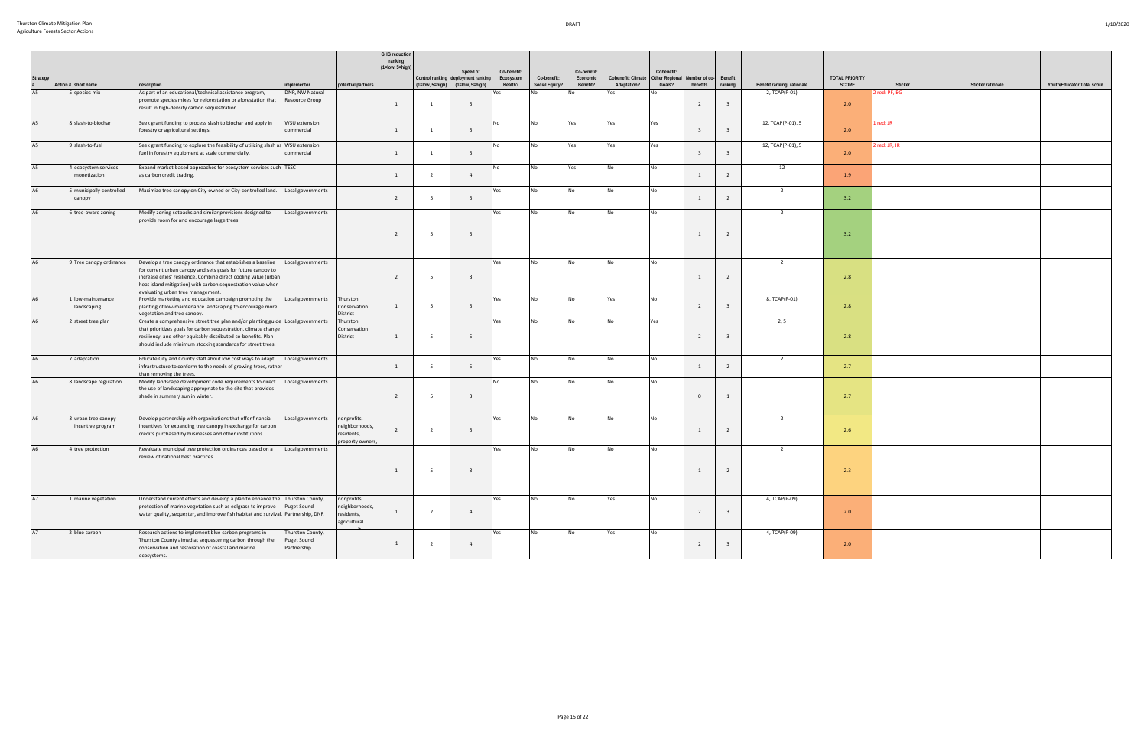| <b>Strategy</b> | Action # short name                      | description                                                                                                                                                                                                                                                                                          | implementor                                    | potential partners                                             | GHG reduction<br>ranking<br>$(1 = low, 5 = high)$ | $(1 = low, 5 = high)$ | Speed of<br>Control ranking deployment ranking<br>$(1 = low, 5 = high)$ | Co-benefit:<br>Ecosystem<br>Health? | Co-benefit:<br>Social Equity? | Co-benefit:<br>Economic<br>Benefit? | Cobenefit: Climate<br>Adaptation? | Cobenefit:<br>Other Regional<br>Goals? | Number of co-<br>benefits | Benefit<br>ranking | Benefit ranking: rationale | <b>TOTAL PRIORITY</b><br>SCORE | Sticker       | Sticker rationale | Youth/Educator Total score |
|-----------------|------------------------------------------|------------------------------------------------------------------------------------------------------------------------------------------------------------------------------------------------------------------------------------------------------------------------------------------------------|------------------------------------------------|----------------------------------------------------------------|---------------------------------------------------|-----------------------|-------------------------------------------------------------------------|-------------------------------------|-------------------------------|-------------------------------------|-----------------------------------|----------------------------------------|---------------------------|--------------------|----------------------------|--------------------------------|---------------|-------------------|----------------------------|
| A5              | 5 species mix                            | As part of an educational/technical assistance program,<br>promote species mixes for reforestation or aforestation that<br>result in high-density carbon sequestration.                                                                                                                              | DNR, NW Natural<br>Resource Group              |                                                                | $\mathbf{1}$                                      |                       | - 5                                                                     | Yes                                 |                               |                                     | Yes                               |                                        |                           |                    | 2, TCAP(P-01)              | 2.0                            | 2 red: PF, BG |                   |                            |
| A <sub>5</sub>  | 8 slash-to-biochar                       | Seek grant funding to process slash to biochar and apply in<br>forestry or agricultural settings.                                                                                                                                                                                                    | <b>WSU</b> extension<br>commercial             |                                                                | $\overline{1}$                                    |                       | 5                                                                       | No                                  | N <sub>0</sub>                | Yes                                 | Yes                               | Yes                                    | $\overline{3}$            |                    | 12, TCAP(P-01), 5          | 2.0                            | 1 red: JR     |                   |                            |
| A <sub>5</sub>  | 9 slash-to-fuel                          | Seek grant funding to explore the feasibility of utilizing slash as WSU extension<br>fuel in forestry equipment at scale commercially.                                                                                                                                                               | commercial                                     |                                                                | $\overline{1}$                                    |                       | 5                                                                       | No                                  | N٥                            | Yes                                 | Yes                               | Yes                                    | $\overline{3}$            |                    | 12, TCAP(P-01), 5          | 2.0                            | 2 red: JR, JR |                   |                            |
| A <sub>5</sub>  | 4 ecosystem services<br>nonetization     | Expand market-based approaches for ecosystem services such TESC<br>as carbon credit trading.                                                                                                                                                                                                         |                                                |                                                                | $\overline{1}$                                    | $\overline{2}$        | $\overline{4}$                                                          | No                                  | No                            | Yes                                 |                                   | No.                                    | $\overline{1}$            | $\overline{2}$     | 12                         | 1.9                            |               |                   |                            |
| A <sub>6</sub>  | 5 municipally-controlled<br>canopy       | Maximize tree canopy on City-owned or City-controlled land.                                                                                                                                                                                                                                          | Local governments                              |                                                                | $\overline{2}$                                    | - 5                   | 5                                                                       | Yes                                 | No                            |                                     |                                   |                                        | 1                         | $\overline{2}$     | $\overline{2}$             | 3.2                            |               |                   |                            |
| A6              | 6 tree-aware zoning                      | Modify zoning setbacks and similar provisions designed to<br>provide room for and encourage large trees.                                                                                                                                                                                             | Local governments                              |                                                                |                                                   |                       |                                                                         | Yes                                 | No                            | No.                                 |                                   | No.                                    |                           |                    | $\overline{2}$             |                                |               |                   |                            |
|                 |                                          |                                                                                                                                                                                                                                                                                                      |                                                |                                                                | $\overline{2}$                                    | - 5                   | - 5                                                                     |                                     |                               |                                     |                                   |                                        |                           | $\overline{2}$     |                            | 3.2                            |               |                   |                            |
| A <sub>6</sub>  | 9 Tree canopy ordinance                  | Develop a tree canopy ordinance that establishes a baseline<br>for current urban canopy and sets goals for future canopy to<br>increase cities' resilience. Combine direct cooling value (urban<br>heat island mitigation) with carbon sequestration value when<br>evaluating urban tree management. | Local governments                              |                                                                | $\overline{2}$                                    | - 5                   | $\overline{\mathbf{3}}$                                                 | Yes                                 | No                            |                                     |                                   |                                        |                           |                    | 2                          | $2.8$                          |               |                   |                            |
| A <sub>6</sub>  | 1 low-maintenance<br>landscaping         | Provide marketing and education campaign promoting the<br>planting of low-maintenance landscaping to encourage more<br>vegetation and tree canopy.                                                                                                                                                   | Local governments                              | Thurston<br>Conservation<br>District                           | $\mathbf{1}$                                      | - 5                   | - 5                                                                     | Yes                                 | No                            | No                                  | Yes                               | N <sub>o</sub>                         | $\overline{2}$            |                    | 8, TCAP(P-01)              | 2.8                            |               |                   |                            |
| A <sub>6</sub>  | 2 street tree plan                       | Create a comprehensive street tree plan and/or planting guide Local governments<br>that prioritizes goals for carbon sequestration, climate change<br>resiliency, and other equitably distributed co-benefits. Plan<br>should include minimum stocking standards for street trees.                   |                                                | Thurston<br>Conservation<br>District                           | 1                                                 | - 5                   | - 5                                                                     | Yes                                 | No                            |                                     |                                   | Yes                                    |                           |                    | 2, 5                       | 2.8                            |               |                   |                            |
| A <sub>6</sub>  | 7 adaptation                             | Educate City and County staff about low cost ways to adapt<br>infrastructure to conform to the needs of growing trees, rather<br>than removing the trees.                                                                                                                                            | Local governments                              |                                                                | $\overline{1}$                                    | - 5                   | 5                                                                       | Yes                                 | No                            | No                                  | No.                               | No.                                    | $\overline{1}$            | $\overline{2}$     | $\overline{2}$             | 2.7                            |               |                   |                            |
| A6              | 8 landscape regulation                   | Modify landscape development code requirements to direct<br>the use of landscaping appropriate to the site that provides<br>shade in summer/ sun in winter.                                                                                                                                          | Local governments                              |                                                                | $\overline{2}$                                    |                       |                                                                         | No                                  | No                            |                                     |                                   | N <sub>o</sub>                         | $\Omega$                  |                    |                            | 2.7                            |               |                   |                            |
| A <sub>6</sub>  | 3 urban tree canopy<br>incentive program | Develop partnership with organizations that offer financial<br>incentives for expanding tree canopy in exchange for carbon<br>credits purchased by businesses and other institutions.                                                                                                                | Local governments                              | nonprofits,<br>neighborhoods,<br>residents,<br>property owners | $\overline{2}$                                    | $\overline{2}$        | - 5                                                                     | Yes                                 | No                            |                                     | No.                               |                                        | 1                         | $\overline{2}$     | $\overline{2}$             | 2.6                            |               |                   |                            |
|                 | 4 tree protection                        | Revaluate municipal tree protection ordinances based on a<br>review of national best practices.                                                                                                                                                                                                      | Local governments                              |                                                                | 1                                                 | 5                     | $\overline{\mathbf{3}}$                                                 | Yes                                 | No                            |                                     |                                   |                                        | 1                         | $\overline{2}$     | $\overline{2}$             | 2.3                            |               |                   |                            |
| A7              | 1 marine vegetation                      | Understand current efforts and develop a plan to enhance the Thurston County,<br>protection of marine vegetation such as eelgrass to improve<br>water quality, sequester, and improve fish habitat and survival. Partnership, DNR                                                                    | Puget Sound                                    | nonprofits,<br>neighborhoods,<br>residents,<br>agricultural    | $\mathbf{1}$                                      | $\overline{2}$        | $\overline{4}$                                                          | Yes                                 | No                            | No                                  | Yes                               | <b>No</b>                              |                           |                    | 4, TCAP(P-09)              | $2.0$                          |               |                   |                            |
| A7              | 2 blue carbon                            | Research actions to implement blue carbon programs in<br>Thurston County aimed at sequestering carbon through the<br>conservation and restoration of coastal and marine<br>ecosystems.                                                                                                               | Thurston County,<br>Puget Sound<br>Partnership |                                                                | $\overline{1}$                                    |                       | $\overline{4}$                                                          | Yes                                 | No                            | No.                                 | Yes                               | No                                     | $\overline{2}$            |                    | 4, TCAP(P-09)              | 2.0                            |               |                   |                            |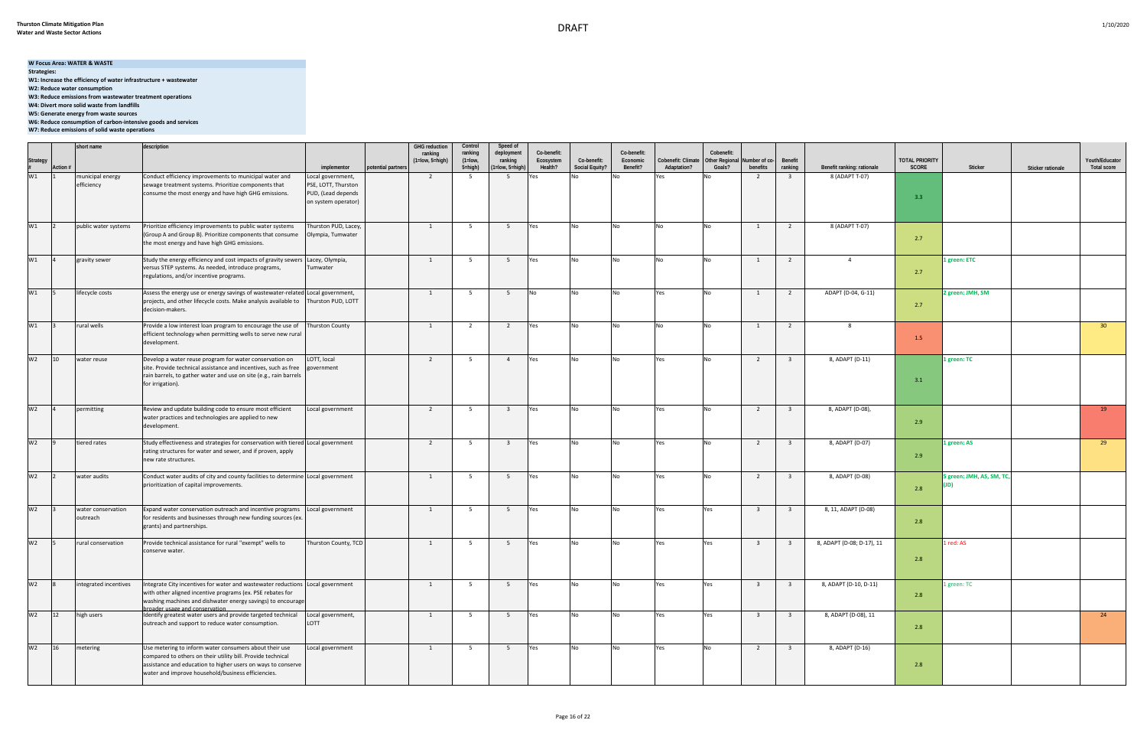## **W Focus Area: WATER & WASTE**

**Strategies:** 

**W1: Increase the efficiency of water infrastructure + wastewater**

**W2: Reduce water consumption W3: Reduce emissions from wastewater treatment operations**

**W4: Divert more solid waste from landfills**

**W5: Generate energy from waste sources**

**W6: Reduce consumption of carbon-intensive goods and services**

**W7: Reduce emissions of solid waste operations**

|                     |          | short name            | description                                                                                                                                                           |                        |                    | <b>GHG</b> reduction             | Control                | Speed of                |                          |                       |                         |                    |                              |                         |                         |                            |                       |                          |                   |                    |
|---------------------|----------|-----------------------|-----------------------------------------------------------------------------------------------------------------------------------------------------------------------|------------------------|--------------------|----------------------------------|------------------------|-------------------------|--------------------------|-----------------------|-------------------------|--------------------|------------------------------|-------------------------|-------------------------|----------------------------|-----------------------|--------------------------|-------------------|--------------------|
|                     |          |                       |                                                                                                                                                                       |                        |                    | ranking<br>$(1 = low, 5 = high)$ | ranking<br>$(1 = low,$ | deployment<br>ranking   | Co-benefit:<br>Ecosystem | Co-benefit:           | Co-benefit:<br>Economic | Cobenefit: Climate | Cobenefit:<br>Other Regional | Number of co-           | Benefit                 |                            | <b>TOTAL PRIORITY</b> |                          |                   | Youth/Educator     |
| Strategy<br>#<br>W1 | Action # |                       |                                                                                                                                                                       | implementor            | potential partners |                                  | 5=high)                | (1=low, 5=high)         | Health?                  | <b>Social Equity?</b> | Benefit?                | Adaptation?        | Goals?                       | benefits                | ranking                 | Benefit ranking: rationale | SCORE                 | Sticker                  | Sticker rationale | <b>Total score</b> |
|                     |          | municipal energy      | Conduct efficiency improvements to municipal water and                                                                                                                | Local government,      |                    | $\overline{2}$                   | 5                      | 5                       |                          |                       |                         |                    |                              | 2                       | $\overline{\mathbf{3}}$ | 8 (ADAPT T-07)             |                       |                          |                   |                    |
|                     |          | efficiency            | sewage treatment systems. Prioritize components that                                                                                                                  | PSE, LOTT, Thurston    |                    |                                  |                        |                         |                          |                       |                         |                    |                              |                         |                         |                            |                       |                          |                   |                    |
|                     |          |                       | consume the most energy and have high GHG emissions.                                                                                                                  | PUD, (Lead depends     |                    |                                  |                        |                         |                          |                       |                         |                    |                              |                         |                         |                            | 3.3                   |                          |                   |                    |
|                     |          |                       |                                                                                                                                                                       | on system operator)    |                    |                                  |                        |                         |                          |                       |                         |                    |                              |                         |                         |                            |                       |                          |                   |                    |
|                     |          |                       |                                                                                                                                                                       |                        |                    |                                  |                        |                         |                          |                       |                         |                    |                              |                         |                         |                            |                       |                          |                   |                    |
| W1                  |          | public water systems  | Prioritize efficiency improvements to public water systems                                                                                                            | Thurston PUD, Lacey,   |                    | <sup>1</sup>                     | 5 <sup>5</sup>         | 5 <sup>5</sup>          | Yes                      | No                    | No                      | No                 | No                           | 1                       | $\overline{2}$          | 8 (ADAPT T-07)             |                       |                          |                   |                    |
|                     |          |                       | (Group A and Group B). Prioritize components that consume                                                                                                             | Olympia, Tumwater      |                    |                                  |                        |                         |                          |                       |                         |                    |                              |                         |                         |                            | 2.7                   |                          |                   |                    |
|                     |          |                       | the most energy and have high GHG emissions.                                                                                                                          |                        |                    |                                  |                        |                         |                          |                       |                         |                    |                              |                         |                         |                            |                       |                          |                   |                    |
| W1                  |          | gravity sewer         | Study the energy efficiency and cost impacts of gravity sewers Lacey, Olympia,                                                                                        |                        |                    | 1                                | 5 <sup>5</sup>         | 5                       | Yes                      | No                    | <b>No</b>               | <b>No</b>          | <b>No</b>                    | $\mathbf{1}$            | $\overline{2}$          | $\overline{4}$             |                       | 1 green: ETC             |                   |                    |
|                     |          |                       | versus STEP systems. As needed, introduce programs,                                                                                                                   | Tumwater               |                    |                                  |                        |                         |                          |                       |                         |                    |                              |                         |                         |                            |                       |                          |                   |                    |
|                     |          |                       | regulations, and/or incentive programs.                                                                                                                               |                        |                    |                                  |                        |                         |                          |                       |                         |                    |                              |                         |                         |                            | 2.7                   |                          |                   |                    |
| W1                  |          |                       |                                                                                                                                                                       |                        |                    |                                  |                        |                         |                          |                       |                         |                    |                              |                         |                         |                            |                       |                          |                   |                    |
|                     |          | lifecycle costs       | Assess the energy use or energy savings of wastewater-related Local government,<br>projects, and other lifecycle costs. Make analysis available to Thurston PUD, LOTT |                        |                    | 1                                | 5 <sup>5</sup>         | 5                       | No.                      | <b>No</b>             | No                      | Yes                | <b>No</b>                    | 1                       | $\overline{2}$          | ADAPT (D-04, G-11)         |                       | 2 green: JMH, SM         |                   |                    |
|                     |          |                       | decision-makers.                                                                                                                                                      |                        |                    |                                  |                        |                         |                          |                       |                         |                    |                              |                         |                         |                            | 2.7                   |                          |                   |                    |
|                     |          |                       |                                                                                                                                                                       |                        |                    |                                  |                        |                         |                          |                       |                         |                    |                              |                         |                         |                            |                       |                          |                   |                    |
| W1                  |          | rural wells           | Provide a low interest loan program to encourage the use of                                                                                                           | <b>Thurston County</b> |                    | $\overline{1}$                   | $\overline{2}$         | $\overline{2}$          | Yes                      | No                    | No                      | <b>No</b>          | <b>No</b>                    | $\overline{1}$          | $\overline{2}$          | -8                         |                       |                          |                   | 30 <sub>2</sub>    |
|                     |          |                       | efficient technology when permitting wells to serve new rural                                                                                                         |                        |                    |                                  |                        |                         |                          |                       |                         |                    |                              |                         |                         |                            | 1.5                   |                          |                   |                    |
|                     |          |                       | development.                                                                                                                                                          |                        |                    |                                  |                        |                         |                          |                       |                         |                    |                              |                         |                         |                            |                       |                          |                   |                    |
| W <sub>2</sub>      | 10       | water reuse           | Develop a water reuse program for water conservation on                                                                                                               | LOTT, local            |                    | $\overline{2}$                   | 5                      | $\overline{4}$          | Yes                      | <b>No</b>             | No                      | Yes                | No                           | $\overline{2}$          | $\overline{\mathbf{3}}$ | 8, ADAPT (D-11)            |                       | 1 green: TC              |                   |                    |
|                     |          |                       | site. Provide technical assistance and incentives, such as free                                                                                                       | government             |                    |                                  |                        |                         |                          |                       |                         |                    |                              |                         |                         |                            |                       |                          |                   |                    |
|                     |          |                       | rain barrels, to gather water and use on site (e.g., rain barrels                                                                                                     |                        |                    |                                  |                        |                         |                          |                       |                         |                    |                              |                         |                         |                            | 3.1                   |                          |                   |                    |
|                     |          |                       | for irrigation).                                                                                                                                                      |                        |                    |                                  |                        |                         |                          |                       |                         |                    |                              |                         |                         |                            |                       |                          |                   |                    |
|                     |          |                       |                                                                                                                                                                       |                        |                    |                                  |                        |                         |                          |                       |                         |                    |                              |                         |                         |                            |                       |                          |                   |                    |
| W <sub>2</sub>      |          | permitting            | Review and update building code to ensure most efficient                                                                                                              | Local government       |                    | $\overline{2}$                   | 5 <sup>5</sup>         | $\overline{\mathbf{3}}$ | Yes                      | No                    | No                      | Yes                | No                           | $\overline{2}$          | $\overline{\mathbf{3}}$ | 8, ADAPT (D-08),           |                       |                          |                   | 19                 |
|                     |          |                       | water practices and technologies are applied to new                                                                                                                   |                        |                    |                                  |                        |                         |                          |                       |                         |                    |                              |                         |                         |                            | 2.9                   |                          |                   |                    |
|                     |          |                       | development.                                                                                                                                                          |                        |                    |                                  |                        |                         |                          |                       |                         |                    |                              |                         |                         |                            |                       |                          |                   |                    |
| W <sub>2</sub>      |          | tiered rates          | Study effectiveness and strategies for conservation with tiered Local government                                                                                      |                        |                    | $\overline{2}$                   | 5                      | $\overline{\mathbf{3}}$ | Yes                      | No                    | No                      | Yes                | No                           | $\overline{2}$          | $\overline{\mathbf{3}}$ | 8, ADAPT (D-07)            |                       | 1 green: AS              |                   | 29                 |
|                     |          |                       | rating structures for water and sewer, and if proven, apply                                                                                                           |                        |                    |                                  |                        |                         |                          |                       |                         |                    |                              |                         |                         |                            |                       |                          |                   |                    |
|                     |          |                       | new rate structures.                                                                                                                                                  |                        |                    |                                  |                        |                         |                          |                       |                         |                    |                              |                         |                         |                            | 2.9                   |                          |                   |                    |
|                     |          |                       |                                                                                                                                                                       |                        |                    |                                  |                        |                         |                          |                       |                         |                    |                              |                         |                         |                            |                       |                          |                   |                    |
| W <sub>2</sub>      |          | water audits          | Conduct water audits of city and county facilities to determine Local government                                                                                      |                        |                    | 1                                | 5 <sup>5</sup>         | 5                       | Yes                      | No                    | No                      | Yes                | No                           | 2                       | $\overline{\mathbf{3}}$ | 8, ADAPT (D-08)            |                       | 5 green: JMH, AS, SM, TC |                   |                    |
|                     |          |                       | prioritization of capital improvements.                                                                                                                               |                        |                    |                                  |                        |                         |                          |                       |                         |                    |                              |                         |                         |                            | 2.8                   |                          |                   |                    |
|                     |          |                       |                                                                                                                                                                       |                        |                    |                                  |                        |                         |                          |                       |                         |                    |                              |                         |                         |                            |                       |                          |                   |                    |
| W <sub>2</sub>      |          | water conservation    | Expand water conservation outreach and incentive programs                                                                                                             | Local government       |                    | 1                                | 5 <sup>5</sup>         | 5 <sup>5</sup>          | Yes                      | No                    | <b>No</b>               | Yes                | Yes                          | $\overline{\mathbf{3}}$ | $\overline{\mathbf{3}}$ | 8, 11, ADAPT (D-08)        |                       |                          |                   |                    |
|                     |          | outreach              | for residents and businesses through new funding sources (ex.                                                                                                         |                        |                    |                                  |                        |                         |                          |                       |                         |                    |                              |                         |                         |                            | 2.8                   |                          |                   |                    |
|                     |          |                       | grants) and partnerships.                                                                                                                                             |                        |                    |                                  |                        |                         |                          |                       |                         |                    |                              |                         |                         |                            |                       |                          |                   |                    |
| W <sub>2</sub>      |          | rural conservation    | Provide technical assistance for rural "exempt" wells to                                                                                                              | Thurston County, TCD   |                    | $\overline{1}$                   | 5                      | 5                       | Yes                      | No                    | No                      | Yes                | Yes                          | $\overline{\mathbf{3}}$ | $\overline{\mathbf{3}}$ | 8, ADAPT (D-08; D-17), 11  |                       | 1 red: AS                |                   |                    |
|                     |          |                       | conserve water.                                                                                                                                                       |                        |                    |                                  |                        |                         |                          |                       |                         |                    |                              |                         |                         |                            |                       |                          |                   |                    |
|                     |          |                       |                                                                                                                                                                       |                        |                    |                                  |                        |                         |                          |                       |                         |                    |                              |                         |                         |                            | 2.8                   |                          |                   |                    |
|                     |          |                       |                                                                                                                                                                       |                        |                    |                                  |                        |                         |                          |                       |                         |                    |                              |                         |                         |                            |                       |                          |                   |                    |
| W <sub>2</sub>      |          | integrated incentives | Integrate City incentives for water and wastewater reductions Local government                                                                                        |                        |                    | $\overline{1}$                   | 5 <sup>5</sup>         | 5 <sup>5</sup>          | Yes                      | <b>No</b>             | <b>No</b>               | Yes                | Yes                          | $\overline{\mathbf{3}}$ | $\overline{\mathbf{3}}$ | 8, ADAPT (D-10, D-11)      |                       | 1 green: TC              |                   |                    |
|                     |          |                       | with other aligned incentive programs (ex. PSE rebates for                                                                                                            |                        |                    |                                  |                        |                         |                          |                       |                         |                    |                              |                         |                         |                            | 2.8                   |                          |                   |                    |
|                     |          |                       | washing machines and dishwater energy savings) to encourage                                                                                                           |                        |                    |                                  |                        |                         |                          |                       |                         |                    |                              |                         |                         |                            |                       |                          |                   |                    |
| W <sub>2</sub>      | 12       | high users            | mader usage and conservation<br>Identify greatest water users and provide targeted technical                                                                          | Local government,      |                    | $\overline{1}$                   | 5 <sup>5</sup>         | $5^{\circ}$             | <b>Yes</b>               | <b>No</b>             | No                      | Yes                | Yes                          | $\overline{\mathbf{3}}$ | $\overline{\mathbf{3}}$ | 8, ADAPT (D-08), 11        |                       |                          |                   | 24                 |
|                     |          |                       | outreach and support to reduce water consumption.                                                                                                                     | LOTT                   |                    |                                  |                        |                         |                          |                       |                         |                    |                              |                         |                         |                            |                       |                          |                   |                    |
|                     |          |                       |                                                                                                                                                                       |                        |                    |                                  |                        |                         |                          |                       |                         |                    |                              |                         |                         |                            | 2.8                   |                          |                   |                    |
|                     |          |                       |                                                                                                                                                                       |                        |                    |                                  |                        |                         |                          |                       |                         |                    |                              |                         |                         |                            |                       |                          |                   |                    |
| W <sub>2</sub>      | 16       | metering              | Use metering to inform water consumers about their use<br>compared to others on their utility bill. Provide technical                                                 | Local government       |                    | 1                                | 5 <sub>5</sub>         | 5 <sup>5</sup>          | Yes                      | No                    | <b>No</b>               | Yes                | <b>No</b>                    | $\overline{2}$          | $\overline{\mathbf{3}}$ | 8, ADAPT (D-16)            |                       |                          |                   |                    |
|                     |          |                       | assistance and education to higher users on ways to conserve                                                                                                          |                        |                    |                                  |                        |                         |                          |                       |                         |                    |                              |                         |                         |                            | 2.8                   |                          |                   |                    |
|                     |          |                       | water and improve household/business efficiencies.                                                                                                                    |                        |                    |                                  |                        |                         |                          |                       |                         |                    |                              |                         |                         |                            |                       |                          |                   |                    |
|                     |          |                       |                                                                                                                                                                       |                        |                    |                                  |                        |                         |                          |                       |                         |                    |                              |                         |                         |                            |                       |                          |                   |                    |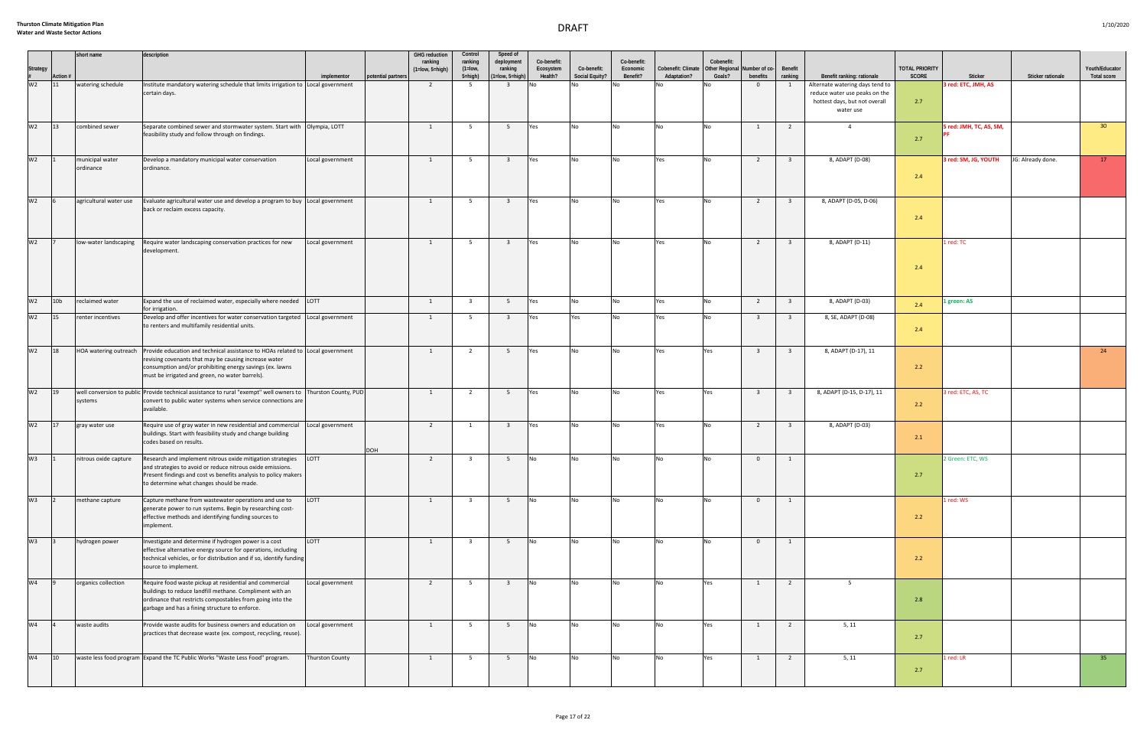|                     |                 | short name             | description                                                                                                                                                                  |                        |                    | <b>GHG</b> reduction<br>ranking | Control<br>ranking      | Speed of<br>deployment    | Co-benefit:          |                               | Co-benefit:          |                                                                    | Cobenefit: |                         |                         |                                 |                                |                         |                   |                                      |
|---------------------|-----------------|------------------------|------------------------------------------------------------------------------------------------------------------------------------------------------------------------------|------------------------|--------------------|---------------------------------|-------------------------|---------------------------|----------------------|-------------------------------|----------------------|--------------------------------------------------------------------|------------|-------------------------|-------------------------|---------------------------------|--------------------------------|-------------------------|-------------------|--------------------------------------|
| Strategy<br>#<br>W2 | Action #        |                        |                                                                                                                                                                              | implementor            | potential partners | $(1 = low, 5 = high)$           | $(1=low,$<br>5=high)    | ranking<br>1=low, 5=high) | Ecosystem<br>Health? | Co-benefit:<br>Social Equity? | Economic<br>Benefit? | Cobenefit: Climate   Other Regional   Number of co-<br>Adaptation? | Goals?     | benefits                | Benefit<br>ranking      | Benefit ranking: rationale      | <b>TOTAL PRIORITY</b><br>SCORE | Sticker                 |                   | Youth/Educator<br><b>Total score</b> |
|                     | 11              | watering schedule      | Institute mandatory watering schedule that limits irrigation to Local government                                                                                             |                        |                    | $\overline{2}$                  | - 5                     | $\overline{\mathbf{3}}$   | I No                 |                               |                      |                                                                    |            | $\overline{0}$          | - 1                     | Alternate watering days tend to |                                | 3 red: ETC, JMH, AS     | Sticker rationale |                                      |
|                     |                 |                        | certain days.                                                                                                                                                                |                        |                    |                                 |                         |                           |                      |                               |                      |                                                                    |            |                         |                         | reduce water use peaks on the   |                                |                         |                   |                                      |
|                     |                 |                        |                                                                                                                                                                              |                        |                    |                                 |                         |                           |                      |                               |                      |                                                                    |            |                         |                         | hottest days, but not overall   | 2.7                            |                         |                   |                                      |
|                     |                 |                        |                                                                                                                                                                              |                        |                    |                                 |                         |                           |                      |                               |                      |                                                                    |            |                         |                         | water use                       |                                |                         |                   |                                      |
| W2 13               |                 | combined sewer         | Separate combined sewer and stormwater system. Start with Olympia, LOTT                                                                                                      |                        |                    | $\overline{1}$                  | 5                       | 5 <sup>5</sup>            | Yes                  | No                            | <b>No</b>            | <b>No</b>                                                          | <b>No</b>  | $\mathbf{1}$            | $\overline{2}$          | $\overline{a}$                  |                                | 5 red: JMH, TC, AS, SM, |                   | 30 <sup>2</sup>                      |
|                     |                 |                        | feasibility study and follow through on findings.                                                                                                                            |                        |                    |                                 |                         |                           |                      |                               |                      |                                                                    |            |                         |                         |                                 | 2.7                            |                         |                   |                                      |
|                     |                 |                        |                                                                                                                                                                              |                        |                    |                                 |                         |                           |                      |                               |                      |                                                                    |            |                         |                         |                                 |                                |                         |                   |                                      |
| W <sub>2</sub>      |                 | municipal water        | Develop a mandatory municipal water conservation                                                                                                                             | Local government       |                    | $\mathbf{1}$                    | 5 <sup>5</sup>          | $\overline{\mathbf{3}}$   | Yes                  | No                            | No                   | Yes                                                                | <b>No</b>  | $\overline{2}$          | $\overline{\mathbf{3}}$ | 8, ADAPT (D-08)                 |                                | 3 red: SM, JG, YOUTH    | JG: Already done. | 17                                   |
|                     |                 | ordinance              | ordinance.                                                                                                                                                                   |                        |                    |                                 |                         |                           |                      |                               |                      |                                                                    |            |                         |                         |                                 | 2.4                            |                         |                   |                                      |
|                     |                 |                        |                                                                                                                                                                              |                        |                    |                                 |                         |                           |                      |                               |                      |                                                                    |            |                         |                         |                                 |                                |                         |                   |                                      |
|                     |                 |                        |                                                                                                                                                                              |                        |                    |                                 |                         |                           |                      |                               |                      |                                                                    |            |                         |                         |                                 |                                |                         |                   |                                      |
| W <sub>2</sub>      |                 | agricultural water use | Evaluate agricultural water use and develop a program to buy Local government<br>back or reclaim excess capacity.                                                            |                        |                    | $\mathbf{1}$                    | 5 <sup>5</sup>          | $\overline{\mathbf{3}}$   | Yes                  | <b>No</b>                     | <b>No</b>            | Yes                                                                | <b>No</b>  | $\overline{2}$          | $\overline{\mathbf{3}}$ | 8, ADAPT (D-05, D-06)           |                                |                         |                   |                                      |
|                     |                 |                        |                                                                                                                                                                              |                        |                    |                                 |                         |                           |                      |                               |                      |                                                                    |            |                         |                         |                                 | 2.4                            |                         |                   |                                      |
|                     |                 |                        |                                                                                                                                                                              |                        |                    |                                 |                         |                           |                      |                               |                      |                                                                    |            |                         |                         |                                 |                                |                         |                   |                                      |
| W <sub>2</sub>      |                 | low-water landscaping  | Require water landscaping conservation practices for new                                                                                                                     | Local government       |                    | $\mathbf{1}$                    | 5 <sup>5</sup>          | $\overline{\mathbf{3}}$   | Yes                  | No                            | No                   | Yes                                                                | <b>No</b>  | $\overline{2}$          | $\overline{\mathbf{3}}$ | 8, ADAPT (D-11)                 |                                | 1 red: TC               |                   |                                      |
|                     |                 |                        | development.                                                                                                                                                                 |                        |                    |                                 |                         |                           |                      |                               |                      |                                                                    |            |                         |                         |                                 |                                |                         |                   |                                      |
|                     |                 |                        |                                                                                                                                                                              |                        |                    |                                 |                         |                           |                      |                               |                      |                                                                    |            |                         |                         |                                 |                                |                         |                   |                                      |
|                     |                 |                        |                                                                                                                                                                              |                        |                    |                                 |                         |                           |                      |                               |                      |                                                                    |            |                         |                         |                                 | 2.4                            |                         |                   |                                      |
|                     |                 |                        |                                                                                                                                                                              |                        |                    |                                 |                         |                           |                      |                               |                      |                                                                    |            |                         |                         |                                 |                                |                         |                   |                                      |
| W <sub>2</sub>      |                 |                        |                                                                                                                                                                              |                        |                    |                                 |                         |                           |                      |                               |                      |                                                                    |            | $\overline{2}$          |                         |                                 |                                |                         |                   |                                      |
|                     | 10 <sub>b</sub> | reclaimed water        | Expand the use of reclaimed water, especially where needed   LOTT<br>for irrigation.                                                                                         |                        |                    | $\mathbf{1}$                    | $\overline{\mathbf{3}}$ | 5 <sup>5</sup>            | Yes                  | No                            | No                   | Yes                                                                | <b>No</b>  |                         | $\overline{\mathbf{3}}$ | 8, ADAPT (D-03)                 | 2.4                            | l green: AS             |                   |                                      |
| W2 15               |                 | renter incentives      | Develop and offer incentives for water conservation targeted Local government                                                                                                |                        |                    | 1                               | 5                       | $\overline{\mathbf{3}}$   | Yes                  | Yes                           | No                   | Yes                                                                | No         | $\overline{\mathbf{3}}$ | $\overline{\mathbf{3}}$ | 8, SE, ADAPT (D-08)             |                                |                         |                   |                                      |
|                     |                 |                        | to renters and multifamily residential units.                                                                                                                                |                        |                    |                                 |                         |                           |                      |                               |                      |                                                                    |            |                         |                         |                                 | 2.4                            |                         |                   |                                      |
|                     |                 |                        |                                                                                                                                                                              |                        |                    |                                 |                         |                           |                      |                               |                      |                                                                    |            |                         |                         |                                 |                                |                         |                   |                                      |
| W2 18               |                 |                        | HOA watering outreach Provide education and technical assistance to HOAs related to Local government                                                                         |                        |                    | $\mathbf{1}$                    | $\overline{2}$          | 5 <sup>5</sup>            | Yes                  | No                            | <b>No</b>            | Yes                                                                | Yes        | $\overline{\mathbf{3}}$ | $\overline{\mathbf{3}}$ | 8, ADAPT (D-17), 11             |                                |                         |                   | 24                                   |
|                     |                 |                        | revising covenants that may be causing increase water<br>consumption and/or prohibiting energy savings (ex. lawns                                                            |                        |                    |                                 |                         |                           |                      |                               |                      |                                                                    |            |                         |                         |                                 | 2.2                            |                         |                   |                                      |
|                     |                 |                        | must be irrigated and green, no water barrels).                                                                                                                              |                        |                    |                                 |                         |                           |                      |                               |                      |                                                                    |            |                         |                         |                                 |                                |                         |                   |                                      |
|                     |                 |                        |                                                                                                                                                                              |                        |                    |                                 |                         |                           |                      |                               |                      |                                                                    |            |                         |                         |                                 |                                |                         |                   |                                      |
| W2 19               |                 | systems                | well conversion to public Provide technical assistance to rural "exempt" well owners to Thurston County, PUD<br>convert to public water systems when service connections are |                        |                    | $\mathbf{1}$                    | $\overline{2}$          | 5 <sup>5</sup>            | Yes                  | <b>No</b>                     | <b>No</b>            | Yes                                                                | Yes        | $\overline{\mathbf{3}}$ | $\overline{\mathbf{3}}$ | 8, ADAPT (D-15, D-17), 11       |                                | 3 red: ETC, AS, TC      |                   |                                      |
|                     |                 |                        | available.                                                                                                                                                                   |                        |                    |                                 |                         |                           |                      |                               |                      |                                                                    |            |                         |                         |                                 | 2.2                            |                         |                   |                                      |
| W2 17               |                 |                        |                                                                                                                                                                              |                        |                    |                                 |                         |                           |                      |                               |                      |                                                                    |            |                         |                         |                                 |                                |                         |                   |                                      |
|                     |                 | gray water use         | Require use of gray water in new residential and commercial<br>buildings. Start with feasibility study and change building                                                   | Local government       |                    | $\overline{2}$                  | $\mathbf{1}$            | $\overline{\mathbf{3}}$   | Yes                  | <b>No</b>                     | <b>No</b>            | Yes                                                                | <b>No</b>  | $\overline{2}$          | $\overline{\mathbf{3}}$ | 8, ADAPT (D-03)                 |                                |                         |                   |                                      |
|                     |                 |                        | codes based on results.                                                                                                                                                      |                        |                    |                                 |                         |                           |                      |                               |                      |                                                                    |            |                         |                         |                                 | 2.1                            |                         |                   |                                      |
| $W3$ 1              |                 |                        | Research and implement nitrous oxide mitigation strategies                                                                                                                   | LOTT                   | <b>DOH</b>         |                                 | 3                       | 5                         | <b>No</b>            |                               | N <sub>0</sub>       |                                                                    | <b>No</b>  | $\Omega$                |                         |                                 |                                | 2 Green: ETC, WS        |                   |                                      |
|                     |                 | nitrous oxide capture  | and strategies to avoid or reduce nitrous oxide emissions.                                                                                                                   |                        |                    | $\overline{2}$                  |                         |                           |                      |                               |                      |                                                                    |            |                         | 1                       |                                 |                                |                         |                   |                                      |
|                     |                 |                        | Present findings and cost vs benefits analysis to policy makers                                                                                                              |                        |                    |                                 |                         |                           |                      |                               |                      |                                                                    |            |                         |                         |                                 | 2.7                            |                         |                   |                                      |
|                     |                 |                        | to determine what changes should be made.                                                                                                                                    |                        |                    |                                 |                         |                           |                      |                               |                      |                                                                    |            |                         |                         |                                 |                                |                         |                   |                                      |
| W3                  |                 | methane capture        | Capture methane from wastewater operations and use to                                                                                                                        | LOTT                   |                    | $\overline{1}$                  | $\overline{\mathbf{3}}$ | 5 <sup>5</sup>            | N <sub>o</sub>       | <b>No</b>                     | <b>No</b>            | <b>No</b>                                                          | <b>No</b>  | $\overline{0}$          | 1                       |                                 |                                | 1 red: WS               |                   |                                      |
|                     |                 |                        | generate power to run systems. Begin by researching cost-                                                                                                                    |                        |                    |                                 |                         |                           |                      |                               |                      |                                                                    |            |                         |                         |                                 |                                |                         |                   |                                      |
|                     |                 |                        | effective methods and identifying funding sources to<br>implement.                                                                                                           |                        |                    |                                 |                         |                           |                      |                               |                      |                                                                    |            |                         |                         |                                 | 2.2                            |                         |                   |                                      |
|                     |                 |                        |                                                                                                                                                                              |                        |                    |                                 |                         |                           |                      |                               |                      |                                                                    |            |                         |                         |                                 |                                |                         |                   |                                      |
| W3                  |                 | hydrogen power         | Investigate and determine if hydrogen power is a cost                                                                                                                        | LOTT                   |                    | 1                               | $\overline{\mathbf{3}}$ | 5 <sup>5</sup>            | <b>No</b>            | No                            | No                   | No                                                                 | <b>No</b>  | $\overline{0}$          | $\mathbf{1}$            |                                 |                                |                         |                   |                                      |
|                     |                 |                        | effective alternative energy source for operations, including<br>technical vehicles, or for distribution and if so, identify funding                                         |                        |                    |                                 |                         |                           |                      |                               |                      |                                                                    |            |                         |                         |                                 | 2.2                            |                         |                   |                                      |
|                     |                 |                        | source to implement.                                                                                                                                                         |                        |                    |                                 |                         |                           |                      |                               |                      |                                                                    |            |                         |                         |                                 |                                |                         |                   |                                      |
| W <sub>4</sub>      |                 | organics collection    | Require food waste pickup at residential and commercial                                                                                                                      | Local government       |                    | $\overline{2}$                  | 5 <sub>5</sub>          | $\overline{\mathbf{3}}$   | N <sub>O</sub>       | <b>No</b>                     | <b>No</b>            | <b>No</b>                                                          | Yes        | $\mathbf{1}$            | $\overline{2}$          | 5 <sup>5</sup>                  |                                |                         |                   |                                      |
|                     |                 |                        | buildings to reduce landfill methane. Compliment with an                                                                                                                     |                        |                    |                                 |                         |                           |                      |                               |                      |                                                                    |            |                         |                         |                                 |                                |                         |                   |                                      |
|                     |                 |                        | ordinance that restricts compostables from going into the                                                                                                                    |                        |                    |                                 |                         |                           |                      |                               |                      |                                                                    |            |                         |                         |                                 | 2.8                            |                         |                   |                                      |
|                     |                 |                        | garbage and has a fining structure to enforce.                                                                                                                               |                        |                    |                                 |                         |                           |                      |                               |                      |                                                                    |            |                         |                         |                                 |                                |                         |                   |                                      |
| W <sub>4</sub>      |                 | waste audits           | Provide waste audits for business owners and education on                                                                                                                    | ocal government        |                    | $\overline{1}$                  | 5                       | 5 <sup>5</sup>            | N <sub>o</sub>       | No                            | <b>No</b>            | <b>No</b>                                                          | Yes        | $\mathbf{1}$            | $\overline{2}$          | 5, 11                           |                                |                         |                   |                                      |
|                     |                 |                        | practices that decrease waste (ex. compost, recycling, reuse).                                                                                                               |                        |                    |                                 |                         |                           |                      |                               |                      |                                                                    |            |                         |                         |                                 | 2.7                            |                         |                   |                                      |
|                     |                 |                        |                                                                                                                                                                              |                        |                    |                                 |                         |                           |                      |                               |                      |                                                                    |            |                         |                         |                                 |                                |                         |                   |                                      |
| W <sub>4</sub>      | 10              |                        | waste less food program Expand the TC Public Works "Waste Less Food" program.                                                                                                | <b>Thurston County</b> |                    | $\overline{1}$                  | 5                       | 5 <sup>5</sup>            | <b>No</b>            | <b>No</b>                     | <b>No</b>            | <b>No</b>                                                          | Yes        | $\mathbf{1}$            | $\overline{2}$          | 5, 11                           |                                | 1 red: LR               |                   | 35                                   |
|                     |                 |                        |                                                                                                                                                                              |                        |                    |                                 |                         |                           |                      |                               |                      |                                                                    |            |                         |                         |                                 | 2.7                            |                         |                   |                                      |
|                     |                 |                        |                                                                                                                                                                              |                        |                    |                                 |                         |                           |                      |                               |                      |                                                                    |            |                         |                         |                                 |                                |                         |                   |                                      |
|                     |                 |                        |                                                                                                                                                                              |                        |                    |                                 |                         |                           |                      |                               |                      |                                                                    |            |                         |                         |                                 |                                |                         |                   |                                      |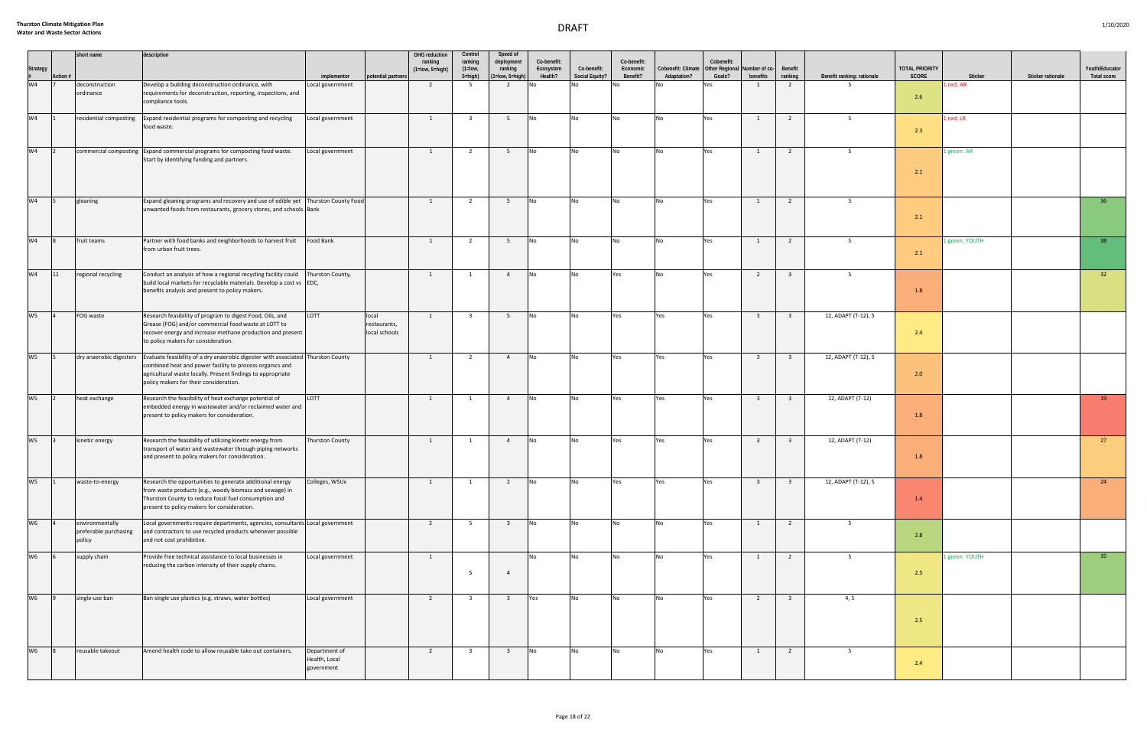|                     |           | short name                                         | description                                                                                                                                                                                                                                           |                                              |                                        | <b>GHG</b> reduction             | Control                         | Speed of                                | Co-benefit:          |                               | Co-benefit:          |                                   | Cobenefit:                      |                           |                         |                            |                                |                |                   |                                      |
|---------------------|-----------|----------------------------------------------------|-------------------------------------------------------------------------------------------------------------------------------------------------------------------------------------------------------------------------------------------------------|----------------------------------------------|----------------------------------------|----------------------------------|---------------------------------|-----------------------------------------|----------------------|-------------------------------|----------------------|-----------------------------------|---------------------------------|---------------------------|-------------------------|----------------------------|--------------------------------|----------------|-------------------|--------------------------------------|
| Strategy<br>#<br>W4 | Action #  |                                                    |                                                                                                                                                                                                                                                       | implementor                                  | potential partners                     | ranking<br>$(1 = low, 5 = high)$ | ranking<br>$(1=low,$<br>5=high) | deployment<br>ranking<br>1=low, 5=high) | Ecosystem<br>Health? | Co-benefit:<br>Social Equity? | Economic<br>Benefit? | Cobenefit: Climate<br>Adaptation? | <b>Other Regional</b><br>Goals? | Number of co-<br>benefits | Benefit<br>ranking      | Benefit ranking: rationale | <b>TOTAL PRIORITY</b><br>SCORE | Sticker        | Sticker rationale | Youth/Educator<br><b>Total score</b> |
|                     |           | deconstruction                                     | Develop a building deconstruction ordinance, with                                                                                                                                                                                                     | ocal government.                             |                                        | $\overline{2}$                   | 5                               | $\overline{2}$                          | No                   |                               |                      |                                   | Yes                             |                           | $\overline{2}$          | - 5                        |                                | red: AR        |                   |                                      |
|                     |           | ordinance                                          | requirements for deconstruction, reporting, inspections, and<br>compliance tools.                                                                                                                                                                     |                                              |                                        |                                  |                                 |                                         |                      |                               |                      |                                   |                                 |                           |                         |                            | 2.6                            |                |                   |                                      |
| W <sub>4</sub>      |           | residential composting                             | Expand residential programs for composting and recycling<br>food waste.                                                                                                                                                                               | Local government                             |                                        | $\overline{1}$                   | $\overline{\mathbf{3}}$         | 5 <sup>5</sup>                          | <b>No</b>            | No                            | N <sub>0</sub>       | <b>No</b>                         | Yes                             | $\overline{1}$            | $\overline{2}$          | 5 <sup>5</sup>             | 2.3                            | 1 red: LR      |                   |                                      |
|                     |           |                                                    |                                                                                                                                                                                                                                                       |                                              |                                        |                                  |                                 |                                         |                      |                               |                      |                                   |                                 |                           |                         |                            |                                |                |                   |                                      |
| W <sub>4</sub>      | $\vert$ 2 |                                                    | commercial composting Expand commercial programs for composting food waste.<br>Start by identifying funding and partners.                                                                                                                             | Local government                             |                                        | $\overline{1}$                   | $\overline{2}$                  | 5                                       | <b>No</b>            | <b>No</b>                     | No                   | <b>No</b>                         | Yes                             | 1                         | $\overline{2}$          | 5 <sup>5</sup>             | 2.1                            | 1 green: AR    |                   |                                      |
|                     |           |                                                    |                                                                                                                                                                                                                                                       |                                              |                                        |                                  |                                 |                                         |                      |                               |                      |                                   |                                 |                           |                         |                            |                                |                |                   |                                      |
| W <sub>4</sub>      |           | gleaning                                           | Expand gleaning programs and recovery and use of edible yet   Thurston County Food <br>unwanted foods from restaurants, grocery stores, and schools. Bank                                                                                             |                                              |                                        | $\mathbf{1}$                     | $\overline{2}$                  | 5                                       | <b>No</b>            | <b>No</b>                     | <b>No</b>            | <b>No</b>                         | Yes                             | 1                         | $\overline{2}$          | 5 <sup>5</sup>             | 2.1                            |                |                   | 36                                   |
| W <sub>4</sub>      |           | fruit teams                                        | Partner with food banks and neighborhoods to harvest fruit<br>from urban fruit trees.                                                                                                                                                                 | Food Bank                                    |                                        | $\mathbf{1}$                     | $\overline{2}$                  | 5 <sub>5</sub>                          | No                   | No                            | No                   | <b>No</b>                         | Yes                             | 1                         | $\overline{2}$          | 5 <sup>5</sup>             | 2.1                            | 1 green: YOUTH |                   | 38                                   |
| $W4$ 11             |           | regional recycling                                 | Conduct an analysis of how a regional recycling facility could<br>build local markets for recyclable materials. Develop a cost vs EDC,<br>benefits analysis and present to policy makers.                                                             | Thurston County,                             |                                        | 1                                | $\mathbf{1}$                    | $\overline{4}$                          | <b>No</b>            | <b>No</b>                     | Yes                  | <b>No</b>                         | Yes                             | 2                         | $\overline{\mathbf{3}}$ | 5 <sup>5</sup>             | 1.8                            |                |                   | $32 -$                               |
| W5                  |           | FOG waste                                          | Research feasibility of program to digest Food, Oils, and<br>Grease (FOG) and/or commercial food waste at LOTT to<br>recover energy and increase methane production and present<br>to policy makers for consideration.                                | LOTT                                         | local<br>restaurants,<br>local schools | 1                                | $\overline{\mathbf{3}}$         | 5 <sup>5</sup>                          | <b>No</b>            | <b>No</b>                     | Yes                  | Yes                               | Yes                             | $\overline{\mathbf{3}}$   | $\overline{\mathbf{3}}$ | 12, ADAPT (T-12), 5        | 2.4                            |                |                   |                                      |
| W <sub>5</sub>      |           | dry anaerobic digesters                            | Evaluate feasibility of a dry anaerobic digester with associated Thurston County<br>combined heat and power facility to process organics and<br>agricultural waste locally. Present findings to appropriate<br>policy makers for their consideration. |                                              |                                        | <sup>1</sup>                     | $\overline{2}$                  | $\overline{4}$                          | N <sub>o</sub>       | No                            | Yes                  | Yes                               | Yes                             | $\overline{3}$            | $\overline{\mathbf{3}}$ | 12, ADAPT (T-12), 5        | 2.0                            |                |                   |                                      |
| W <sub>5</sub>      |           | heat exchange                                      | Research the feasibility of heat exchange potential of<br>embedded energy in wastewater and/or reclaimed water and<br>present to policy makers for consideration.                                                                                     | LOTT                                         |                                        | $\overline{1}$                   | $\mathbf{1}$                    | $\overline{4}$                          | <b>No</b>            | No                            | Yes                  | Yes                               | Yes                             | $\overline{\mathbf{3}}$   | $\overline{\mathbf{3}}$ | 12, ADAPT (T-12)           | 1.8                            |                |                   | 19                                   |
| $W5$ 3              |           | kinetic energy                                     | Research the feasibility of utilizing kinetic energy from<br>transport of water and wastewater through piping networks<br>and present to policy makers for consideration.                                                                             | Thurston County                              |                                        | <sup>1</sup>                     | $\mathbf{1}$                    | $\overline{4}$                          | No                   | No                            | Yes                  | Yes                               | Yes                             | $\overline{\mathbf{3}}$   | $\overline{\mathbf{3}}$ | 12, ADAPT (T-12)           | 1.8                            |                |                   | 27                                   |
| W <sub>5</sub>      |           | waste-to-energy                                    | Research the opportunities to generate additional energy<br>from waste products (e.g., woody biomass and sewage) in<br>Thurston County to reduce fossil fuel consumption and<br>present to policy makers for consideration.                           | Colleges, WSUx                               |                                        | $\overline{1}$                   | 1                               | 2                                       | <b>No</b>            |                               | Yes                  | Yes                               | Yes                             | $\overline{\mathbf{3}}$   | $\overline{\mathbf{3}}$ | 12, ADAPT (T-12), 5        | 1.4                            |                |                   | 24                                   |
| W <sub>6</sub>      |           | environmentally<br>preferable purchasing<br>policy | Local governments require departments, agencies, consultants Local government<br>and contractors to use recycled products whenever possible<br>and not cost prohibitive.                                                                              |                                              |                                        | $\overline{2}$                   | 5 <sup>5</sup>                  | $\overline{\mathbf{3}}$                 | <b>No</b>            | <b>No</b>                     | No                   | <b>No</b>                         | Yes                             | 1                         | $\overline{2}$          | 5                          | 2.8                            |                |                   |                                      |
| W <sub>6</sub>      |           | supply chain                                       | Provide free technical assistance to local businesses in<br>reducing the carbon intensity of their supply chains.                                                                                                                                     | Local government                             |                                        | $\overline{1}$                   | - 5                             | $\overline{4}$                          | <b>No</b>            | <b>No</b>                     | No                   | <b>No</b>                         | Yes                             | 1                         | $\overline{2}$          | 5 <sup>5</sup>             | 2.5                            | 1 green: YOUTH |                   | 35                                   |
| W <sub>6</sub>      |           | single-use ban                                     | Ban single use plastics (e.g. straws, water bottles)                                                                                                                                                                                                  | Local government                             |                                        | $\overline{2}$                   | $\overline{\mathbf{3}}$         | $\overline{\mathbf{3}}$                 | Yes                  | No                            | No                   | No                                | Yes                             | 2                         | $\overline{\mathbf{3}}$ | 4, 5                       | 2.5                            |                |                   |                                      |
| W6                  |           | reusable takeout                                   | Amend health code to allow reusable take out containers.                                                                                                                                                                                              | Department of<br>Health, Local<br>government |                                        | $\overline{2}$                   | $\overline{\mathbf{3}}$         | $\overline{\mathbf{3}}$                 | N <sub>O</sub>       | <b>No</b>                     | <b>No</b>            | <b>No</b>                         | Yes                             | 1                         | $\overline{2}$          | $5\overline{)}$            | 2.4                            |                |                   |                                      |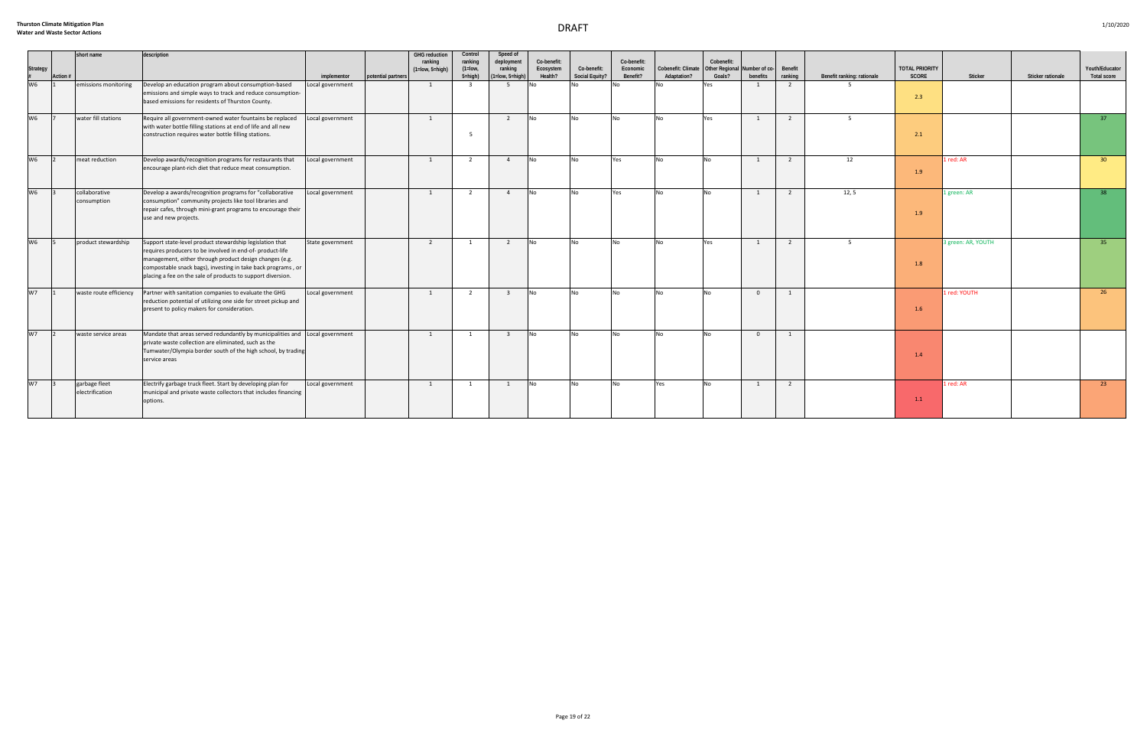| Strategy<br>#<br>W6 | Action # | short name                       | description                                                                                                                                                                                                                                                                                                    | implementor      | potential partners | <b>GHG reduction</b><br>ranking<br>$(1 = low, 5 = high)$ | Control<br>ranking<br>$(1=low,$<br>$5 = high$ ) | Speed of<br>deployment<br>ranking<br>$(1 = low, 5 = high)$ | Co-benefit:<br>Ecosystem<br>Health? | Co-benefit:<br>Social Equity? | Co-benefit:<br>Economic<br>Benefit? | Cobenefit: Climate   Other Regional<br>Adaptation? | Cobenefit:<br>Goals? | Number of co-<br>benefits | Benefit<br>ranking | Benefit ranking: rationale | <b>TOTAL PRIORITY</b><br>SCORE | Sticker            | Sticker rationale | Youth/Educator<br><b>Total score</b> |
|---------------------|----------|----------------------------------|----------------------------------------------------------------------------------------------------------------------------------------------------------------------------------------------------------------------------------------------------------------------------------------------------------------|------------------|--------------------|----------------------------------------------------------|-------------------------------------------------|------------------------------------------------------------|-------------------------------------|-------------------------------|-------------------------------------|----------------------------------------------------|----------------------|---------------------------|--------------------|----------------------------|--------------------------------|--------------------|-------------------|--------------------------------------|
|                     |          | emissions monitoring             | Develop an education program about consumption-based<br>emissions and simple ways to track and reduce consumption-<br>based emissions for residents of Thurston County.                                                                                                                                        | Local government |                    | $\overline{1}$                                           | $\mathbf{R}$                                    | 5                                                          | <b>No</b>                           |                               |                                     |                                                    | Yes                  |                           | $\overline{2}$     |                            | 2.3                            |                    |                   |                                      |
| W <sub>6</sub>      |          | water fill stations              | Require all government-owned water fountains be replaced<br>with water bottle filling stations at end of life and all new<br>construction requires water bottle filling stations.                                                                                                                              | Local government |                    | $\overline{1}$                                           | - 5                                             | $\overline{2}$                                             | $\overline{\phantom{a}}$ No         | <b>No</b>                     | N <sub>0</sub>                      | <b>No</b>                                          | Yes                  | $\overline{1}$            | $\overline{2}$     | 5 <sup>5</sup>             | 2.1                            |                    |                   | 37 <sup>2</sup>                      |
| W <sub>6</sub>      |          | meat reduction                   | Develop awards/recognition programs for restaurants that<br>encourage plant-rich diet that reduce meat consumption.                                                                                                                                                                                            | Local government |                    | $\overline{1}$                                           | 2                                               | $\overline{4}$                                             | <b>No</b>                           | <b>No</b>                     | Yes                                 | <b>No</b>                                          | <b>No</b>            |                           | $\overline{2}$     | 12                         | 1.9                            | 1 red: AR          |                   | 30 <sup>°</sup>                      |
| W6                  |          | collaborative<br>consumption     | Develop a awards/recognition programs for "collaborative<br>consumption" community projects like tool libraries and<br>repair cafes, through mini-grant programs to encourage their<br>use and new projects.                                                                                                   | Local government |                    | $\overline{1}$                                           | $\overline{2}$                                  | $\overline{4}$                                             | N <sub>o</sub>                      | <b>No</b>                     | Yes                                 | <b>No</b>                                          | N <sub>o</sub>       | $\overline{1}$            | $\overline{2}$     | 12, 5                      | 1.9                            | 1 green: AR        |                   | 38 <sup>2</sup>                      |
| W <sub>6</sub>      |          | product stewardship              | Support state-level product stewardship legislation that<br>requires producers to be involved in end-of-product-life<br>management, either through product design changes (e.g.<br>compostable snack bags), investing in take back programs, or<br>placing a fee on the sale of products to support diversion. | State government |                    | $\overline{2}$                                           | 1                                               | $\overline{2}$                                             | <b>No</b>                           | N <sub>0</sub>                | N <sub>0</sub>                      | <b>No</b>                                          | Yes                  | $\overline{1}$            | $\overline{2}$     | $5^{\circ}$                | 1.8                            | 3 green: AR, YOUTH |                   | 35                                   |
| W <sub>7</sub>      |          | waste route efficiency           | Partner with sanitation companies to evaluate the GHG<br>reduction potential of utilizing one side for street pickup and<br>present to policy makers for consideration.                                                                                                                                        | Local government |                    | 1                                                        | $\overline{2}$                                  | $\overline{\mathbf{3}}$                                    | $\overline{\mathsf{No}}$            | <b>No</b>                     | N <sub>O</sub>                      | <b>No</b>                                          | <b>No</b>            | $\overline{0}$            | 1                  |                            | 1.6                            | 1 red: YOUTH       |                   | 26                                   |
| W <sub>7</sub>      |          | waste service areas              | Mandate that areas served redundantly by municipalities and Local government<br>private waste collection are eliminated, such as the<br>Tumwater/Olympia border south of the high school, by trading<br>service areas                                                                                          |                  |                    | 1                                                        | $\overline{1}$                                  | $\overline{\mathbf{3}}$                                    | N <sub>o</sub>                      | <b>No</b>                     | <b>No</b>                           | <b>No</b>                                          | <b>No</b>            | $\overline{0}$            | $\overline{1}$     |                            | 1.4                            |                    |                   |                                      |
| W <sub>7</sub>      |          | garbage fleet<br>electrification | Electrify garbage truck fleet. Start by developing plan for<br>municipal and private waste collectors that includes financing<br>options.                                                                                                                                                                      | Local government |                    | $\overline{1}$                                           | $\mathbf{1}$                                    | 1                                                          | <b>No</b>                           | <b>No</b>                     | N <sub>0</sub>                      | Yes                                                | N <sub>o</sub>       |                           | $\overline{2}$     |                            | 1.1                            | 1 red: AR          |                   | 23                                   |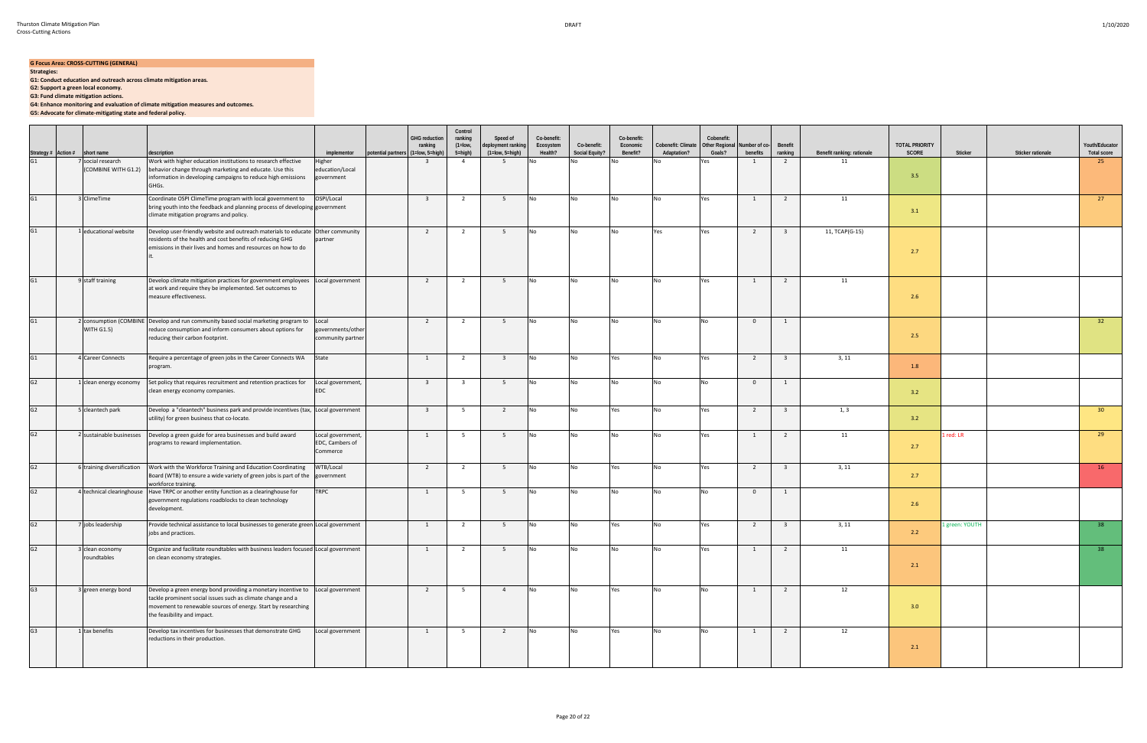## **G Focus Area: CROSS-CUTTING (GENERAL)**

**Strategies:**

 $\sim$ 

**G1: Conduct education and outreach across climate mitigation areas.**

**G2: Support a green local economy.**

**G3: Fund climate mitigation actions.**

**G4: Enhance monitoring and evaluation of climate mitigation measures and outcomes.**

**G5: Advocate for climate-mitigating state and federal policy.**

|                                                    |                                | description                                                                                                                                                                                                                                   | implementor                                      | potential partners (1=low, 5=high) | <b>GHG reduction</b><br>ranking | Control<br>ranking<br>$(1 = low,$<br>5=high) | Speed of<br>deployment ranking<br>$(1 = low, 5 = high)$ | Co-benefit:<br>Ecosystem<br>Health? | Co-benefit:<br>Social Equity? | Co-benefit:<br>Economic<br>Benefit? | Cobenefit: Climate<br>Adaptation? | Cobenefit:<br><b>Other Regional</b><br>Goals? | Number of co-<br>benefits | Benefit<br>ranking      | Benefit ranking: rationale | <b>TOTAL PRIORITY</b><br>SCORE | Sticker        | Sticker rationale | Youth/Educator<br><b>Total score</b> |
|----------------------------------------------------|--------------------------------|-----------------------------------------------------------------------------------------------------------------------------------------------------------------------------------------------------------------------------------------------|--------------------------------------------------|------------------------------------|---------------------------------|----------------------------------------------|---------------------------------------------------------|-------------------------------------|-------------------------------|-------------------------------------|-----------------------------------|-----------------------------------------------|---------------------------|-------------------------|----------------------------|--------------------------------|----------------|-------------------|--------------------------------------|
| Strategy # Action # short name<br>G1 7 social rese | 7 social research              | Work with higher education institutions to research effective<br>(COMBINE WITH G1.2)   behavior change through marketing and educate. Use this<br>information in developing campaigns to reduce high emissions<br>GHGs.                       | Higher<br>education/Local<br>government          |                                    | $\overline{\mathbf{3}}$         | $\overline{4}$                               | - 5                                                     | No                                  |                               | No                                  | Nο                                | Yes                                           | $\mathbf{1}$              | $\overline{2}$          | 11                         | 3.5                            |                |                   | 25                                   |
| G1                                                 | 3 ClimeTime                    | Coordinate OSPI ClimeTime program with local government to<br>bring youth into the feedback and planning process of developing government<br>climate mitigation programs and policy.                                                          | OSPI/Local                                       |                                    | $\overline{\mathbf{3}}$         | $\overline{2}$                               | 5                                                       | No                                  | No                            | No                                  | No                                | Yes                                           | $\mathbf{1}$              | $\overline{2}$          | 11                         | 3.1                            |                |                   | 27                                   |
| G1                                                 | 1 educational website          | Develop user-friendly website and outreach materials to educate Other community<br>residents of the health and cost benefits of reducing GHG<br>emissions in their lives and homes and resources on how to do                                 | partner                                          |                                    | $\overline{2}$                  | 2                                            | $5\overline{5}$                                         | <b>No</b>                           | No                            | No                                  | Yes                               | Yes                                           | $\overline{2}$            | $\overline{\mathbf{3}}$ | 11, TCAP(G-15)             | 2.7                            |                |                   |                                      |
| G1                                                 | 9 staff training               | Develop climate mitigation practices for government employees<br>at work and require they be implemented. Set outcomes to<br>measure effectiveness.                                                                                           | Local government                                 |                                    | $\overline{2}$                  | $\overline{2}$                               | 5                                                       | <b>No</b>                           | No                            | No                                  | <b>No</b>                         | Yes                                           | $\mathbf{1}$              | $\overline{2}$          | 11                         | 2.6                            |                |                   |                                      |
| G1                                                 | <b>WITH G1.5)</b>              | 2 consumption (COMBINE Develop and run community based social marketing program to<br>reduce consumption and inform consumers about options for<br>reducing their carbon footprint.                                                           | Local<br>governments/other<br>community partner  |                                    | $\overline{2}$                  | $\overline{2}$                               | $5^{\circ}$                                             | No                                  | No                            | No                                  | <b>No</b>                         | No                                            | $\overline{0}$            | 1                       |                            | 2.5                            |                |                   | 32                                   |
| G1                                                 | 4 Career Connects              | Require a percentage of green jobs in the Career Connects WA<br>program.                                                                                                                                                                      | State                                            |                                    | $\mathbf{1}$                    | $\overline{2}$                               | $\overline{\mathbf{3}}$                                 | <b>No</b>                           | <b>No</b>                     | Yes                                 | <b>No</b>                         | Yes                                           | $\overline{2}$            | $\overline{\mathbf{3}}$ | 3, 11                      | 1.8                            |                |                   |                                      |
| G2                                                 | 1 clean energy economy         | Set policy that requires recruitment and retention practices for<br>clean energy economy companies.                                                                                                                                           | Local government,<br>EDC                         |                                    | $\overline{\mathbf{3}}$         | $\overline{\mathbf{3}}$                      | 5 <sup>5</sup>                                          | No                                  | No                            | No                                  | <b>No</b>                         | No                                            | $\overline{0}$            | 1                       |                            | 3.2                            |                |                   |                                      |
| G2                                                 | 5 cleantech park               | Develop a "cleantech" business park and provide incentives (tax, Local government<br>utility) for green business that co-locate.                                                                                                              |                                                  |                                    | $\overline{\mathbf{3}}$         | $5^{\circ}$                                  | $\overline{2}$                                          | No                                  | No                            | Yes                                 | No                                | Yes                                           | $\overline{2}$            | $\overline{3}$          | 1, 3                       | 3.2                            |                |                   | 30 <sup>°</sup>                      |
| G2                                                 | 2 sustainable businesses       | Develop a green guide for area businesses and build award<br>programs to reward implementation.                                                                                                                                               | Local government,<br>EDC, Cambers of<br>Commerce |                                    | $\mathbf{1}$                    | 5                                            | 5 <sup>5</sup>                                          | No                                  | No.                           | No                                  | <b>No</b>                         | Yes                                           | $\mathbf{1}$              | $\overline{2}$          | 11                         | 2.7                            | 1 red: LR      |                   | 29                                   |
| G2                                                 | 6 training diversification     | Work with the Workforce Training and Education Coordinating<br>Board (WTB) to ensure a wide variety of green jobs is part of the<br>workforce training.                                                                                       | WTB/Local<br>government                          |                                    | $\overline{2}$                  | $\overline{2}$                               | 5 <sup>5</sup>                                          | No                                  | No                            | Yes                                 | No                                | Yes                                           | $\overline{2}$            | $\overline{\mathbf{3}}$ | 3, 11                      | 2.7                            |                |                   | 16                                   |
| G2                                                 |                                | 4 technical clearinghouse Have TRPC or another entity function as a clearinghouse for<br>government regulations roadblocks to clean technology<br>development.                                                                                | TRPC                                             |                                    | 1                               | 5                                            | 5 <sup>5</sup>                                          | No                                  | No.                           | No                                  | <b>No</b>                         | <b>No</b>                                     | $\overline{0}$            | 1                       |                            | 2.6                            |                |                   |                                      |
| G2                                                 | 7 jobs leadership              | Provide technical assistance to local businesses to generate green Local government<br>jobs and practices.                                                                                                                                    |                                                  |                                    | $\mathbf{1}$                    | $\overline{2}$                               | 5                                                       | No                                  | No.                           | Yes                                 | <b>No</b>                         | Yes                                           | $\overline{2}$            | $\overline{\mathbf{3}}$ | 3, 11                      | 2.2                            | 1 green: YOUTH |                   | 38                                   |
| G2                                                 | 3 clean economy<br>roundtables | Organize and facilitate roundtables with business leaders focused Local government<br>on clean economy strategies.                                                                                                                            |                                                  |                                    |                                 | $\mathbf{z}$                                 |                                                         |                                     |                               |                                     |                                   |                                               |                           |                         | 11                         | 2.1                            |                |                   |                                      |
| G3                                                 | 3 green energy bond            | Develop a green energy bond providing a monetary incentive to Local government<br>tackle prominent social issues such as climate change and a<br>movement to renewable sources of energy. Start by researching<br>the feasibility and impact. |                                                  |                                    | $\overline{2}$                  | 5 <sub>5</sub>                               | $\overline{4}$                                          | <b>No</b>                           | No                            | Yes                                 | <b>No</b>                         | <b>No</b>                                     | $\overline{1}$            | $\overline{2}$          | 12                         | 3.0                            |                |                   |                                      |
| G3                                                 | 1 tax benefits                 | Develop tax incentives for businesses that demonstrate GHG<br>reductions in their production.                                                                                                                                                 | Local government                                 |                                    | $\overline{1}$                  | 5                                            | $\overline{2}$                                          | <b>No</b>                           | N <sub>o</sub>                | Yes                                 | <b>No</b>                         | <b>No</b>                                     | $\overline{1}$            | $\overline{2}$          | 12                         | 2.1                            |                |                   |                                      |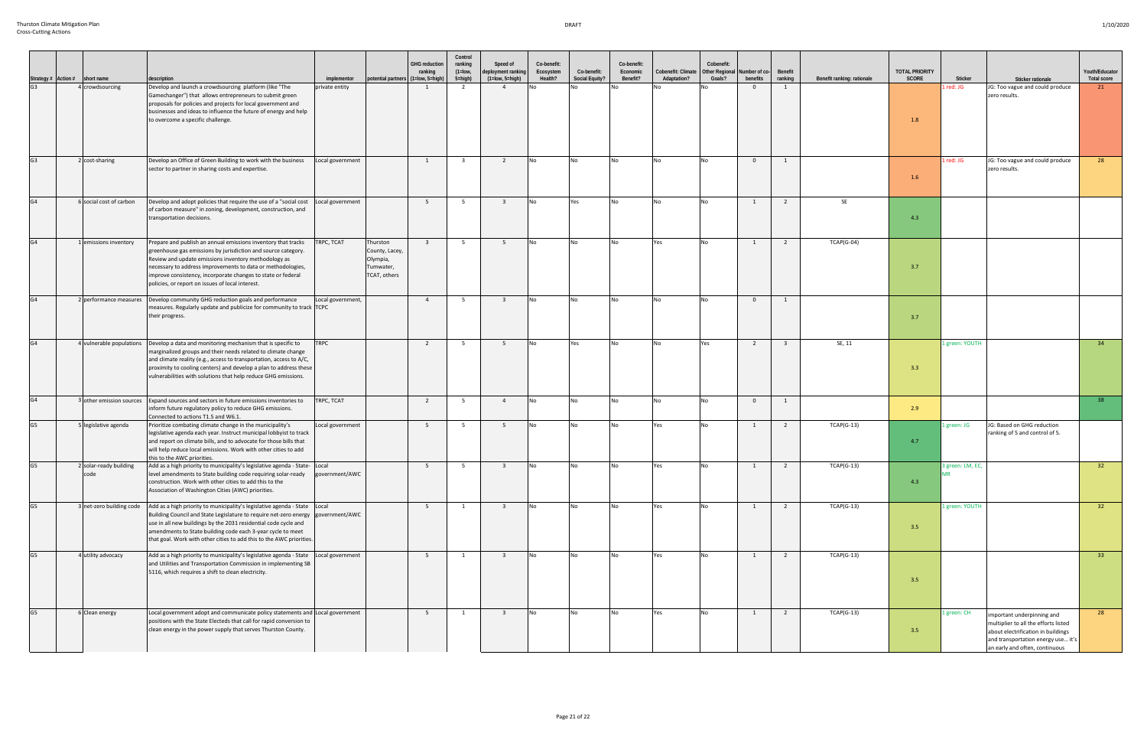|                | Strategy # Action # short name | description                                                                                                                                                                                                                                                                                                                                                                                      | implementor       | potential partners (                                                | <b>GHG</b> reduction<br>ranking<br>(1=low, 5=high) | Control<br>ranking<br>$(1 = low,$<br>5=high) | Speed of<br>deployment ranking<br>$(1 = low, 5 = high)$ | Co-benefit:<br>Ecosystem<br>Health? | Co-benefit:<br>Social Equity? | Co-benefit:<br>Economic<br>Benefit? | Cobenefit: Climate<br>Adaptation? | Cobenefit:<br>Other Regional Number of co-<br>Goals? | benefits       | Benefit<br>ranking      | Benefit ranking: rationale | <b>TOTAL PRIORITY</b><br>SCORE | Sticker          | Sticker rationale                                                                                                                                                                | Youth/Educator<br><b>Total score</b> |
|----------------|--------------------------------|--------------------------------------------------------------------------------------------------------------------------------------------------------------------------------------------------------------------------------------------------------------------------------------------------------------------------------------------------------------------------------------------------|-------------------|---------------------------------------------------------------------|----------------------------------------------------|----------------------------------------------|---------------------------------------------------------|-------------------------------------|-------------------------------|-------------------------------------|-----------------------------------|------------------------------------------------------|----------------|-------------------------|----------------------------|--------------------------------|------------------|----------------------------------------------------------------------------------------------------------------------------------------------------------------------------------|--------------------------------------|
| G3             | 4 crowdsourcing                | Develop and launch a crowdsourcing platform (like "The<br>Gamechanger") that allows entrepreneurs to submit green<br>proposals for policies and projects for local government and<br>businesses and ideas to influence the future of energy and help<br>to overcome a specific challenge.                                                                                                        | private entity    |                                                                     | $\mathbf{1}$                                       | 2                                            | $\overline{4}$                                          |                                     |                               |                                     |                                   |                                                      | $\overline{0}$ | 1                       |                            | 1.8                            | red: JG          | JG: Too vague and could produce<br>zero results.                                                                                                                                 | 21                                   |
| G <sub>3</sub> | 2 cost-sharing                 | Develop an Office of Green Building to work with the business<br>sector to partner in sharing costs and expertise.                                                                                                                                                                                                                                                                               | Local government  |                                                                     | $\mathbf{1}$                                       | $\mathbf{R}$                                 | $\overline{2}$                                          | No                                  | <b>No</b>                     | No                                  | No                                | <b>No</b>                                            | $\overline{0}$ | 1                       |                            | 1.6                            | red: JG          | JG: Too vague and could produce<br>zero results.                                                                                                                                 | 28                                   |
| G4             | 6 social cost of carbon        | Develop and adopt policies that require the use of a "social cost   Local government<br>of carbon measure" in zoning, development, construction, and<br>transportation decisions.                                                                                                                                                                                                                |                   |                                                                     | 5 <sup>5</sup>                                     | $5^{\circ}$                                  | $\overline{\mathbf{3}}$                                 | <b>No</b>                           | Yes                           | No                                  | No                                | No.                                                  | 1              | $\overline{2}$          | SE                         | 4.3                            |                  |                                                                                                                                                                                  |                                      |
| G4             | 1 emissions inventory          | Prepare and publish an annual emissions inventory that tracks<br>greenhouse gas emissions by jurisdiction and source category.<br>Review and update emissions inventory methodology as<br>necessary to address improvements to data or methodologies,<br>improve consistency, incorporate changes to state or federal<br>policies, or report on issues of local interest.                        | TRPC, TCAT        | Thurston<br>County, Lacey,<br>Olympia,<br>Tumwater,<br>TCAT, others | $\overline{\mathbf{3}}$                            | 5                                            | 5                                                       | <b>No</b>                           | <b>No</b>                     | No                                  | Yes                               | IN <sub>O</sub>                                      | 1              | $\overline{2}$          | $TCAP(G-04)$               | 3.7                            |                  |                                                                                                                                                                                  |                                      |
| G4             | 2 performance measures         | Develop community GHG reduction goals and performance<br>measures. Regularly update and publicize for community to track TCPC<br>their progress.                                                                                                                                                                                                                                                 | Local government, |                                                                     | $\overline{4}$                                     | 5                                            | $\overline{3}$                                          | No                                  | No                            | No                                  | No                                | N <sub>o</sub>                                       | $\overline{0}$ | 1                       |                            | 3.7                            |                  |                                                                                                                                                                                  |                                      |
| G4             |                                | 4 vulnerable populations Develop a data and monitoring mechanism that is specific to<br>marginalized groups and their needs related to climate change<br>and climate reality (e.g., access to transportation, access to A/C,<br>proximity to cooling centers) and develop a plan to address these<br>vulnerabilities with solutions that help reduce GHG emissions.                              | TRPC              |                                                                     | $\overline{2}$                                     | 5                                            | 5 <sup>5</sup>                                          | No                                  | Yes                           | No                                  | No                                | Yes                                                  | $\overline{2}$ | $\overline{\mathbf{3}}$ | SE, 11                     | 3.3                            | green: YOUTH     |                                                                                                                                                                                  | 34                                   |
| G4             | 3 other emission sources       | Expand sources and sectors in future emissions inventories to<br>inform future regulatory policy to reduce GHG emissions.<br>Connected to actions T1.5 and W6.1.                                                                                                                                                                                                                                 | TRPC, TCAT        |                                                                     | $\overline{2}$                                     | 5                                            | $\overline{4}$                                          | <b>No</b>                           | No                            | No                                  | No                                | IN <sub>O</sub>                                      | $\overline{0}$ | 1                       |                            | 2.9                            |                  |                                                                                                                                                                                  | 38                                   |
| G <sub>5</sub> | 5 legislative agenda           | Prioritize combating climate change in the municipality's<br>legislative agenda each year. Instruct municipal lobbyist to track<br>and report on climate bills, and to advocate for those bills that<br>will help reduce local emissions. Work with other cities to add<br>this to the AWC priorities.                                                                                           | Local government  |                                                                     | 5 <sup>5</sup>                                     | 5                                            | 5 <sup>5</sup>                                          | <b>No</b>                           | N <sub>o</sub>                | No                                  | Yes                               | N <sub>o</sub>                                       | 1              | $\overline{2}$          | $TCAP(G-13)$               | 4.7                            | l green: JG      | JG: Based on GHG reduction<br>ranking of 5 and control of 5.                                                                                                                     |                                      |
| G5             | 2 solar-ready building<br>code | Add as a high priority to municipality's legislative agenda - State- Local<br>level amendments to State building code requiring solar-ready<br>construction. Work with other cities to add this to the<br>Association of Washington Cities (AWC) priorities.                                                                                                                                     | government/AWC    |                                                                     | 5                                                  | - 5                                          | $\overline{\mathbf{3}}$                                 | No                                  | No                            | No                                  | Yes                               |                                                      |                | $\overline{2}$          | $TCAP(G-13)$               | 4.3                            | 3 green: LM, EC, |                                                                                                                                                                                  | 32                                   |
| G5             |                                | 3 net-zero building code Add as a high priority to municipality's legislative agenda - State Local<br>Building Council and State Legislature to require net-zero energy government/AWC<br>use in all new buildings by the 2031 residential code cycle and<br>amendments to State building code each 3-year cycle to meet<br>that goal. Work with other cities to add this to the AWC priorities. |                   |                                                                     | 5                                                  | $\mathbf{1}$                                 | $\overline{\mathbf{3}}$                                 | <b>No</b>                           | <b>No</b>                     | <b>No</b>                           | Yes                               | N <sub>o</sub>                                       | 1              | $\overline{2}$          | $TCAP(G-13)$               | 3.5                            | 1 green: YOUTH   |                                                                                                                                                                                  | 32                                   |
| G5             | 4 utility advocacy             | Add as a high priority to municipality's legislative agenda - State   Local government<br>and Utilities and Transportation Commission in implementing SB<br>5116, which requires a shift to clean electricity.                                                                                                                                                                                   |                   |                                                                     | 5 <sup>5</sup>                                     | $\overline{1}$                               | $\overline{\mathbf{3}}$                                 | <b>No</b>                           | <b>No</b>                     | <b>No</b>                           | Yes                               | <b>No</b>                                            | 1              | $\overline{2}$          | TCAP(G-13)                 | 3.5                            |                  |                                                                                                                                                                                  | 33                                   |
| G5             | 6 Clean energy                 | Local government adopt and communicate policy statements and Local government<br>positions with the State Electeds that call for rapid conversion to<br>clean energy in the power supply that serves Thurston County.                                                                                                                                                                            |                   |                                                                     | 5 <sup>5</sup>                                     | $\mathbf{1}$                                 | $\overline{\mathbf{3}}$                                 | <b>No</b>                           | <b>No</b>                     | <b>No</b>                           | Yes                               | <b>No</b>                                            | 1              | $\overline{2}$          | $TCAP(G-13)$               | 3.5                            | l green: CH      | important underpinning and<br>multiplier to all the efforts listed<br>about electrification in buildings<br>and transportation energy use it's<br>an early and often, continuous | 28                                   |